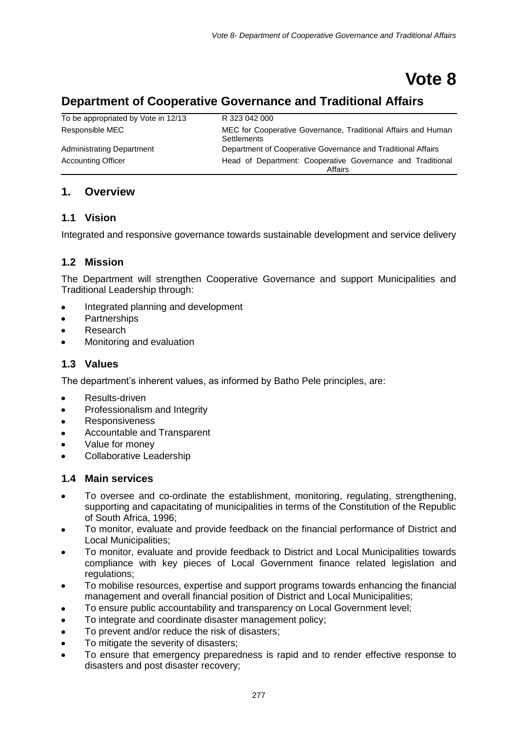# **Vote 8**

# **Department of Cooperative Governance and Traditional Affairs**

| To be appropriated by Vote in 12/13 | R 323 042 000                                                                       |
|-------------------------------------|-------------------------------------------------------------------------------------|
| Responsible MEC                     | MEC for Cooperative Governance, Traditional Affairs and Human<br><b>Settlements</b> |
| Administrating Department           | Department of Cooperative Governance and Traditional Affairs                        |
| <b>Accounting Officer</b>           | Head of Department: Cooperative Governance and Traditional<br>Affairs               |

# **1. Overview**

# **1.1 Vision**

Integrated and responsive governance towards sustainable development and service delivery

# **1.2 Mission**

The Department will strengthen Cooperative Governance and support Municipalities and Traditional Leadership through:

- Integrated planning and development
- **Partnerships**  $\bullet$
- Research
- Monitoring and evaluation

# **1.3 Values**

The department's inherent values, as informed by Batho Pele principles, are:

- Results-driven  $\bullet$
- Professionalism and Integrity
- Responsiveness
- Accountable and Transparent
- Value for money
- Collaborative Leadership

#### **1.4 Main services**

- To oversee and co-ordinate the establishment, monitoring, regulating, strengthening, supporting and capacitating of municipalities in terms of the Constitution of the Republic of South Africa, 1996;
- To monitor, evaluate and provide feedback on the financial performance of District and Local Municipalities;
- To monitor, evaluate and provide feedback to District and Local Municipalities towards compliance with key pieces of Local Government finance related legislation and regulations;
- To mobilise resources, expertise and support programs towards enhancing the financial  $\bullet$ management and overall financial position of District and Local Municipalities;
- To ensure public accountability and transparency on Local Government level;
- To integrate and coordinate disaster management policy;  $\bullet$
- To prevent and/or reduce the risk of disasters;
- To mitigate the severity of disasters;
- To ensure that emergency preparedness is rapid and to render effective response to disasters and post disaster recovery;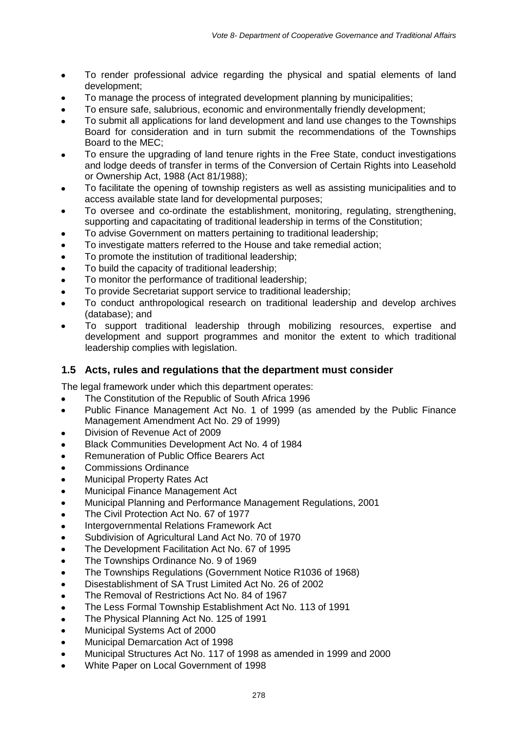- To render professional advice regarding the physical and spatial elements of land  $\bullet$ development;
- To manage the process of integrated development planning by municipalities;
- To ensure safe, salubrious, economic and environmentally friendly development;
- To submit all applications for land development and land use changes to the Townships Board for consideration and in turn submit the recommendations of the Townships Board to the MEC;
- To ensure the upgrading of land tenure rights in the Free State, conduct investigations  $\bullet$ and lodge deeds of transfer in terms of the Conversion of Certain Rights into Leasehold or Ownership Act, 1988 (Act 81/1988);
- To facilitate the opening of township registers as well as assisting municipalities and to access available state land for developmental purposes;
- To oversee and co-ordinate the establishment, monitoring, regulating, strengthening, supporting and capacitating of traditional leadership in terms of the Constitution;
- To advise Government on matters pertaining to traditional leadership;  $\bullet$
- To investigate matters referred to the House and take remedial action;  $\bullet$
- To promote the institution of traditional leadership;  $\bullet$
- To build the capacity of traditional leadership;  $\bullet$
- To monitor the performance of traditional leadership;  $\bullet$
- To provide Secretariat support service to traditional leadership;
- To conduct anthropological research on traditional leadership and develop archives  $\ddot{\phantom{a}}$ (database); and
- To support traditional leadership through mobilizing resources, expertise and development and support programmes and monitor the extent to which traditional leadership complies with legislation.

#### **1.5 Acts, rules and regulations that the department must consider**

The legal framework under which this department operates:

- The Constitution of the Republic of South Africa 1996  $\bullet$
- Public Finance Management Act No. 1 of 1999 (as amended by the Public Finance  $\bullet$ Management Amendment Act No. 29 of 1999)
- Division of Revenue Act of 2009
- Black Communities Development Act No. 4 of 1984  $\bullet$
- $\bullet$ Remuneration of Public Office Bearers Act
- Commissions Ordinance
- Municipal Property Rates Act  $\bullet$
- Municipal Finance Management Act  $\bullet$
- Municipal Planning and Performance Management Regulations, 2001  $\bullet$
- The Civil Protection Act No. 67 of 1977  $\bullet$
- Intergovernmental Relations Framework Act  $\bullet$
- Subdivision of Agricultural Land Act No. 70 of 1970  $\bullet$
- The Development Facilitation Act No. 67 of 1995  $\bullet$
- The Townships Ordinance No. 9 of 1969  $\bullet$
- The Townships Regulations (Government Notice R1036 of 1968)  $\bullet$
- Disestablishment of SA Trust Limited Act No. 26 of 2002  $\bullet$
- The Removal of Restrictions Act No. 84 of 1967  $\bullet$
- The Less Formal Township Establishment Act No. 113 of 1991  $\bullet$
- The Physical Planning Act No. 125 of 1991  $\bullet$
- Municipal Systems Act of 2000  $\bullet$
- Municipal Demarcation Act of 1998  $\bullet$
- Municipal Structures Act No. 117 of 1998 as amended in 1999 and 2000  $\bullet$
- White Paper on Local Government of 1998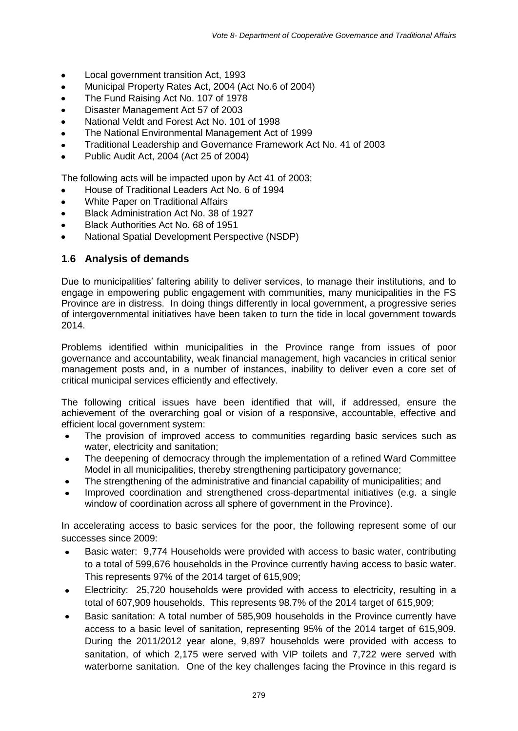- Local government transition Act, 1993  $\bullet$
- Municipal Property Rates Act, 2004 (Act No.6 of 2004)  $\bullet$
- The Fund Raising Act No. 107 of 1978  $\bullet$
- Disaster Management Act 57 of 2003  $\bullet$
- National Veldt and Forest Act No. 101 of 1998  $\bullet$
- The National Environmental Management Act of 1999  $\bullet$
- Traditional Leadership and Governance Framework Act No. 41 of 2003  $\bullet$
- Public Audit Act, 2004 (Act 25 of 2004)

The following acts will be impacted upon by Act 41 of 2003:

- House of Traditional Leaders Act No. 6 of 1994
- White Paper on Traditional Affairs  $\bullet$
- Black Administration Act No. 38 of 1927
- Black Authorities Act No. 68 of 1951
- National Spatial Development Perspective (NSDP)

# **1.6 Analysis of demands**

Due to municipalities' faltering ability to deliver services, to manage their institutions, and to engage in empowering public engagement with communities, many municipalities in the FS Province are in distress. In doing things differently in local government, a progressive series of intergovernmental initiatives have been taken to turn the tide in local government towards 2014.

Problems identified within municipalities in the Province range from issues of poor governance and accountability, weak financial management, high vacancies in critical senior management posts and, in a number of instances, inability to deliver even a core set of critical municipal services efficiently and effectively.

The following critical issues have been identified that will, if addressed, ensure the achievement of the overarching goal or vision of a responsive, accountable, effective and efficient local government system:

- The provision of improved access to communities regarding basic services such as water, electricity and sanitation;
- The deepening of democracy through the implementation of a refined Ward Committee  $\bullet$ Model in all municipalities, thereby strengthening participatory governance;
- The strengthening of the administrative and financial capability of municipalities; and
- Improved coordination and strengthened cross-departmental initiatives (e.g. a single window of coordination across all sphere of government in the Province).

In accelerating access to basic services for the poor, the following represent some of our successes since 2009:

- Basic water: 9,774 Households were provided with access to basic water, contributing  $\bullet$ to a total of 599,676 households in the Province currently having access to basic water. This represents 97% of the 2014 target of 615,909;
- Electricity: 25,720 households were provided with access to electricity, resulting in a total of 607,909 households. This represents 98.7% of the 2014 target of 615,909;
- Basic sanitation: A total number of 585,909 households in the Province currently have access to a basic level of sanitation, representing 95% of the 2014 target of 615,909. During the 2011/2012 year alone, 9,897 households were provided with access to sanitation, of which 2,175 were served with VIP toilets and 7,722 were served with waterborne sanitation. One of the key challenges facing the Province in this regard is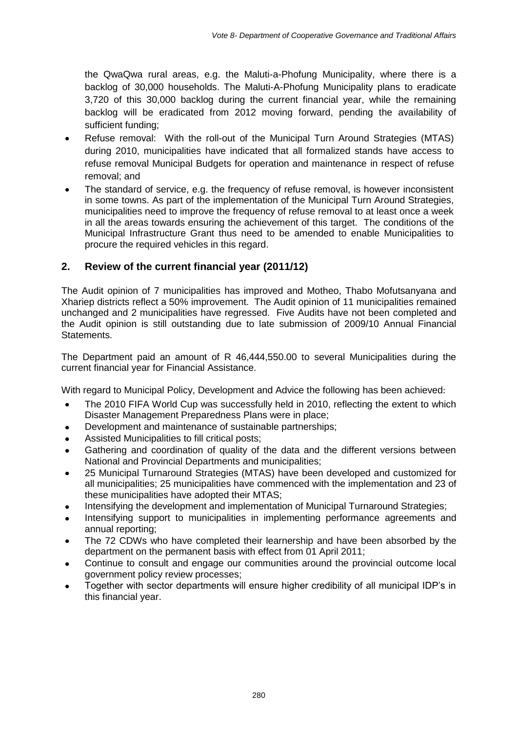the QwaQwa rural areas, e.g. the Maluti-a-Phofung Municipality, where there is a backlog of 30,000 households. The Maluti-A-Phofung Municipality plans to eradicate 3,720 of this 30,000 backlog during the current financial year, while the remaining backlog will be eradicated from 2012 moving forward, pending the availability of sufficient funding;

- Refuse removal: With the roll-out of the Municipal Turn Around Strategies (MTAS) during 2010, municipalities have indicated that all formalized stands have access to refuse removal Municipal Budgets for operation and maintenance in respect of refuse removal; and
- The standard of service, e.g. the frequency of refuse removal, is however inconsistent in some towns. As part of the implementation of the Municipal Turn Around Strategies, municipalities need to improve the frequency of refuse removal to at least once a week in all the areas towards ensuring the achievement of this target. The conditions of the Municipal Infrastructure Grant thus need to be amended to enable Municipalities to procure the required vehicles in this regard.

# **2. Review of the current financial year (2011/12)**

The Audit opinion of 7 municipalities has improved and Motheo, Thabo Mofutsanyana and Xhariep districts reflect a 50% improvement. The Audit opinion of 11 municipalities remained unchanged and 2 municipalities have regressed. Five Audits have not been completed and the Audit opinion is still outstanding due to late submission of 2009/10 Annual Financial Statements.

The Department paid an amount of R 46,444,550.00 to several Municipalities during the current financial year for Financial Assistance.

With regard to Municipal Policy, Development and Advice the following has been achieved:

- The 2010 FIFA World Cup was successfully held in 2010, reflecting the extent to which  $\bullet$ Disaster Management Preparedness Plans were in place;
- Development and maintenance of sustainable partnerships;
- Assisted Municipalities to fill critical posts;
- Gathering and coordination of quality of the data and the different versions between National and Provincial Departments and municipalities;
- 25 Municipal Turnaround Strategies (MTAS) have been developed and customized for all municipalities; 25 municipalities have commenced with the implementation and 23 of these municipalities have adopted their MTAS;
- Intensifying the development and implementation of Municipal Turnaround Strategies;
- Intensifying support to municipalities in implementing performance agreements and annual reporting;
- The 72 CDWs who have completed their learnership and have been absorbed by the department on the permanent basis with effect from 01 April 2011;
- Continue to consult and engage our communities around the provincial outcome local government policy review processes;
- Together with sector departments will ensure higher credibility of all municipal IDP's in this financial year.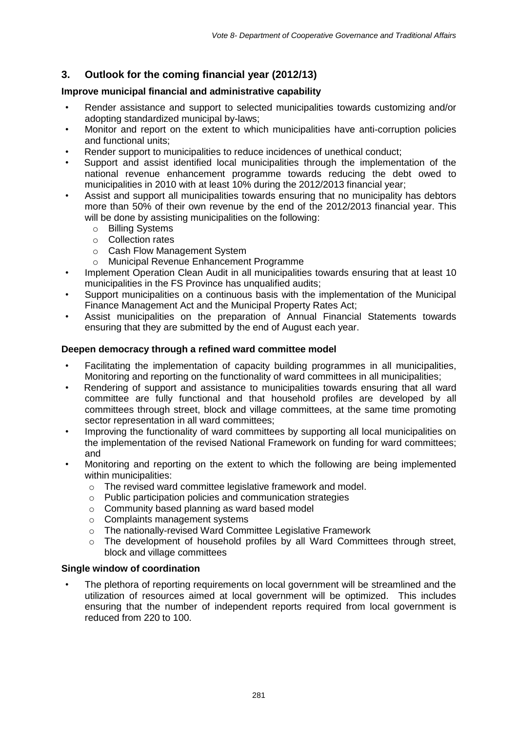# **3. Outlook for the coming financial year (2012/13)**

# **Improve municipal financial and administrative capability**

- Render assistance and support to selected municipalities towards customizing and/or adopting standardized municipal by-laws;
- Monitor and report on the extent to which municipalities have anti-corruption policies and functional units;
- Render support to municipalities to reduce incidences of unethical conduct;
- Support and assist identified local municipalities through the implementation of the national revenue enhancement programme towards reducing the debt owed to municipalities in 2010 with at least 10% during the 2012/2013 financial year;
- Assist and support all municipalities towards ensuring that no municipality has debtors more than 50% of their own revenue by the end of the 2012/2013 financial year. This will be done by assisting municipalities on the following:
	- o Billing Systems
	- o Collection rates
	- o Cash Flow Management System
	- o Municipal Revenue Enhancement Programme
- Implement Operation Clean Audit in all municipalities towards ensuring that at least 10 municipalities in the FS Province has unqualified audits;
- Support municipalities on a continuous basis with the implementation of the Municipal Finance Management Act and the Municipal Property Rates Act;
- Assist municipalities on the preparation of Annual Financial Statements towards ensuring that they are submitted by the end of August each year.

## **Deepen democracy through a refined ward committee model**

- Facilitating the implementation of capacity building programmes in all municipalities, Monitoring and reporting on the functionality of ward committees in all municipalities;
- Rendering of support and assistance to municipalities towards ensuring that all ward committee are fully functional and that household profiles are developed by all committees through street, block and village committees, at the same time promoting sector representation in all ward committees;
- Improving the functionality of ward committees by supporting all local municipalities on the implementation of the revised National Framework on funding for ward committees; and
- Monitoring and reporting on the extent to which the following are being implemented within municipalities:
	- o The revised ward committee legislative framework and model.
	- o Public participation policies and communication strategies
	- o Community based planning as ward based model
	- o Complaints management systems
	- o The nationally-revised Ward Committee Legislative Framework
	- $\circ$  The development of household profiles by all Ward Committees through street, block and village committees

#### **Single window of coordination**

• The plethora of reporting requirements on local government will be streamlined and the utilization of resources aimed at local government will be optimized. This includes ensuring that the number of independent reports required from local government is reduced from 220 to 100.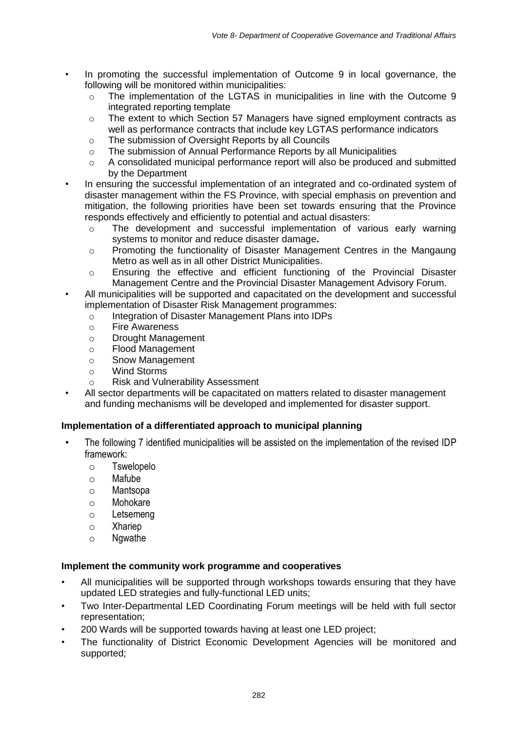- In promoting the successful implementation of Outcome 9 in local governance, the following will be monitored within municipalities:
	- $\circ$  The implementation of the LGTAS in municipalities in line with the Outcome 9 integrated reporting template
	- o The extent to which Section 57 Managers have signed employment contracts as well as performance contracts that include key LGTAS performance indicators
	- o The submission of Oversight Reports by all Councils
	- o The submission of Annual Performance Reports by all Municipalities
	- o A consolidated municipal performance report will also be produced and submitted by the Department
	- In ensuring the successful implementation of an integrated and co-ordinated system of disaster management within the FS Province, with special emphasis on prevention and mitigation, the following priorities have been set towards ensuring that the Province responds effectively and efficiently to potential and actual disasters:
		- o The development and successful implementation of various early warning systems to monitor and reduce disaster damage**.**
		- o Promoting the functionality of Disaster Management Centres in the Mangaung Metro as well as in all other District Municipalities.
		- o Ensuring the effective and efficient functioning of the Provincial Disaster Management Centre and the Provincial Disaster Management Advisory Forum.
- All municipalities will be supported and capacitated on the development and successful implementation of Disaster Risk Management programmes:
	- o Integration of Disaster Management Plans into IDPs
	- o Fire Awareness
	- o Drought Management
	- o Flood Management
	- o Snow Management
	- o Wind Storms
	- o Risk and Vulnerability Assessment
- All sector departments will be capacitated on matters related to disaster management and funding mechanisms will be developed and implemented for disaster support.

#### **Implementation of a differentiated approach to municipal planning**

- The following 7 identified municipalities will be assisted on the implementation of the revised IDP framework:
	- o Tswelopelo
	- o Mafube
	- o Mantsopa
	- o Mohokare
	- o Letsemeng
	- o Xhariep
	- o Ngwathe

#### **Implement the community work programme and cooperatives**

- All municipalities will be supported through workshops towards ensuring that they have updated LED strategies and fully-functional LED units;
- Two Inter-Departmental LED Coordinating Forum meetings will be held with full sector representation;
- 200 Wards will be supported towards having at least one LED project;
- The functionality of District Economic Development Agencies will be monitored and supported;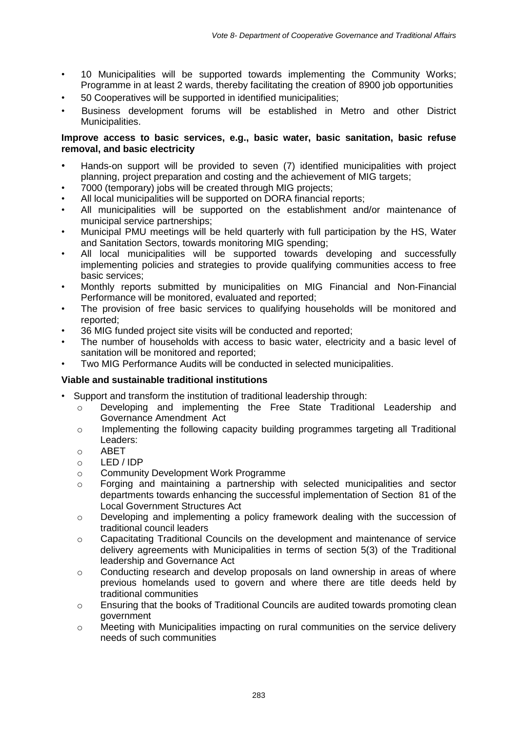- 10 Municipalities will be supported towards implementing the Community Works; Programme in at least 2 wards, thereby facilitating the creation of 8900 job opportunities
- 50 Cooperatives will be supported in identified municipalities;
- Business development forums will be established in Metro and other District Municipalities.

#### **Improve access to basic services, e.g., basic water, basic sanitation, basic refuse removal, and basic electricity**

- Hands-on support will be provided to seven (7) identified municipalities with project planning, project preparation and costing and the achievement of MIG targets;
- 7000 (temporary) jobs will be created through MIG projects;
- All local municipalities will be supported on DORA financial reports;
- All municipalities will be supported on the establishment and/or maintenance of municipal service partnerships;
- Municipal PMU meetings will be held quarterly with full participation by the HS, Water and Sanitation Sectors, towards monitoring MIG spending;
- All local municipalities will be supported towards developing and successfully implementing policies and strategies to provide qualifying communities access to free basic services;
- Monthly reports submitted by municipalities on MIG Financial and Non-Financial Performance will be monitored, evaluated and reported;
- The provision of free basic services to qualifying households will be monitored and reported;
- 36 MIG funded project site visits will be conducted and reported;
- The number of households with access to basic water, electricity and a basic level of sanitation will be monitored and reported;
- Two MIG Performance Audits will be conducted in selected municipalities.

#### **Viable and sustainable traditional institutions**

- Support and transform the institution of traditional leadership through:
	- o Developing and implementing the Free State Traditional Leadership and Governance Amendment Act
	- $\circ$  Implementing the following capacity building programmes targeting all Traditional Leaders:
	- o ABET
	- o LED / IDP
	- o Community Development Work Programme
	- $\circ$  Forging and maintaining a partnership with selected municipalities and sector departments towards enhancing the successful implementation of Section 81 of the Local Government Structures Act
	- o Developing and implementing a policy framework dealing with the succession of traditional council leaders
	- o Capacitating Traditional Councils on the development and maintenance of service delivery agreements with Municipalities in terms of section 5(3) of the Traditional leadership and Governance Act
	- $\circ$  Conducting research and develop proposals on land ownership in areas of where previous homelands used to govern and where there are title deeds held by traditional communities
	- $\circ$  Ensuring that the books of Traditional Councils are audited towards promoting clean government
	- o Meeting with Municipalities impacting on rural communities on the service delivery needs of such communities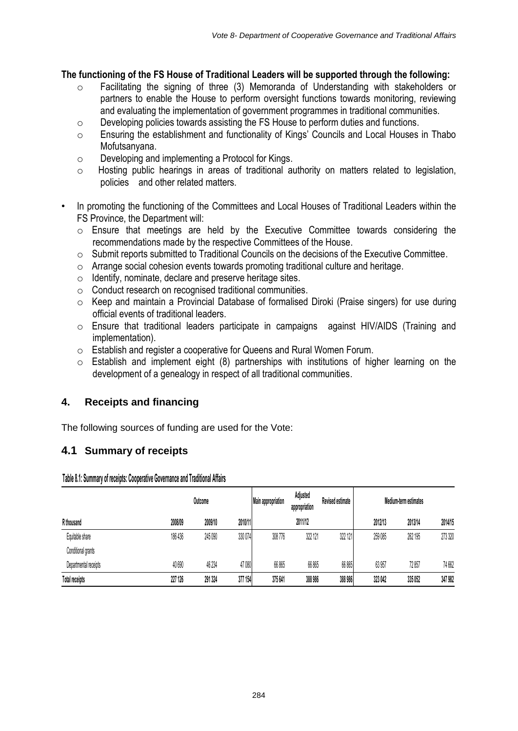## **The functioning of the FS House of Traditional Leaders will be supported through the following:**

- o Facilitating the signing of three (3) Memoranda of Understanding with stakeholders or partners to enable the House to perform oversight functions towards monitoring, reviewing and evaluating the implementation of government programmes in traditional communities.
- o Developing policies towards assisting the FS House to perform duties and functions.
- o Ensuring the establishment and functionality of Kings' Councils and Local Houses in Thabo Mofutsanyana.
- o Developing and implementing a Protocol for Kings.
- o Hosting public hearings in areas of traditional authority on matters related to legislation, policies and other related matters.
- In promoting the functioning of the Committees and Local Houses of Traditional Leaders within the FS Province, the Department will:
	- o Ensure that meetings are held by the Executive Committee towards considering the recommendations made by the respective Committees of the House.
	- o Submit reports submitted to Traditional Councils on the decisions of the Executive Committee.
	- $\circ$  Arrange social cohesion events towards promoting traditional culture and heritage.
	- o Identify, nominate, declare and preserve heritage sites.
	- o Conduct research on recognised traditional communities.
	- o Keep and maintain a Provincial Database of formalised Diroki (Praise singers) for use during official events of traditional leaders.
	- o Ensure that traditional leaders participate in campaigns against HIV/AIDS (Training and implementation).
	- o Establish and register a cooperative for Queens and Rural Women Forum.
	- $\circ$  Establish and implement eight (8) partnerships with institutions of higher learning on the development of a genealogy in respect of all traditional communities.

# **4. Receipts and financing**

The following sources of funding are used for the Vote:

# **4.1 Summary of receipts**

**Table 8.1: Summary of receipts: Cooperative Governance and Traditional Affairs**

|                       | Outcome |         | <b>Main appropriation</b> | Adjusted<br>Revised estimate<br>appropriation |         | Medium-term estimates |         |         |         |
|-----------------------|---------|---------|---------------------------|-----------------------------------------------|---------|-----------------------|---------|---------|---------|
| R thousand            | 2008/09 | 2009/10 | 2010/11                   |                                               | 2011/12 |                       | 2012/13 | 2013/14 | 2014/15 |
| Equitable share       | 186 436 | 245 090 | 330 074                   | 308 776                                       | 322 121 | 322 121               | 259 085 | 262 195 | 273 320 |
| Conditional grants    |         |         |                           |                                               |         |                       |         |         |         |
| Departmental receipts | 40 690  | 46 234  | 47 080                    | 66 865                                        | 66 865  | 66 865                | 63 957  | 72.857  | 74 662  |
| <b>Total receipts</b> | 227 126 | 291 324 | 377 154                   | 375 641                                       | 388 986 | 388 986               | 323 042 | 335 052 | 347 982 |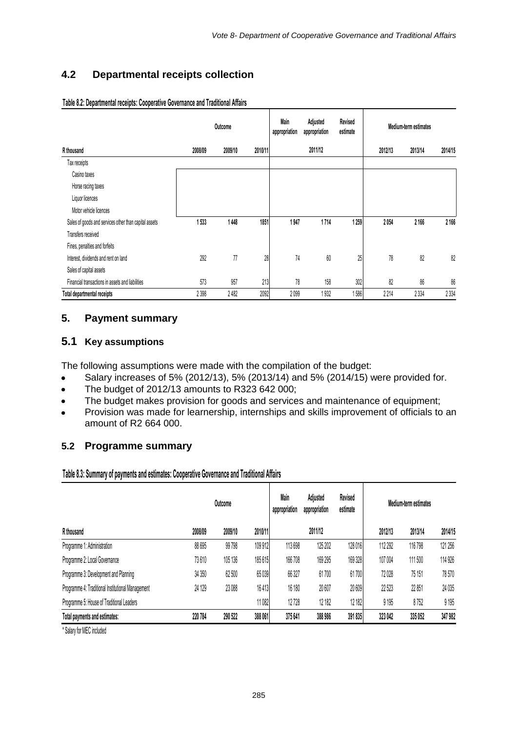# **4.2 Departmental receipts collection**

|                                                       | Outcome |         |         | Main<br>appropriation | Revised<br>Adjusted<br>estimate<br>appropriation |         | Medium-term estimates |         |         |  |
|-------------------------------------------------------|---------|---------|---------|-----------------------|--------------------------------------------------|---------|-----------------------|---------|---------|--|
| R thousand                                            | 2008/09 | 2009/10 | 2010/11 |                       | 2011/12                                          |         | 2012/13               | 2013/14 | 2014/15 |  |
| Tax receipts                                          |         |         |         |                       |                                                  |         |                       |         |         |  |
| Casino taxes                                          |         |         |         |                       |                                                  |         |                       |         |         |  |
| Horse racing taxes                                    |         |         |         |                       |                                                  |         |                       |         |         |  |
| Liquor licences                                       |         |         |         |                       |                                                  |         |                       |         |         |  |
| Motor vehicle licences                                |         |         |         |                       |                                                  |         |                       |         |         |  |
| Sales of goods and services other than capital assets | 1533    | 1448    | 1851    | 1947                  | 1714                                             | 1 2 5 9 | 2054                  | 2 1 6 6 | 2 166   |  |
| Transfers received                                    |         |         |         |                       |                                                  |         |                       |         |         |  |
| Fines, penalties and forfeits                         |         |         |         |                       |                                                  |         |                       |         |         |  |
| Interest, dividends and rent on land                  | 292     | 77      | 28      | 74                    | $60\,$                                           | 25      | 78                    | 82      | 82      |  |
| Sales of capital assets                               |         |         |         |                       |                                                  |         |                       |         |         |  |
| Financial transactions in assets and liabilities      | 573     | 957     | 213     | 78                    | 158                                              | 302     | 82                    | 86      | 86      |  |
| Total departmental receipts                           | 2398    | 2482    | 2092    | 2099                  | 1932                                             | 1586    | 2214                  | 2 3 3 4 | 2 3 3 4 |  |

## **Table 8.2: Departmental receipts: Cooperative Governance and Traditional Affairs**

# **5. Payment summary**

## **5.1 Key assumptions**

The following assumptions were made with the compilation of the budget:

- Salary increases of 5% (2012/13), 5% (2013/14) and 5% (2014/15) were provided for.  $\bullet$
- The budget of 2012/13 amounts to R323 642 000;  $\bullet$
- The budget makes provision for goods and services and maintenance of equipment;  $\bullet$
- $\bullet$ Provision was made for learnership, internships and skills improvement of officials to an amount of R2 664 000.

#### **5.2 Programme summary**

**Table 8.3: Summary of payments and estimates: Cooperative Governance and Traditional Affairs**

|                                                   |         | Outcome | Main<br>appropriation | Adjusted<br>appropriation | Revised<br>estimate | Medium-term estimates |         |         |         |
|---------------------------------------------------|---------|---------|-----------------------|---------------------------|---------------------|-----------------------|---------|---------|---------|
| R thousand                                        | 2008/09 | 2009/10 | 2010/11               |                           | 2011/12             |                       | 2012/13 | 2013/14 | 2014/15 |
| Programme 1: Administration                       | 88 695  | 99 798  | 109 912               | 113 698                   | 125 202             | 128 016               | 112 292 | 116798  | 121 256 |
| Programme 2: Local Governance                     | 73610   | 105 136 | 185615                | 166708                    | 169 295             | 169 328               | 107 004 | 111500  | 114 926 |
| Programme 3: Development and Planning             | 34 350  | 62 500  | 65 039                | 66 327                    | 61700               | 61700                 | 72028   | 75 151  | 78570   |
| Programme 4: Traditional Institutional Management | 24 129  | 23 088  | 16413                 | 16 180                    | 20 607              | 20 609                | 22523   | 22 851  | 24 0 35 |
| Programme 5: House of Traditional Leaders         |         |         | 11082                 | 12728                     | 12 182              | 12 182                | 9195    | 8752    | 9 1 9 5 |
| Total payments and estimates:                     | 220784  | 290 522 | 388 061               | 375 641                   | 388 986             | 391 835               | 323 042 | 335 052 | 347 982 |
|                                                   |         |         |                       |                           |                     |                       |         |         |         |

\* Salary for MEC included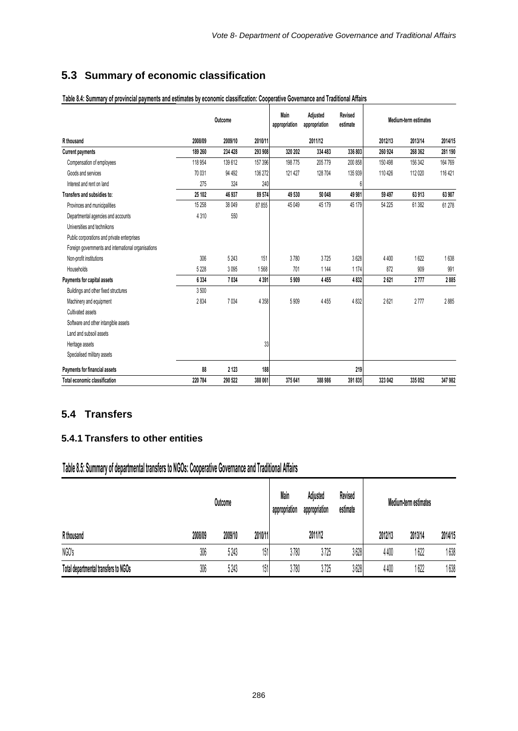# **5.3 Summary of economic classification**

|                                                     | Outcome |         |         | Main<br>appropriation | Adjusted<br>appropriation | Revised<br>estimate | Medium-term estimates |         |         |  |
|-----------------------------------------------------|---------|---------|---------|-----------------------|---------------------------|---------------------|-----------------------|---------|---------|--|
| R thousand                                          | 2008/09 | 2009/10 | 2010/11 |                       | 2011/12                   |                     | 2012/13               | 2013/14 | 2014/15 |  |
| <b>Current payments</b>                             | 189 260 | 234 428 | 293 908 | 320 202               | 334 483                   | 336 803             | 260 924               | 268 362 | 281 190 |  |
| Compensation of employees                           | 118 954 | 139612  | 157 396 | 198775                | 205 779                   | 200 858             | 150 498               | 156 342 | 164 769 |  |
| Goods and services                                  | 70 031  | 94 492  | 136 272 | 121 427               | 128 704                   | 135 939             | 110 426               | 112020  | 116 421 |  |
| Interest and rent on land                           | 275     | 324     | 240     |                       |                           | 6                   |                       |         |         |  |
| Transfers and subsidies to:                         | 25 102  | 46 937  | 89574   | 49 530                | 50 048                    | 49 981              | 59 497                | 63913   | 63 907  |  |
| Provinces and municipalities                        | 15 258  | 38 049  | 87855   | 45 049                | 45 179                    | 45 179              | 54 225                | 61 382  | 61 278  |  |
| Departmental agencies and accounts                  | 4310    | 550     |         |                       |                           |                     |                       |         |         |  |
| Universities and technikons                         |         |         |         |                       |                           |                     |                       |         |         |  |
| Public corporations and private enterprises         |         |         |         |                       |                           |                     |                       |         |         |  |
| Foreign governments and international organisations |         |         |         |                       |                           |                     |                       |         |         |  |
| Non-profit institutions                             | 306     | 5 2 4 3 | 151     | 3780                  | 3725                      | 3628                | 4 4 0 0               | 1622    | 1638    |  |
| Households                                          | 5 2 2 8 | 3095    | 1568    | 701                   | 1 1 4 4                   | 1174                | 872                   | 909     | 991     |  |
| Payments for capital assets                         | 6334    | 7034    | 4391    | 5909                  | 4455                      | 4832                | 2621                  | 2777    | 2885    |  |
| Buildings and other fixed structures                | 3500    |         |         |                       |                           |                     |                       |         |         |  |
| Machinery and equipment                             | 2834    | 7034    | 4 3 5 8 | 5909                  | 4455                      | 4832                | 2621                  | 2777    | 2885    |  |
| Cultivated assets                                   |         |         |         |                       |                           |                     |                       |         |         |  |
| Software and other intangible assets                |         |         |         |                       |                           |                     |                       |         |         |  |
| Land and subsoil assets                             |         |         |         |                       |                           |                     |                       |         |         |  |
| Heritage assets                                     |         |         | 33      |                       |                           |                     |                       |         |         |  |
| Specialised military assets                         |         |         |         |                       |                           |                     |                       |         |         |  |
| Payments for financial assets                       | 88      | 2 1 2 3 | 188     |                       |                           | 219                 |                       |         |         |  |
| Total economic classification                       | 220 784 | 290 522 | 388 061 | 375 641               | 388 986                   | 391 835             | 323 042               | 335 052 | 347 982 |  |

#### **Table 8.4: Summary of provincial payments and estimates by economic classification: Cooperative Governance and Traditional Affairs**

# **5.4 Transfers**

# **5.4.1 Transfers to other entities**

# **Table 8.5: Summary of departmental transfers to NGOs: Cooperative Governance and Traditional Affairs**

|                                      |         | Outcome |         | Revised<br>Main<br>Adjusted<br>appropriation<br>appropriation<br>estimate |         |      | Medium-term estimates |         |         |  |
|--------------------------------------|---------|---------|---------|---------------------------------------------------------------------------|---------|------|-----------------------|---------|---------|--|
| R thousand                           | 2008/09 | 2009/10 | 2010/11 |                                                                           | 2011/12 |      | 2012/13               | 2013/14 | 2014/15 |  |
| NGO's                                | 306     | 5243    | 151     | 3780                                                                      | 3725    | 3628 | 4400                  | 1 622   | 1638    |  |
| Total departmental transfers to NGOs | 306     | 5243    | 151     | 3780                                                                      | 3725    | 3628 | 4400                  | 1 622   | 1638    |  |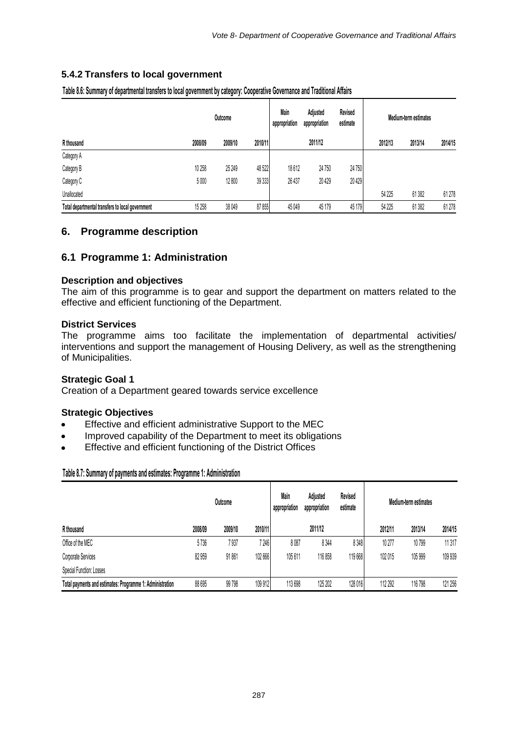## **5.4.2 Transfers to local government**

|                                                  | Outcome |         |         | Main<br>appropriation | Adiusted<br>appropriation | Revised<br>estimate | Medium-term estimates |         |         |  |
|--------------------------------------------------|---------|---------|---------|-----------------------|---------------------------|---------------------|-----------------------|---------|---------|--|
| R thousand                                       | 2008/09 | 2009/10 | 2010/11 |                       | 2011/12                   |                     | 2012/13               | 2013/14 | 2014/15 |  |
| Category A                                       |         |         |         |                       |                           |                     |                       |         |         |  |
| Category B                                       | 10 258  | 25 249  | 48522   | 18612                 | 24750                     | 24 750              |                       |         |         |  |
| Category C                                       | 5000    | 12 800  | 39 333  | 26 437                | 20429                     | 20 4 29             |                       |         |         |  |
| Unallocated                                      |         |         |         |                       |                           |                     | 54 2 25               | 61382   | 61 278  |  |
| Total departmental transfers to local government | 15 258  | 38 049  | 87 855  | 45 049                | 45 179                    | 45 179              | 54 225                | 61382   | 61 278  |  |

**Table 8.6: Summary of departmental transfers to local government by category: Cooperative Governance and Traditional Affairs**

# **6. Programme description**

## **6.1 Programme 1: Administration**

#### **Description and objectives**

The aim of this programme is to gear and support the department on matters related to the effective and efficient functioning of the Department.

#### **District Services**

The programme aims too facilitate the implementation of departmental activities/ interventions and support the management of Housing Delivery, as well as the strengthening of Municipalities.

#### **Strategic Goal 1**

Creation of a Department geared towards service excellence

#### **Strategic Objectives**

- Effective and efficient administrative Support to the MEC  $\bullet$
- Improved capability of the Department to meet its obligations
- Effective and efficient functioning of the District Offices

#### **Table 8.7: Summary of payments and estimates: Programme 1: Administration**

|                                                           | Outcome |         |         | Main<br>appropriation | Adjusted<br>appropriation | Revised<br>estimate | Medium-term estimates |         |         |  |
|-----------------------------------------------------------|---------|---------|---------|-----------------------|---------------------------|---------------------|-----------------------|---------|---------|--|
| R thousand                                                | 2008/09 | 2009/10 | 2010/11 |                       | 2011/12                   |                     | 2012/11               | 2013/14 | 2014/15 |  |
| Office of the MEC                                         | 5736    | 7 937   | 7 246   | 8087                  | 8 3 4 4                   | 8348                | 10 277                | 10799   | 11317   |  |
| Corporate Services                                        | 82 959  | 91861   | 102 666 | 105611                | 116858                    | 119668              | 102015                | 105 999 | 109 939 |  |
| Special Function: Losses                                  |         |         |         |                       |                           |                     |                       |         |         |  |
| Total payments and estimates: Programme 1: Administration | 88 695  | 99798   | 109 912 | 113 698               | 125 202                   | 128016              | 112 292               | 116 798 | 121 256 |  |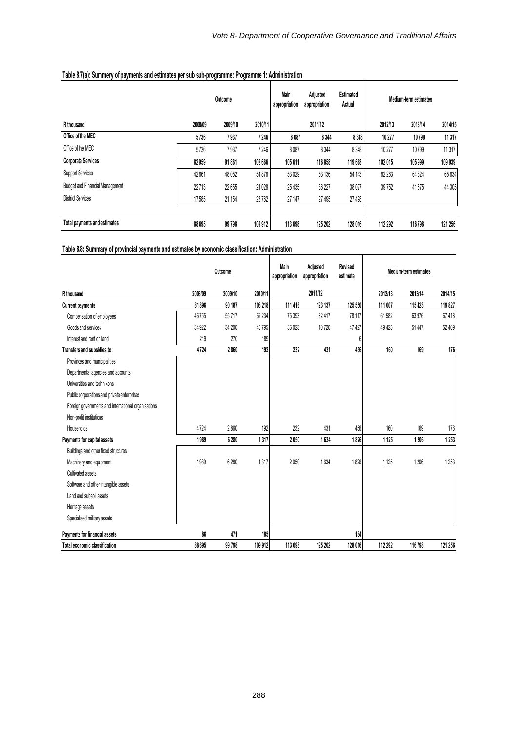┱

|                                        | Outcome |         |         | Main<br>appropriation | Adjusted<br>appropriation | Estimated<br>Actual | Medium-term estimates |         |         |  |
|----------------------------------------|---------|---------|---------|-----------------------|---------------------------|---------------------|-----------------------|---------|---------|--|
| R thousand                             | 2008/09 | 2009/10 | 2010/11 |                       | 2011/12                   |                     | 2012/13               | 2013/14 | 2014/15 |  |
| Office of the MEC                      | 5736    | 7937    | 7 246   | 8087                  | 8 3 4 4                   | 8 3 4 8 1           | 10277                 | 10799   | 11 317  |  |
| Office of the MEC                      | 5736    | 7937    | 7 246   | 8087                  | 8344                      | 8348                | 10 277                | 10799   | 11317   |  |
| <b>Corporate Services</b>              | 82959   | 91861   | 102 666 | 105 611               | 116 858                   | 119 668             | 102 015               | 105 999 | 109 939 |  |
| <b>Support Services</b>                | 42 661  | 48 052  | 54 876  | 53 0 29               | 53 136                    | 54 143              | 62 263                | 64 3 24 | 65 634  |  |
| <b>Budget and Financial Management</b> | 22713   | 22 655  | 24 0 28 | 25 4 35               | 36 227                    | 38 0 27             | 39 752                | 41 675  | 44 30 5 |  |
| <b>District Services</b>               | 17585   | 21 154  | 23762   | 27 147                | 27 495                    | 27 498              |                       |         |         |  |
|                                        |         |         |         |                       |                           |                     |                       |         |         |  |
| Total payments and estimates           | 88 695  | 99 798  | 109 912 | 113 698               | 125 202                   | 128 016             | 112 292               | 116 798 | 121 256 |  |

# **Table 8.7(a): Summery of payments and estimates per sub sub-programme: Programme 1: Administration**

**Table 8.8: Summary of provincial payments and estimates by economic classification: Administration**

|                                                     | Outcome |         |         | Main<br>Adjusted<br>appropriation<br>appropriation |         | Revised<br>estimate | Medium-term estimates |         |         |  |
|-----------------------------------------------------|---------|---------|---------|----------------------------------------------------|---------|---------------------|-----------------------|---------|---------|--|
| R thousand                                          | 2008/09 | 2009/10 | 2010/11 |                                                    | 2011/12 |                     | 2012/13               | 2013/14 | 2014/15 |  |
| <b>Current payments</b>                             | 81896   | 90 187  | 108 218 | 111 416                                            | 123 137 | 125 550             | 111 007               | 115 423 | 119827  |  |
| Compensation of employees                           | 46755   | 55717   | 62 234  | 75 393                                             | 82417   | 78 117              | 61582                 | 63976   | 67418   |  |
| Goods and services                                  | 34 922  | 34 200  | 45795   | 36 023                                             | 40720   | 47427               | 49 4 25               | 51447   | 52 409  |  |
| Interest and rent on land                           | 219     | 270     | 189     |                                                    |         | 6                   |                       |         |         |  |
| Transfers and subsidies to:                         | 4724    | 2860    | 192     | 232                                                | 431     | 456                 | 160                   | 169     | 176     |  |
| Provinces and municipalities                        |         |         |         |                                                    |         |                     |                       |         |         |  |
| Departmental agencies and accounts                  |         |         |         |                                                    |         |                     |                       |         |         |  |
| Universities and technikons                         |         |         |         |                                                    |         |                     |                       |         |         |  |
| Public corporations and private enterprises         |         |         |         |                                                    |         |                     |                       |         |         |  |
| Foreign governments and international organisations |         |         |         |                                                    |         |                     |                       |         |         |  |
| Non-profit institutions                             |         |         |         |                                                    |         |                     |                       |         |         |  |
| Households                                          | 4724    | 2860    | 192     | 232                                                | 431     | 456                 | 160                   | 169     | 176     |  |
| Payments for capital assets                         | 1989    | 6 2 8 0 | 1317    | 2050                                               | 1634    | 1826                | 1125                  | 1206    | 1253    |  |
| Buildings and other fixed structures                |         |         |         |                                                    |         |                     |                       |         |         |  |
| Machinery and equipment                             | 1989    | 6280    | 1317    | 2050                                               | 1634    | 1826                | 1125                  | 1206    | 1253    |  |
| Cultivated assets                                   |         |         |         |                                                    |         |                     |                       |         |         |  |
| Software and other intangible assets                |         |         |         |                                                    |         |                     |                       |         |         |  |
| Land and subsoil assets                             |         |         |         |                                                    |         |                     |                       |         |         |  |
| Heritage assets                                     |         |         |         |                                                    |         |                     |                       |         |         |  |
| Specialised military assets                         |         |         |         |                                                    |         |                     |                       |         |         |  |
| Payments for financial assets                       | 86      | 471     | 185     |                                                    |         | 184                 |                       |         |         |  |
| Total economic classification                       | 88 695  | 99798   | 109 912 | 113 698                                            | 125 202 | 128 016             | 112 292               | 116 798 | 121 256 |  |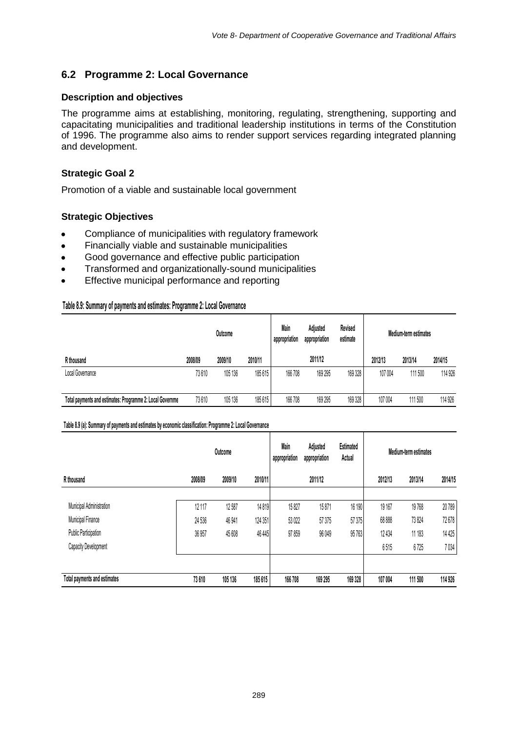# **6.2 Programme 2: Local Governance**

#### **Description and objectives**

The programme aims at establishing, monitoring, regulating, strengthening, supporting and capacitating municipalities and traditional leadership institutions in terms of the Constitution of 1996. The programme also aims to render support services regarding integrated planning and development.

## **Strategic Goal 2**

Promotion of a viable and sustainable local government

#### **Strategic Objectives**

- Compliance of municipalities with regulatory framework
- Financially viable and sustainable municipalities
- Good governance and effective public participation  $\bullet$
- Transformed and organizationally-sound municipalities  $\bullet$
- Effective municipal performance and reporting

#### **Table 8.9: Summary of payments and estimates: Programme 2: Local Governance**

|                                                           | Outcome |         |         | Main<br>Revised<br>Adjusted<br>appropriation<br>appropriation<br>estimate |         |         | Medium-term estimates |         |         |
|-----------------------------------------------------------|---------|---------|---------|---------------------------------------------------------------------------|---------|---------|-----------------------|---------|---------|
| R thousand                                                | 2008/09 | 2009/10 | 2010/11 |                                                                           | 2011/12 |         | 2012/13               | 2013/14 | 2014/15 |
| Local Governance                                          | 73610   | 105 136 | 185615  | 166 708                                                                   | 169 295 | 169 328 | 107004                | 111 500 | 114 926 |
|                                                           |         |         |         |                                                                           |         |         |                       |         |         |
| Total payments and estimates: Programme 2: Local Governme | 73610   | 105 136 | 185615  | 166 708                                                                   | 169 295 | 169 328 | 107 004               | 111 500 | 114 926 |

#### **Table 8.9 (a): Summary of payments and estimates by economic classification: Programme 2: Local Governance**

|                              |         | Outcome |         | Main<br>appropriation | Adjusted<br>appropriation | Estimated<br>Actual | Medium-term estimates |         |         |
|------------------------------|---------|---------|---------|-----------------------|---------------------------|---------------------|-----------------------|---------|---------|
| R thousand                   | 2008/09 | 2009/10 | 2010/11 |                       | 2011/12                   |                     | 2012/13               | 2013/14 | 2014/15 |
| Municipal Administration     | 12 117  | 12587   | 14819   | 15827                 | 15871                     | 16 190              | 19 167                | 19768   | 20789   |
| Municipal Finance            | 24 536  | 46 941  | 124 351 | 53 0 22               | 57 375                    | 57 375              | 68 888                | 73824   | 72678   |
| Public Participation         | 36 957  | 45 608  | 46 445  | 97859                 | 96 049                    | 95763               | 12 4 34               | 11 183  | 14 4 25 |
| Capacity Development         |         |         |         |                       |                           |                     | 6515                  | 6725    | 7034    |
| Total payments and estimates | 73610   | 105 136 | 185615  | 166 708               | 169 295                   | 169 328             | 107 004               | 111 500 | 114 926 |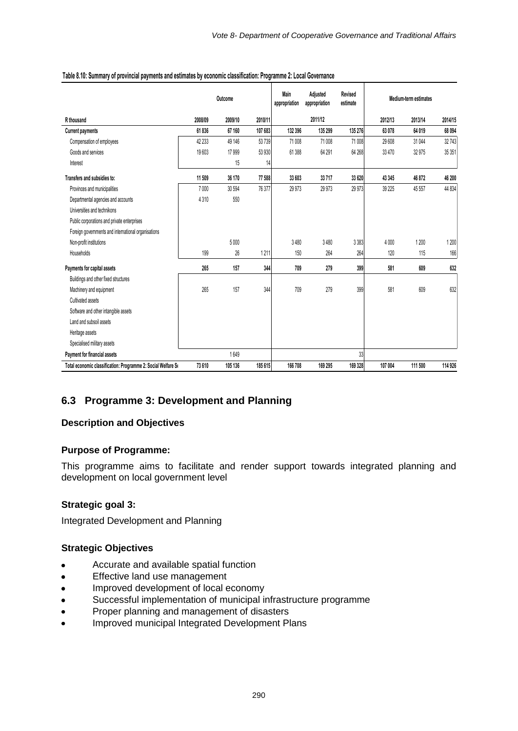|                                                                   |         | Outcome |         | Main<br>appropriation | Adjusted<br>appropriation | Revised<br>estimate |         | <b>Medium-term estimates</b> |         |
|-------------------------------------------------------------------|---------|---------|---------|-----------------------|---------------------------|---------------------|---------|------------------------------|---------|
| R thousand                                                        | 2008/09 | 2009/10 | 2010/11 |                       | 2011/12                   |                     | 2012/13 | 2013/14                      | 2014/15 |
| <b>Current payments</b>                                           | 61836   | 67 160  | 107 683 | 132 396               | 135 299                   | 135 276             | 63 078  | 64 019                       | 68 094  |
| Compensation of employees                                         | 42 233  | 49 146  | 53739   | 71 008                | 71 008                    | 71 008              | 29 608  | 31 044                       | 32743   |
| Goods and services                                                | 19603   | 17999   | 53 930  | 61388                 | 64 291                    | 64 268              | 33 470  | 32 975                       | 35 351  |
| Interest                                                          |         | 15      | 14      |                       |                           |                     |         |                              |         |
| Transfers and subsidies to:                                       | 11 509  | 36 170  | 77 588  | 33 603                | 33717                     | 33 620              | 43 345  | 46 872                       | 46 200  |
| Provinces and municipalities                                      | 7000    | 30 594  | 76 377  | 29 9 73               | 29 9 73                   | 29 973              | 39 225  | 45 557                       | 44 834  |
| Departmental agencies and accounts                                | 4310    | 550     |         |                       |                           |                     |         |                              |         |
| Universities and technikons                                       |         |         |         |                       |                           |                     |         |                              |         |
| Public corporations and private enterprises                       |         |         |         |                       |                           |                     |         |                              |         |
| Foreign governments and international organisations               |         |         |         |                       |                           |                     |         |                              |         |
| Non-profit institutions                                           |         | 5000    |         | 3480                  | 3480                      | 3 3 8 3             | 4 0 0 0 | 1 200                        | 1200    |
| Households                                                        | 199     | 26      | 1211    | 150                   | 264                       | 264                 | 120     | 115                          | 166     |
| Payments for capital assets                                       | 265     | 157     | 344     | 709                   | 279                       | 399                 | 581     | 609                          | 632     |
| Buildings and other fixed structures                              |         |         |         |                       |                           |                     |         |                              |         |
| Machinery and equipment                                           | 265     | 157     | 344     | 709                   | 279                       | 399                 | 581     | 609                          | 632     |
| Cultivated assets                                                 |         |         |         |                       |                           |                     |         |                              |         |
| Software and other intangible assets                              |         |         |         |                       |                           |                     |         |                              |         |
| Land and subsoil assets                                           |         |         |         |                       |                           |                     |         |                              |         |
| Heritage assets                                                   |         |         |         |                       |                           |                     |         |                              |         |
| Specialised military assets                                       |         |         |         |                       |                           |                     |         |                              |         |
| Payment for financial assets                                      |         | 1649    |         |                       |                           | 33                  |         |                              |         |
| Total economic classification: Programme 2: Social Welfare Social | 73 610  | 105 136 | 185 615 | 166 708               | 169 295                   | 169 328             | 107 004 | 111 500                      | 114 926 |

#### **Table 8.10: Summary of provincial payments and estimates by economic classification: Programme 2: Local Governance**

# **6.3 Programme 3: Development and Planning**

#### **Description and Objectives**

#### **Purpose of Programme:**

This programme aims to facilitate and render support towards integrated planning and development on local government level

#### **Strategic goal 3:**

Integrated Development and Planning

#### **Strategic Objectives**

- $\bullet$ Accurate and available spatial function
- Effective land use management  $\bullet$
- $\bullet$ Improved development of local economy
- Successful implementation of municipal infrastructure programme  $\bullet$
- $\bullet$ Proper planning and management of disasters
- Improved municipal Integrated Development Plans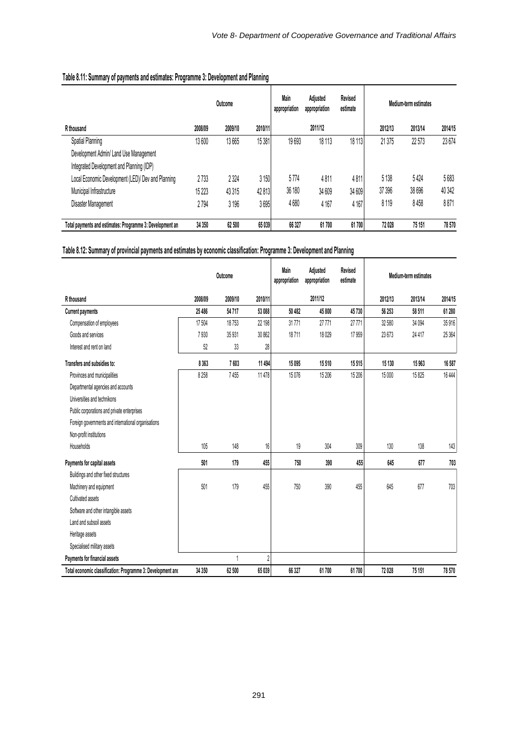|                                                           |         | Outcome |         | Main<br>appropriation | Adjusted<br>appropriation | Revised<br>estimate |         | Medium-term estimates |         |
|-----------------------------------------------------------|---------|---------|---------|-----------------------|---------------------------|---------------------|---------|-----------------------|---------|
| R thousand                                                | 2008/09 | 2009/10 | 2010/11 |                       | 2011/12                   |                     | 2012/13 | 2013/14               | 2014/15 |
| Spatial Planning                                          | 13600   | 13 665  | 15 381  | 19693                 | 18 113                    | 18 113              | 21 375  | 22 573                | 23 674  |
| Development Admin/ Land Use Management                    |         |         |         |                       |                           |                     |         |                       |         |
| Integrated Development and Planning (IDP)                 |         |         |         |                       |                           |                     |         |                       |         |
| Local Economic Development (LED)/ Dev and Planning        | 2733    | 2 3 2 4 | 3 150   | 5774                  | 4811                      | 4811                | 5 1 38  | 5424                  | 5683    |
| Municipal Infrastructure                                  | 15 2 23 | 43 315  | 42 813  | 36 180                | 34 609                    | 34 609              | 37 396  | 38 696                | 40 342  |
| Disaster Management                                       | 2794    | 3 1 9 6 | 3695    | 4680                  | 4 1 6 7                   | 4 1 6 7             | 8119    | 8458                  | 8871    |
| Total payments and estimates: Programme 3: Development an | 34 350  | 62 500  | 65 039  | 66 327                | 61700                     | 61700               | 72 028  | 75 151                | 78570   |

# **Table 8.11: Summary of payments and estimates: Programme 3: Development and Planning**

## **Table 8.12: Summary of provincial payments and estimates by economic classification: Programme 3: Development and Planning**

|                                                             |         | Outcome |                | Main<br>appropriation | Adjusted<br>appropriation | Revised<br>estimate |         | <b>Medium-term estimates</b> |         |
|-------------------------------------------------------------|---------|---------|----------------|-----------------------|---------------------------|---------------------|---------|------------------------------|---------|
| R thousand                                                  | 2008/09 | 2009/10 | 2010/11        |                       | 2011/12                   |                     | 2012/13 | 2013/14                      | 2014/15 |
| <b>Current payments</b>                                     | 25 486  | 54717   | 53 088         | 50 482                | 45 800                    | 45730               | 56 253  | 58 511                       | 61 280  |
| Compensation of employees                                   | 17504   | 18753   | 22 198         | 31771                 | 27 771                    | 27 771              | 32 580  | 34 094                       | 35916   |
| Goods and services                                          | 7930    | 35 931  | 30 862         | 18711                 | 18029                     | 17959               | 23 673  | 24 4 17                      | 25 3 64 |
| Interest and rent on land                                   | 52      | 33      | 28             |                       |                           |                     |         |                              |         |
| Transfers and subsidies to:                                 | 8363    | 7603    | 11 494         | 15 0 95               | 15510                     | 15515               | 15 130  | 15963                        | 16 587  |
| Provinces and municipalities                                | 8 2 5 8 | 7455    | 11 478         | 15076                 | 15 20 6                   | 15 206              | 15 000  | 15825                        | 16 4 44 |
| Departmental agencies and accounts                          |         |         |                |                       |                           |                     |         |                              |         |
| Universities and technikons                                 |         |         |                |                       |                           |                     |         |                              |         |
| Public corporations and private enterprises                 |         |         |                |                       |                           |                     |         |                              |         |
| Foreign governments and international organisations         |         |         |                |                       |                           |                     |         |                              |         |
| Non-profit institutions                                     |         |         |                |                       |                           |                     |         |                              |         |
| Households                                                  | 105     | 148     | 16             | 19                    | 304                       | 309                 | 130     | 138                          | 143     |
| Payments for capital assets                                 | 501     | 179     | 455            | 750                   | 390                       | 455                 | 645     | 677                          | 703     |
| Buildings and other fixed structures                        |         |         |                |                       |                           |                     |         |                              |         |
| Machinery and equipment                                     | 501     | 179     | 455            | 750                   | 390                       | 455                 | 645     | 677                          | 703     |
| Cultivated assets                                           |         |         |                |                       |                           |                     |         |                              |         |
| Software and other intangible assets                        |         |         |                |                       |                           |                     |         |                              |         |
| Land and subsoil assets                                     |         |         |                |                       |                           |                     |         |                              |         |
| Heritage assets                                             |         |         |                |                       |                           |                     |         |                              |         |
| Specialised military assets                                 |         |         |                |                       |                           |                     |         |                              |         |
| Payments for financial assets                               |         |         | $\overline{2}$ |                       |                           |                     |         |                              |         |
| Total economic classification: Programme 3: Development and | 34 350  | 62 500  | 65 039         | 66 327                | 61700                     | 61700               | 72 028  | 75 151                       | 78 570  |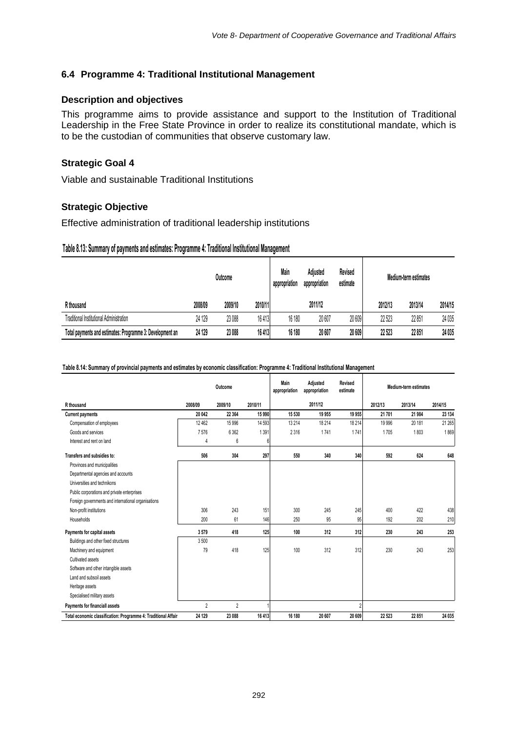#### **6.4 Programme 4: Traditional Institutional Management**

#### **Description and objectives**

This programme aims to provide assistance and support to the Institution of Traditional Leadership in the Free State Province in order to realize its constitutional mandate, which is to be the custodian of communities that observe customary law.

### **Strategic Goal 4**

Viable and sustainable Traditional Institutions

#### **Strategic Objective**

Effective administration of traditional leadership institutions

#### **Table 8.13: Summary of payments and estimates: Programme 4: Traditional Institutional Management**

|                                                           |         | Outcome |         | Main<br>appropriation | Adjusted<br>appropriation | Revised<br>estimate | Medium-term estimates |         |         |  |
|-----------------------------------------------------------|---------|---------|---------|-----------------------|---------------------------|---------------------|-----------------------|---------|---------|--|
| R thousand                                                | 2008/09 | 2009/10 | 2010/11 |                       | 2011/12                   |                     | 2012/13               | 2013/14 | 2014/15 |  |
| Traditional Institutional Administration                  | 24 129  | 23 088  | 16413   | 16 180                | 20 607                    | 20 609              | 22 523                | 22851   | 24 035  |  |
| Total payments and estimates: Programme 3: Development an | 24 129  | 23 088  | 16413   | 16 180                | 20 607                    | 20 609              | 22 5 23               | 22 851  | 24 035  |  |

#### **Table 8.14: Summary of provincial payments and estimates by economic classification: Programme 4: Traditional Institutional Management**

|                                                                | Outcome        |                |         | Main<br>appropriation | Revised<br>Adjusted<br>estimate<br>appropriation |                |         | <b>Medium-term estimates</b> |         |  |  |
|----------------------------------------------------------------|----------------|----------------|---------|-----------------------|--------------------------------------------------|----------------|---------|------------------------------|---------|--|--|
| R thousand                                                     | 2008/09        | 2009/10        | 2010/11 |                       | 2011/12                                          |                | 2012/13 | 2013/14                      | 2014/15 |  |  |
| <b>Current payments</b>                                        | 20 042         | 22 3 64        | 15 990  | 15 530                | 19 955                                           | 19 955         | 21 701  | 21 984                       | 23 134  |  |  |
| Compensation of employees                                      | 12 462         | 15 9 96        | 14 5 93 | 13 214                | 18 214                                           | 18 214         | 19 996  | 20 181                       | 21 265  |  |  |
| Goods and services                                             | 7576           | 6 3 6 2        | 1391    | 2316                  | 1741                                             | 1741           | 1705    | 1803                         | 1869    |  |  |
| Interest and rent on land                                      | 4              | 6              | 6       |                       |                                                  |                |         |                              |         |  |  |
| Transfers and subsidies to:                                    | 506            | 304            | 297     | 550                   | 340                                              | 340            | 592     | 624                          | 648     |  |  |
| Provinces and municipalities                                   |                |                |         |                       |                                                  |                |         |                              |         |  |  |
| Departmental agencies and accounts                             |                |                |         |                       |                                                  |                |         |                              |         |  |  |
| Universities and technikons                                    |                |                |         |                       |                                                  |                |         |                              |         |  |  |
| Public corporations and private enterprises                    |                |                |         |                       |                                                  |                |         |                              |         |  |  |
| Foreign governments and international organisations            |                |                |         |                       |                                                  |                |         |                              |         |  |  |
| Non-profit institutions                                        | 306            | 243            | 151     | 300                   | 245                                              | 245            | 400     | 422                          | 438     |  |  |
| Households                                                     | 200            | 61             | 146     | 250                   | 95                                               | 95             | 192     | 202                          | 210     |  |  |
| Payments for capital assets                                    | 3579           | 418            | 125     | 100                   | 312                                              | 312            | 230     | 243                          | 253     |  |  |
| Buildings and other fixed structures                           | 3500           |                |         |                       |                                                  |                |         |                              |         |  |  |
| Machinery and equipment                                        | 79             | 418            | 125     | 100                   | 312                                              | 312            | 230     | 243                          | 253     |  |  |
| Cultivated assets                                              |                |                |         |                       |                                                  |                |         |                              |         |  |  |
| Software and other intangible assets                           |                |                |         |                       |                                                  |                |         |                              |         |  |  |
| Land and subsoil assets                                        |                |                |         |                       |                                                  |                |         |                              |         |  |  |
| Heritage assets                                                |                |                |         |                       |                                                  |                |         |                              |         |  |  |
| Specialised military assets                                    |                |                |         |                       |                                                  |                |         |                              |         |  |  |
| Payments for financiall assets                                 | $\overline{2}$ | $\overline{2}$ |         |                       |                                                  | $\overline{2}$ |         |                              |         |  |  |
| Total economic classification: Programme 4: Traditional Affair | 24 129         | 23 088         | 16 413  | 16 180                | 20 607                                           | 20 609         | 22 5 23 | 22 851                       | 24 035  |  |  |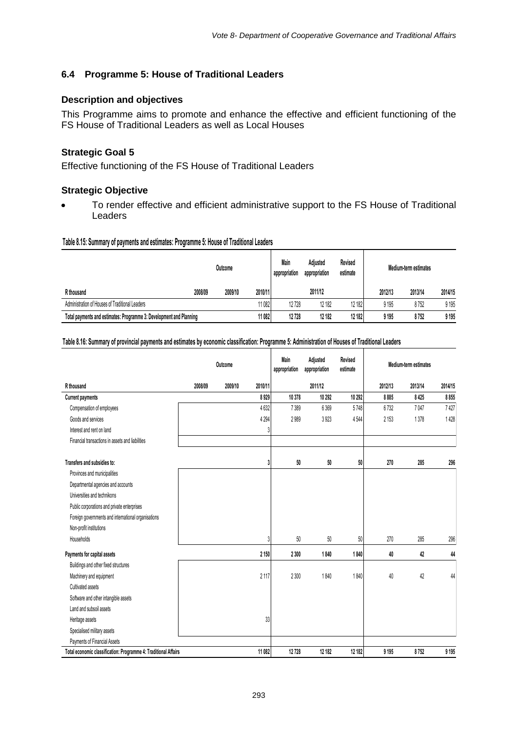## **6.4 Programme 5: House of Traditional Leaders**

#### **Description and objectives**

This Programme aims to promote and enhance the effective and efficient functioning of the FS House of Traditional Leaders as well as Local Houses

### **Strategic Goal 5**

Effective functioning of the FS House of Traditional Leaders

#### **Strategic Objective**

To render effective and efficient administrative support to the FS House of Traditional **Leaders** 

#### **Table 8.15: Summary of payments and estimates: Programme 5: House of Traditional Leaders**

|                                                                     | Outcome |         |         | Main<br>appropriation | Adiusted<br>appropriation | Revised<br>estimate | Medium-term estimates |         |         |  |
|---------------------------------------------------------------------|---------|---------|---------|-----------------------|---------------------------|---------------------|-----------------------|---------|---------|--|
| R thousand                                                          | 2008/09 | 2009/10 | 2010/11 |                       | 2011/12                   |                     | 2012/13               | 2013/14 | 2014/15 |  |
| Administration of Houses of Traditional Leaders                     |         |         | 11082   | 12728                 | 12 182                    | 12 182              | 9 1 9 5               | 8752    | 9 1 9 5 |  |
| Total payments and estimates: Programme 3: Development and Planning |         |         | 11 082  | 12728                 | 12182                     | 12 182              | 9 1 9 5               | 8752    | 9 1 9 5 |  |

#### **Table 8.16: Summary of provincial payments and estimates by economic classification: Programme 5: Administration of Houses of Traditional Leaders**

|                                                                 |         | Outcome |         | <b>Main</b><br>appropriation | Adjusted<br>appropriation | Revised<br>estimate |         | Medium-term estimates |         |
|-----------------------------------------------------------------|---------|---------|---------|------------------------------|---------------------------|---------------------|---------|-----------------------|---------|
| R thousand                                                      | 2008/09 | 2009/10 | 2010/11 |                              | 2011/12                   |                     | 2012/13 | 2013/14               | 2014/15 |
| <b>Current payments</b>                                         |         |         | 8929    | 10 378                       | 10 29 2                   | 10 292              | 8885    | 8425                  | 8855    |
| Compensation of employees                                       |         |         | 4632    | 7389                         | 6369                      | 5748                | 6732    | 7047                  | 7427    |
| Goods and services                                              |         |         | 4 2 9 4 | 2989                         | 3923                      | 4544                | 2 1 5 3 | 1378                  | 1428    |
| Interest and rent on land                                       |         |         | 3       |                              |                           |                     |         |                       |         |
| Financial transactions in assets and liabilities                |         |         |         |                              |                           |                     |         |                       |         |
|                                                                 |         |         |         |                              |                           |                     |         |                       |         |
| Transfers and subsidies to:                                     |         |         | 3       | 50                           | 50                        | 50                  | 270     | 285                   | 296     |
| Provinces and municipalities                                    |         |         |         |                              |                           |                     |         |                       |         |
| Departmental agencies and accounts                              |         |         |         |                              |                           |                     |         |                       |         |
| Universities and technikons                                     |         |         |         |                              |                           |                     |         |                       |         |
| Public corporations and private enterprises                     |         |         |         |                              |                           |                     |         |                       |         |
| Foreign governments and international organisations             |         |         |         |                              |                           |                     |         |                       |         |
| Non-profit institutions                                         |         |         |         |                              |                           |                     |         |                       |         |
| Households                                                      |         |         | 3       | 50                           | 50                        | 50                  | 270     | 285                   | 296     |
| Payments for capital assets                                     |         |         | 2 1 5 0 | 2 3 0 0                      | 1840                      | 1840                | 40      | 42                    | 44      |
| Buildings and other fixed structures                            |         |         |         |                              |                           |                     |         |                       |         |
| Machinery and equipment                                         |         |         | 2 1 1 7 | 2 3 0 0                      | 1840                      | 1840                | 40      | 42                    | 44      |
| Cultivated assets                                               |         |         |         |                              |                           |                     |         |                       |         |
| Software and other intangible assets                            |         |         |         |                              |                           |                     |         |                       |         |
| Land and subsoil assets                                         |         |         |         |                              |                           |                     |         |                       |         |
| Heritage assets                                                 |         |         | 33      |                              |                           |                     |         |                       |         |
| Specialised military assets                                     |         |         |         |                              |                           |                     |         |                       |         |
| Payments of Financial Assets                                    |         |         |         |                              |                           |                     |         |                       |         |
| Total economic classification: Programme 4: Traditional Affairs |         |         | 11 082  | 12728                        | 12 182                    | 12 182              | 9 1 9 5 | 8752                  | 9 1 9 5 |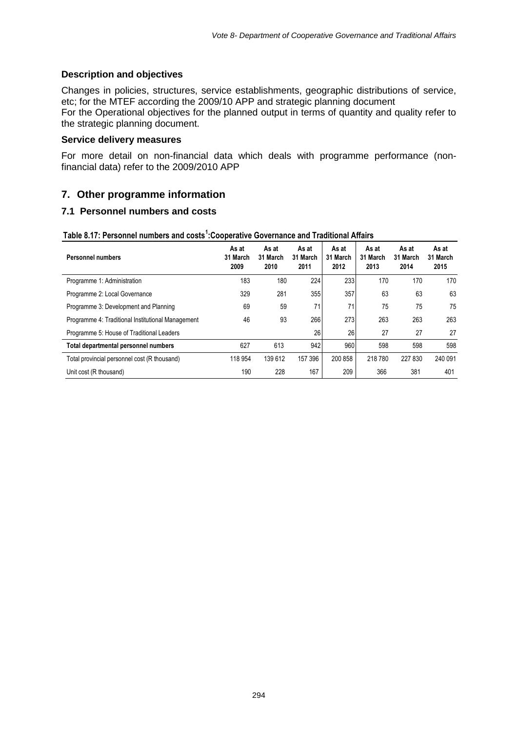#### **Description and objectives**

Changes in policies, structures, service establishments, geographic distributions of service, etc; for the MTEF according the 2009/10 APP and strategic planning document For the Operational objectives for the planned output in terms of quantity and quality refer to the strategic planning document.

#### **Service delivery measures**

For more detail on non-financial data which deals with programme performance (nonfinancial data) refer to the 2009/2010 APP

## **7. Other programme information**

#### **7.1 Personnel numbers and costs**

| <b>Personnel numbers</b>                          | As at<br>31 March<br>2009 | As at<br>31 March<br>2010 | As at<br>31 March<br>2011 | As at<br>31 March<br>2012 | As at<br>31 March<br>2013 | As at<br>31 March<br>2014 | As at<br>31 March<br>2015 |
|---------------------------------------------------|---------------------------|---------------------------|---------------------------|---------------------------|---------------------------|---------------------------|---------------------------|
| Programme 1: Administration                       | 183                       | 180                       | 224                       | 233                       | 170                       | 170                       | 170                       |
| Programme 2: Local Governance                     | 329                       | 281                       | 355                       | 357                       | 63                        | 63                        | 63                        |
| Programme 3: Development and Planning             | 69                        | 59                        | 71                        | 71                        | 75                        | 75                        | 75                        |
| Programme 4: Traditional Institutional Management | 46                        | 93                        | 266                       | 273                       | 263                       | 263                       | 263                       |
| Programme 5: House of Traditional Leaders         |                           |                           | 26                        | 26                        | 27                        | 27                        | 27                        |
| Total departmental personnel numbers              | 627                       | 613                       | 942                       | 960                       | 598                       | 598                       | 598                       |
| Total provincial personnel cost (R thousand)      | 118 954                   | 139 612                   | 157 396                   | 200 858                   | 218 780                   | 227 830                   | 240 091                   |
| Unit cost (R thousand)                            | 190                       | 228                       | 167                       | 209                       | 366                       | 381                       | 401                       |

#### **Table 8.17: Personnel numbers and costs<sup>1</sup> :Cooperative Governance and Traditional Affairs**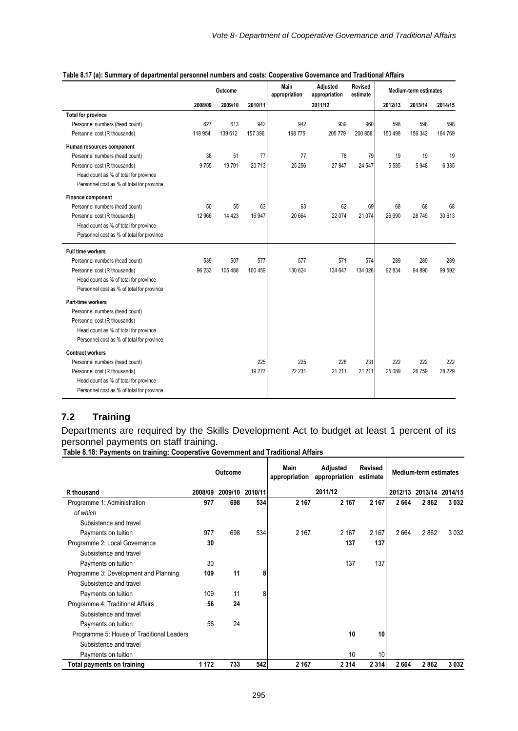|                                           |         | Outcome |         | Main<br>appropriation | Adjusted<br>appropriation | Revised<br>estimate |         | Medium-term estimates |         |
|-------------------------------------------|---------|---------|---------|-----------------------|---------------------------|---------------------|---------|-----------------------|---------|
|                                           | 2008/09 | 2009/10 | 2010/11 |                       | 2011/12                   |                     | 2012/13 | 2013/14               | 2014/15 |
| <b>Total for province</b>                 |         |         |         |                       |                           |                     |         |                       |         |
| Personnel numbers (head count)            | 627     | 613     | 942     | 942                   | 939                       | 960                 | 598     | 598                   | 598     |
| Personnel cost (R thousands)              | 118 954 | 139 612 | 157 396 | 198 775               | 205 779                   | 200 858             | 150 498 | 156 342               | 164 769 |
| Human resources component                 |         |         |         |                       |                           |                     |         |                       |         |
| Personnel numbers (head count)            | 38      | 51      | 77      | 77                    | 78                        | 79                  | 19      | 19                    | 19      |
| Personnel cost (R thousands)              | 9755    | 19701   | 20713   | 25 25 6               | 27 847                    | 24 547              | 5 5 8 5 | 5948                  | 6 3 3 5 |
| Head count as % of total for province     |         |         |         |                       |                           |                     |         |                       |         |
| Personnel cost as % of total for province |         |         |         |                       |                           |                     |         |                       |         |
| Finance component                         |         |         |         |                       |                           |                     |         |                       |         |
| Personnel numbers (head count)            | 50      | 55      | 63      | 63                    | 62                        | 69                  | 68      | 68                    | 68      |
| Personnel cost (R thousands)              | 12 966  | 14 4 23 | 16 947  | 20 664                | 22 0 74                   | 21 0 74             | 26 990  | 28 745                | 30 613  |
| Head count as % of total for province     |         |         |         |                       |                           |                     |         |                       |         |
| Personnel cost as % of total for province |         |         |         |                       |                           |                     |         |                       |         |
| <b>Full time workers</b>                  |         |         |         |                       |                           |                     |         |                       |         |
| Personnel numbers (head count)            | 539     | 507     | 577     | 577                   | 571                       | 574                 | 289     | 289                   | 289     |
| Personnel cost (R thousands)              | 96 233  | 105 488 | 100 459 | 130 624               | 134 647                   | 134 026             | 92 834  | 94 890                | 99 592  |
| Head count as % of total for province     |         |         |         |                       |                           |                     |         |                       |         |
| Personnel cost as % of total for province |         |         |         |                       |                           |                     |         |                       |         |
| Part-time workers                         |         |         |         |                       |                           |                     |         |                       |         |
| Personnel numbers (head count)            |         |         |         |                       |                           |                     |         |                       |         |
| Personnel cost (R thousands)              |         |         |         |                       |                           |                     |         |                       |         |
| Head count as % of total for province     |         |         |         |                       |                           |                     |         |                       |         |
| Personnel cost as % of total for province |         |         |         |                       |                           |                     |         |                       |         |
| <b>Contract workers</b>                   |         |         |         |                       |                           |                     |         |                       |         |
| Personnel numbers (head count)            |         |         | 225     | 225                   | 228                       | 231                 | 222     | 222                   | 222     |
| Personnel cost (R thousands)              |         |         | 19 277  | 22 231                | 21 211                    | 21 211              | 25 089  | 26 759                | 28 229  |
| Head count as % of total for province     |         |         |         |                       |                           |                     |         |                       |         |
| Personnel cost as % of total for province |         |         |         |                       |                           |                     |         |                       |         |

#### **Table 8.17 (a): Summary of departmental personnel numbers and costs: Cooperative Governance and Traditional Affairs**

# **7.2 Training**

Departments are required by the Skills Development Act to budget at least 1 percent of its personnel payments on staff training.

**Table 8.18: Payments on training: Cooperative Government and Traditional Affairs**

|                                           | <b>Outcome</b> |     |                 | Main<br>appropriation | Adjusted<br>appropriation | <b>Revised</b><br>estimate | <b>Medium-term estimates</b> |                         |      |  |
|-------------------------------------------|----------------|-----|-----------------|-----------------------|---------------------------|----------------------------|------------------------------|-------------------------|------|--|
| R thousand                                | 2008/09        |     | 2009/10 2010/11 |                       | 2011/12                   |                            |                              | 2012/13 2013/14 2014/15 |      |  |
| Programme 1: Administration               | 977            | 698 | 534             | 2 1 6 7               | 2 1 6 7                   | 2 1 6 7                    | 2664                         | 2862                    | 3032 |  |
| of which                                  |                |     |                 |                       |                           |                            |                              |                         |      |  |
| Subsistence and travel                    |                |     |                 |                       |                           |                            |                              |                         |      |  |
| Payments on tuition                       | 977            | 698 | 534             | 2 1 6 7               | 2 167                     | 2 1 6 7                    | 2664                         | 2862                    | 3032 |  |
| Programme 2: Local Governance             | 30             |     |                 |                       | 137                       | 137                        |                              |                         |      |  |
| Subsistence and travel                    |                |     |                 |                       |                           |                            |                              |                         |      |  |
| Payments on tuition                       | 30             |     |                 |                       | 137                       | 137                        |                              |                         |      |  |
| Programme 3: Development and Planning     | 109            | 11  | 8               |                       |                           |                            |                              |                         |      |  |
| Subsistence and travel                    |                |     |                 |                       |                           |                            |                              |                         |      |  |
| Payments on tuition                       | 109            | 11  | 8               |                       |                           |                            |                              |                         |      |  |
| Programme 4: Traditional Affairs          | 56             | 24  |                 |                       |                           |                            |                              |                         |      |  |
| Subsistence and travel                    |                |     |                 |                       |                           |                            |                              |                         |      |  |
| Payments on tuition                       | 56             | 24  |                 |                       |                           |                            |                              |                         |      |  |
| Programme 5: House of Traditional Leaders |                |     |                 |                       | 10                        | 10                         |                              |                         |      |  |
| Subsistence and travel                    |                |     |                 |                       |                           |                            |                              |                         |      |  |
| Payments on tuition                       |                |     |                 |                       | 10                        | 10                         |                              |                         |      |  |
| <b>Total payments on training</b>         | 1 1 7 2        | 733 | 542             | 2 1 6 7               | 2 3 1 4                   | 2 3 1 4                    | 2664                         | 2862                    | 3032 |  |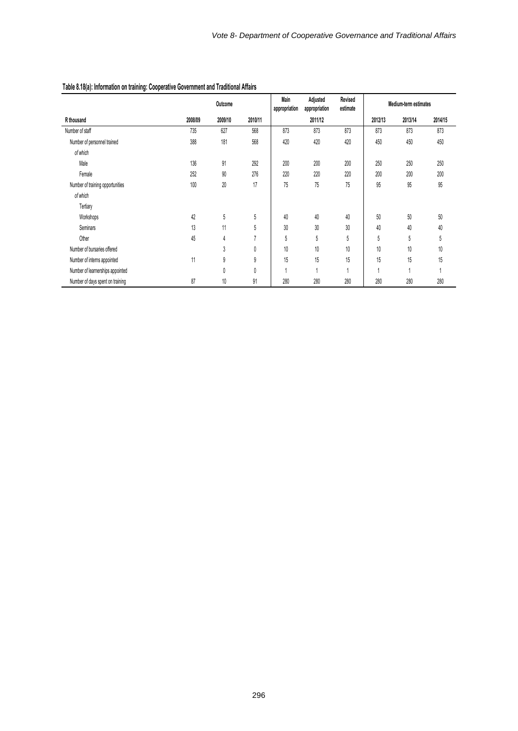|                                  |         | Outcome |         | Main<br>Adjusted<br>Revised<br>appropriation<br>appropriation<br>estimate |                | Medium-term estimates    |         |         |         |
|----------------------------------|---------|---------|---------|---------------------------------------------------------------------------|----------------|--------------------------|---------|---------|---------|
| R thousand                       | 2008/09 | 2009/10 | 2010/11 |                                                                           | 2011/12        |                          | 2012/13 | 2013/14 | 2014/15 |
| Number of staff                  | 735     | 627     | 568     | 873                                                                       | 873            | 873                      | 873     | 873     | 873     |
| Number of personnel trained      | 388     | 181     | 568     | 420                                                                       | 420            | 420                      | 450     | 450     | 450     |
| of which                         |         |         |         |                                                                           |                |                          |         |         |         |
| Male                             | 136     | 91      | 292     | 200                                                                       | 200            | 200                      | 250     | 250     | 250     |
| Female                           | 252     | 90      | 276     | 220                                                                       | 220            | 220                      | 200     | 200     | 200     |
| Number of training opportunities | 100     | 20      | 17      | 75                                                                        | 75             | 75                       | 95      | 95      | 95      |
| of which                         |         |         |         |                                                                           |                |                          |         |         |         |
| Tertiary                         |         |         |         |                                                                           |                |                          |         |         |         |
| Workshops                        | 42      | 5       | 5       | 40                                                                        | 40             | 40                       | 50      | 50      | 50      |
| Seminars                         | 13      | 11      | 5       | 30                                                                        | 30             | 30                       | 40      | 40      | 40      |
| Other                            | 45      | 4       | 7       | 5                                                                         | 5              | 5                        | 5       | 5       | 5       |
| Number of bursaries offered      |         | 3       | 0       | 10                                                                        | $10$           | 10                       | 10      | 10      | 10      |
| Number of interns appointed      | 11      | 9       | 9       | 15                                                                        | 15             | 15                       | 15      | 15      | 15      |
| Number of learnerships appointed |         | 0       | 0       |                                                                           | $\overline{A}$ | $\overline{\phantom{a}}$ |         |         |         |
| Number of days spent on training | 87      | 10      | 91      | 280                                                                       | 280            | 280                      | 280     | 280     | 280     |

#### **Table 8.18(a): Information on training: Cooperative Government and Traditional Affairs**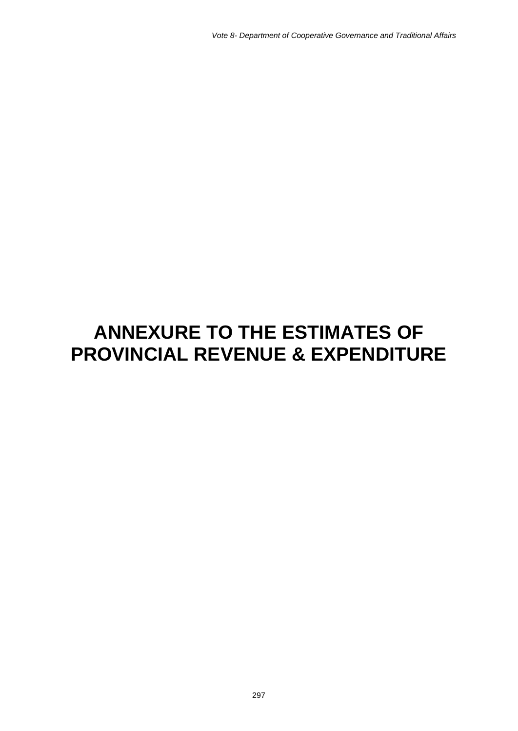# **ANNEXURE TO THE ESTIMATES OF PROVINCIAL REVENUE & EXPENDITURE**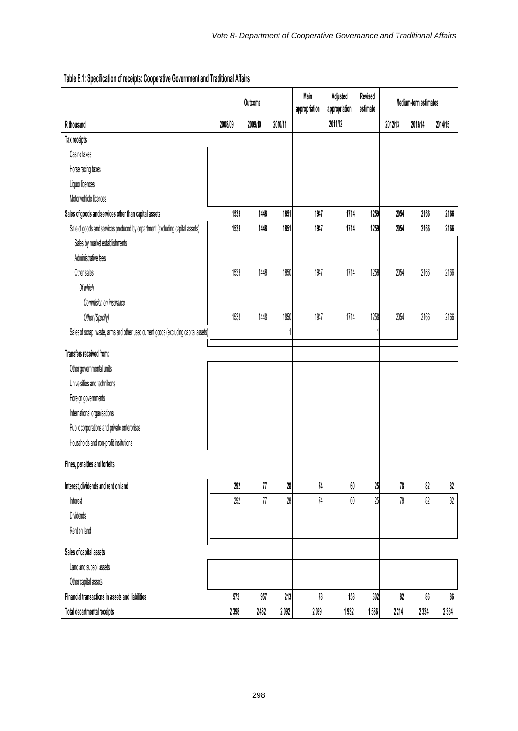|                                                                                     | Outcome |         |         | Main<br>appropriation | Adjusted<br>appropriation | Revised<br>estimate |         | Medium-term estimates |         |  |
|-------------------------------------------------------------------------------------|---------|---------|---------|-----------------------|---------------------------|---------------------|---------|-----------------------|---------|--|
| R thousand                                                                          | 2008/09 | 2009/10 | 2010/11 |                       | 2011/12                   |                     | 2012/13 | 2013/14               | 2014/15 |  |
| Tax receipts                                                                        |         |         |         |                       |                           |                     |         |                       |         |  |
| Casino taxes                                                                        |         |         |         |                       |                           |                     |         |                       |         |  |
| Horse racing taxes                                                                  |         |         |         |                       |                           |                     |         |                       |         |  |
| Liquor licences                                                                     |         |         |         |                       |                           |                     |         |                       |         |  |
| Motor vehicle licences                                                              |         |         |         |                       |                           |                     |         |                       |         |  |
| Sales of goods and services other than capital assets                               | 1533    | 1448    | 1851    | 1947                  | 1714                      | 1259                | 2054    | 2166                  | 2166    |  |
| Sale of goods and services produced by department (excluding capital assets)        | 1533    | 1448    | 1851    | 1947                  | 1714                      | 1259                | 2054    | 2166                  | 2166    |  |
| Sales by market establishments                                                      |         |         |         |                       |                           |                     |         |                       |         |  |
| Administrative fees                                                                 |         |         |         |                       |                           |                     |         |                       |         |  |
| Other sales                                                                         | 1533    | 1448    | 1850    | 1947                  | 1714                      | 1258                | 2054    | 2166                  | 2166    |  |
| Of which                                                                            |         |         |         |                       |                           |                     |         |                       |         |  |
| Commision on insurance                                                              |         |         |         |                       |                           |                     |         |                       |         |  |
| Other (Specify)                                                                     | 1533    | 1448    | 1850    | 1947                  | 1714                      | 1258                | 2054    | 2166                  | 2166    |  |
| Sales of scrap, waste, arms and other used current goods (excluding capital assets) |         |         |         |                       |                           |                     |         |                       |         |  |
| Transfers received from:                                                            |         |         |         |                       |                           |                     |         |                       |         |  |
| Other governmental units                                                            |         |         |         |                       |                           |                     |         |                       |         |  |
| Universities and technikons                                                         |         |         |         |                       |                           |                     |         |                       |         |  |
| Foreign governments                                                                 |         |         |         |                       |                           |                     |         |                       |         |  |
| International organisations                                                         |         |         |         |                       |                           |                     |         |                       |         |  |
| Public corporations and private enterprises                                         |         |         |         |                       |                           |                     |         |                       |         |  |
| Households and non-profit institutions                                              |         |         |         |                       |                           |                     |         |                       |         |  |
| Fines, penalties and forfeits                                                       |         |         |         |                       |                           |                     |         |                       |         |  |
| Interest, dividends and rent on land                                                | 292     | 77      | 28      | 74                    | $60\,$                    | 25                  | 78      | 82                    | 82      |  |
| Interest                                                                            | 292     | $77\,$  | 28      | $74$                  | 60                        | 25                  | 78      | 82                    | $82\,$  |  |
| <b>Dividends</b>                                                                    |         |         |         |                       |                           |                     |         |                       |         |  |
| Rent on land                                                                        |         |         |         |                       |                           |                     |         |                       |         |  |
| Sales of capital assets                                                             |         |         |         |                       |                           |                     |         |                       |         |  |
| Land and subsoil assets                                                             |         |         |         |                       |                           |                     |         |                       |         |  |
| Other capital assets                                                                |         |         |         |                       |                           |                     |         |                       |         |  |
| Financial transactions in assets and liabilities                                    | 573     | 957     | 213     | 78                    | 158                       | 302                 | 82      | 86                    | 86      |  |
| Total departmental receipts                                                         | 2398    | 2482    | 2 092   | 2099                  | 1932                      | 1586                | 2214    | 2 3 3 4               | 2334    |  |

# **Table B.1: Specification of receipts: Cooperative Government and Traditional Affairs**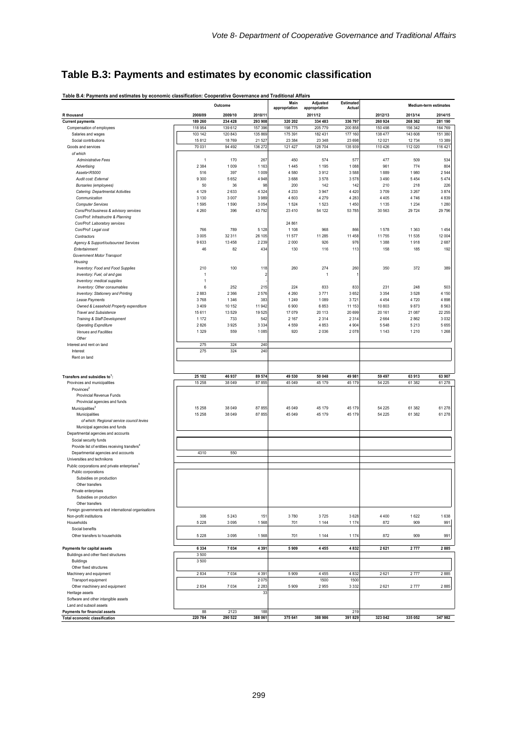# **Table B.3: Payments and estimates by economic classification**

|                                                                                                                                                         |                     | Outcome          |                    | Main<br>appropriation | Adjusted<br>appropriation | Estimated<br>Actual |                    |                  | Medium-term estimates |
|---------------------------------------------------------------------------------------------------------------------------------------------------------|---------------------|------------------|--------------------|-----------------------|---------------------------|---------------------|--------------------|------------------|-----------------------|
| R thousand                                                                                                                                              | 2008/09             | 2009/10          | 2010/11            |                       | 2011/12                   |                     | 2012/13            | 2013/14          | 2014/15               |
| <b>Current payments</b>                                                                                                                                 | 189 260             | 234 428          | 293 908            | 320 202               | 334 483                   | 336 797             | 260 924            | 268 362          | 281 190               |
| Compensation of employees                                                                                                                               | 118 954             | 139 612          | 157 396            | 198 775               | 205 779                   | 200 858             | 150 498            | 156 342          | 164 769               |
| Salaries and wages<br>Social contributions                                                                                                              | 103 142<br>15812    | 120 843<br>18769 | 135 869<br>21 5 27 | 175 391<br>23 3 8 4   | 182 431<br>23 348         | 177 160<br>23 698   | 138 477<br>12 0 21 | 143 608<br>12734 | 151 380<br>13 3 8 9   |
| Goods and services                                                                                                                                      | 70 031              | 94 4 92          | 136 272            | 121 427               | 128 704                   | 135 939             | 110 426            | 112 020          | 116 421               |
| of which                                                                                                                                                |                     |                  |                    |                       |                           |                     |                    |                  |                       |
| <b>Administrative Fees</b>                                                                                                                              | $\overline{1}$      | 170              | 267                | 450                   | 574                       | 577                 | 477                | 509              | 534                   |
| Advertising                                                                                                                                             | 2 3 8 4             | 1 0 0 9          | 1 1 6 3            | 1445                  | 1 1 9 5                   | 1 0 8 8             | 961                | 774              | 804                   |
| Assets <r5000< td=""><td>516</td><td>397</td><td>1 0 0 9</td><td>4580</td><td>3912</td><td>3588</td><td>1889</td><td>1980</td><td>2 5 4 4</td></r5000<> | 516                 | 397              | 1 0 0 9            | 4580                  | 3912                      | 3588                | 1889               | 1980             | 2 5 4 4               |
| Audit cost: External                                                                                                                                    | 9 3 0 0             | 5 6 5 2          | 4948               | 3688                  | 3578                      | 3578                | 3 4 9 0            | 5454             | 5474                  |
| <b>Bursaries (employees)</b>                                                                                                                            | 50                  | 36               | 98                 | 200                   | 142                       | 142                 | 210                | 218              | 226                   |
| Catering: Departmental Activities                                                                                                                       | 4 1 2 9             | 2633             | 4 3 2 4            | 4 2 3 3               | 3947                      | 4 4 2 0             | 3709               | 3 2 6 7          | 3874                  |
| Communication                                                                                                                                           | 3 1 3 0<br>1595     | 3 0 0 7<br>1590  | 3989               | 4 6 0 3               | 4 2 7 9                   | 4 2 8 3             | 4 4 0 5            | 4746<br>1 2 3 4  | 4839                  |
| <b>Computer Services</b><br>Cons/Prof:business & advisory services                                                                                      | 4 2 6 0             | 396              | 3 0 5 4<br>43792   | 1524<br>23 4 10       | 1523<br>54 122            | 1450<br>53 785      | 1 1 3 5<br>30 563  | 29724            | 1 2 8 0<br>29 7 96    |
| Con/Prof: Infrastructre & Planning                                                                                                                      |                     |                  |                    |                       |                           |                     |                    |                  |                       |
| Con/Prof: Laboratory services                                                                                                                           |                     |                  |                    | 24 861                |                           |                     |                    |                  |                       |
| Con/Prof: Legal cost                                                                                                                                    | 766                 | 789              | 5 1 2 8            | 1 1 0 8               | 968                       | 866                 | 1578               | 1 3 6 3          | 1454                  |
| Contractors                                                                                                                                             | 3 0 0 5             | 32 311           | 26 105             | 11 577                | 11 285                    | 11 458              | 11755              | 11 535           | 12 004                |
| Agency & Support/outsourced Services                                                                                                                    | 9633                | 13 4 58          | 2 2 3 9            | 2000                  | 926                       | 976                 | 1 3 8 8            | 1918             | 2687                  |
| Entertainment                                                                                                                                           | 46                  | 82               | 434                | 130                   | 116                       | 113                 | 158                | 185              | 192                   |
| Government Motor Transport                                                                                                                              |                     |                  |                    |                       |                           |                     |                    |                  |                       |
| Housing                                                                                                                                                 |                     |                  |                    |                       |                           |                     |                    |                  |                       |
| Inventory: Food and Food Supplies                                                                                                                       | 210                 | 100              | 118                | 260                   | 274                       | 260                 | 350                | 372              | 389                   |
| Inventory: Fuel, oil and gas                                                                                                                            | $\overline{1}$      |                  | $\overline{2}$     |                       | $\mathbf{1}$              |                     |                    |                  |                       |
| Inventory: medical supplies                                                                                                                             | $\overline{1}$<br>6 | 252              | 215                | 224                   | 833                       | 833                 | 231                | 248              | 503                   |
| Inventory: Other consumables<br>Inventory: Stationery and Printing                                                                                      | 2883                | 2 3 6 6          | 2576               | 4 2 6 0               | 3771                      | 3652                | 3 3 5 4            | 3528             | 4 150                 |
| Lease Payments                                                                                                                                          | 3768                | 1 3 4 6          | 383                | 1 2 4 9               | 1089                      | 3721                | 4 4 5 4            | 4720             | 4898                  |
| Owned & Leasehold Property expenditure                                                                                                                  | 3 4 0 9             | 10 152           | 11 942             | 6900                  | 6853                      | 11 153              | 10 803             | 9873             | 8 5 6 3               |
| <b>Travel and Subsistence</b>                                                                                                                           | 15 611              | 13529            | 19 5 25            | 17 079                | 20 113                    | 20 699              | 20 161             | 21 087           | 22 255                |
| Training & Staff Development                                                                                                                            | 1 1 7 2             | 733              | 542                | 2 1 6 7               | 2 3 1 4                   | 2 3 1 4             | 2664               | 2862             | 3032                  |
| <b>Operating Expnditure</b>                                                                                                                             | 2826                | 3925             | 3 3 3 4            | 4559                  | 4853                      | 4 9 0 4             | 5 5 4 8            | 5213             | 5655                  |
| Venues and Facilities                                                                                                                                   | 1 3 2 9             | 559              | 1085               | 920                   | 2036                      | 2078                | 1 1 4 3            | 1210             | 1 2 6 8               |
| Other                                                                                                                                                   |                     |                  |                    |                       |                           |                     |                    |                  |                       |
| Interest and rent on land                                                                                                                               | 275                 | 324              | 240                |                       |                           |                     |                    |                  |                       |
| Interest                                                                                                                                                | 275                 | 324              | 240                |                       |                           |                     |                    |                  |                       |
| Rent on land                                                                                                                                            |                     |                  |                    |                       |                           |                     |                    |                  |                       |
|                                                                                                                                                         |                     |                  |                    |                       |                           |                     |                    |                  |                       |
| Transfers and subsidies to':                                                                                                                            | 25 102              | 46 937           | 89 574             | 49 530                | 50 048                    | 49 981              | 59 497             | 63913            | 63 907                |
| Provinces and municipalities                                                                                                                            | 15 25 8             | 38 049           | 87855              | 45 049                | 45 179                    | 45 179              | 54 225             | 61 382           | 61 278                |
| Provinces <sup>2</sup>                                                                                                                                  |                     |                  |                    |                       |                           |                     |                    |                  |                       |
| Provincial Revenue Funds                                                                                                                                |                     |                  |                    |                       |                           |                     |                    |                  |                       |
| Provincial agencies and funds                                                                                                                           |                     |                  |                    |                       |                           |                     |                    |                  |                       |
| Municipalities <sup>3</sup>                                                                                                                             | 15 258              | 38 049           | 87855              | 45 049                | 45 179                    | 45 179              | 54 225             | 61 382           | 61 278                |
| Municipalities                                                                                                                                          | 15 258              | 38 049           | 87855              | 45 049                | 45 179                    | 45 179              | 54 225             | 61 382           | 61 278                |
| of which: Regional service council levies                                                                                                               |                     |                  |                    |                       |                           |                     |                    |                  |                       |
| Municipal agencies and funds                                                                                                                            |                     |                  |                    |                       |                           |                     |                    |                  |                       |
| Departmental agencies and accounts<br>Social security funds                                                                                             |                     |                  |                    |                       |                           |                     |                    |                  |                       |
| Provide list of entities receiving transfers <sup>4</sup>                                                                                               |                     |                  |                    |                       |                           |                     |                    |                  |                       |
| Departmental agencies and accounts                                                                                                                      | 4310                | 550              |                    |                       |                           |                     |                    |                  |                       |
| Universities and technikons                                                                                                                             |                     |                  |                    |                       |                           |                     |                    |                  |                       |
| Public corporations and private enterprises <sup>5</sup>                                                                                                |                     |                  |                    |                       |                           |                     |                    |                  |                       |
| Public corporations                                                                                                                                     |                     |                  |                    |                       |                           |                     |                    |                  |                       |
| Subsidies on production                                                                                                                                 |                     |                  |                    |                       |                           |                     |                    |                  |                       |
| Other transfers                                                                                                                                         |                     |                  |                    |                       |                           |                     |                    |                  |                       |
| Private enterprises                                                                                                                                     |                     |                  |                    |                       |                           |                     |                    |                  |                       |
| Subsidies on production                                                                                                                                 |                     |                  |                    |                       |                           |                     |                    |                  |                       |
| Other transfers                                                                                                                                         |                     |                  |                    |                       |                           |                     |                    |                  |                       |
| Foreign governments and international organisations<br>Non-profit institutions                                                                          | 306                 | 5 2 4 3          | 151                | 3780                  | 3725                      | 3628                | 4 4 0 0            | 1622             | 1638                  |
| Households                                                                                                                                              | 5 2 2 8             | 3 0 9 5          | 1568               | 701                   | 1 1 4 4                   | 1 1 7 4             | 872                | 909              | 991                   |
| Social benefits                                                                                                                                         |                     |                  |                    |                       |                           |                     |                    |                  |                       |
| Other transfers to households                                                                                                                           | 5 2 2 8             | 3 0 9 5          | 1568               | 701                   | 1 1 4 4                   | 1 1 7 4             | 872                | 909              | 991                   |
|                                                                                                                                                         |                     |                  |                    |                       |                           |                     |                    |                  |                       |
| Payments for capital assets                                                                                                                             | 6 3 3 4             | 7 0 3 4          | 4 3 9 1            | 5909                  | 4 4 5 5                   | 4832                | 2621               | 2777             | 2885                  |
| Buildings and other fixed structures                                                                                                                    | 3500                |                  |                    |                       |                           |                     |                    |                  |                       |
| <b>Buildings</b>                                                                                                                                        | 3 5 0 0             |                  |                    |                       |                           |                     |                    |                  |                       |
| Other fixed structures                                                                                                                                  |                     |                  |                    |                       |                           |                     |                    |                  |                       |
| Machinery and equipment                                                                                                                                 | 2834                | 7 0 3 4          | 4 3 9 1            | 5909                  | 4 4 5 5                   | 4832                | 2621               | 2777             | 2885                  |
| Transport equipment                                                                                                                                     |                     |                  | 2075               |                       | 1500                      | 1500                |                    |                  |                       |
| Other machinery and equipment<br>Heritage assets                                                                                                        | 2834                | 7 0 3 4          | 2 2 8 3<br>33      | 5909                  | 2955                      | 3 3 3 2             | 2621               | 2777             | 2885                  |
| Software and other intangible assets                                                                                                                    |                     |                  |                    |                       |                           |                     |                    |                  |                       |
| Land and subsoil assets                                                                                                                                 |                     |                  |                    |                       |                           |                     |                    |                  |                       |
| <b>Payments for financial assets</b>                                                                                                                    | 88                  | 2123             | 188                |                       |                           | 219                 |                    |                  |                       |
| <b>Total economic classification</b>                                                                                                                    | 220 784             | 290 522          | 388 061            | 375 641               | 388 986                   | 391 829             | 323 042            | 335 052          | 347982                |

**Table B.4: Payments and estimates by economic classification: Cooperative Governance and Traditional Affairs**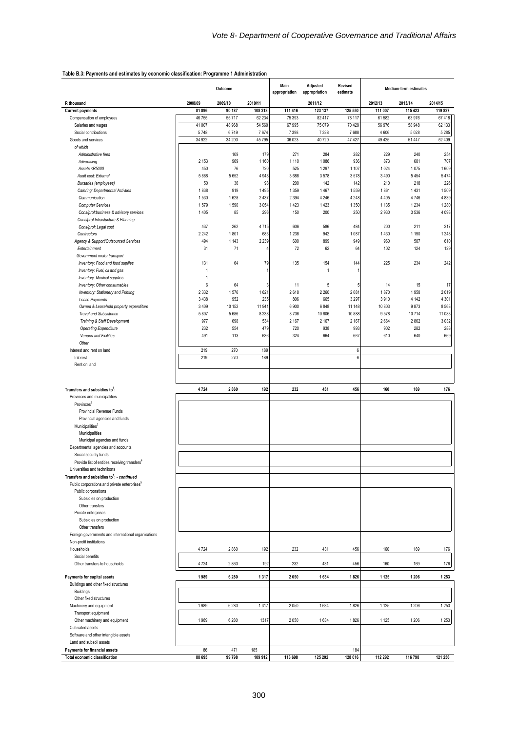#### **Table B.3: Payments and estimates by economic classification: Programme 1 Administration**

|                                                                                                                                                                                    | Outcome        |            |            | Main<br>Revised<br>Adjusted<br>appropriation<br>appropriation<br>estimate |             |                | Medium-term estimates |             |            |  |
|------------------------------------------------------------------------------------------------------------------------------------------------------------------------------------|----------------|------------|------------|---------------------------------------------------------------------------|-------------|----------------|-----------------------|-------------|------------|--|
| R thousand                                                                                                                                                                         | 2008/09        | 2009/10    | 2010/11    |                                                                           | 2011/12     |                | 2012/13               | 2013/14     | 2014/15    |  |
| <b>Current payments</b>                                                                                                                                                            | 81896          | 90 187     | 108 218    | 111 416                                                                   | 123 137     | 125 550        | 111 007               | 115 423     | 119 827    |  |
| Compensation of employees                                                                                                                                                          | 46755          | 55717      | 62 234     | 75 393                                                                    | 82 417      | 78 117         | 61 582                | 63 976      | 67418      |  |
| Salaries and wages                                                                                                                                                                 | 41 007         | 48 968     | 54 560     | 67 995                                                                    | 75 079      | 70 429         | 56 976                | 58 948      | 62 133     |  |
| Social contributions                                                                                                                                                               | 5748           | 6749       | 7674       | 7 3 9 8                                                                   | 7 3 3 8     | 7688           | 4 6 0 6               | 5 0 28      | 5 2 8 5    |  |
| Goods and services                                                                                                                                                                 | 34 922         | 34 200     | 45795      | 36 023                                                                    | 40 720      | 47 427         | 49 4 25               | 51 447      | 52 409     |  |
| of which<br>Administrative fees                                                                                                                                                    |                | 109        | 179        | 271                                                                       | 284         | 282            | 229                   | 240         | 254        |  |
| Advertising                                                                                                                                                                        | 2 1 5 3        | 969        | 1 1 6 0    | 1 1 1 0                                                                   | 1 0 8 6     | 936            | 873                   | 681         | 707        |  |
| Assets <r5000< td=""><td>450</td><td>76</td><td>720</td><td>525</td><td>1 2 9 7</td><td>1 1 0 7</td><td>1 0 2 4</td><td>1075</td><td>1609</td></r5000<>                            | 450            | 76         | 720        | 525                                                                       | 1 2 9 7     | 1 1 0 7        | 1 0 2 4               | 1075        | 1609       |  |
| Audit cost: External                                                                                                                                                               | 5888           | 5652       | 4948       | 3688                                                                      | 3578        | 3578           | 3 4 9 0               | 5 4 5 4     | 5474       |  |
| Bursaries (employees)                                                                                                                                                              | 50             | 36         | 98         | 200                                                                       | 142         | 142            | 210                   | 218         | 226        |  |
| Catering: Departmental Activties                                                                                                                                                   | 1838           | 919        | 1495       | 1 3 5 9                                                                   | 1467        | 1559           | 1861                  | 1431        | 1509       |  |
| Communication                                                                                                                                                                      | 1530           | 1628       | 2 4 3 7    | 2 3 9 4                                                                   | 4 2 4 6     | 4 2 4 8        | 4 4 0 5               | 4746        | 4839       |  |
| <b>Computer Services</b>                                                                                                                                                           | 1579           | 1590       | 3054       | 1 4 2 3                                                                   | 1423        | 1 3 5 0        | 1 1 3 5               | 1 2 3 4     | 1 2 8 0    |  |
| Cons/prof:business & advisory services                                                                                                                                             | 1405           | 85         | 296        | 150                                                                       | 200         | 250            | 2930                  | 3536        | 4 0 9 3    |  |
| Cons/prof:Infrastucture & Planning                                                                                                                                                 |                |            |            |                                                                           |             |                |                       |             |            |  |
| Cons/prof: Legal cost                                                                                                                                                              | 437            | 262        | 4715       | 606                                                                       | 586         | 484            | 200                   | 211         | 217        |  |
| Contractors                                                                                                                                                                        | 2 2 4 2        | 1801       | 683        | 1 2 3 8                                                                   | 942         | 1 0 8 7        | 1430                  | 1 1 9 0     | 1 2 4 8    |  |
| Agency & Support/Outsourced Services                                                                                                                                               | 494            | 1 1 4 3    | 2 2 3 9    | 600                                                                       | 899         | 949            | 960                   | 587         | 610        |  |
| Entertainment                                                                                                                                                                      | 31             | 71         | 4          | 72                                                                        | 62          | 64             | 102                   | 124         | 129        |  |
| Government motor transport                                                                                                                                                         |                |            |            |                                                                           |             |                |                       |             |            |  |
| Inventory: Food and food suplies                                                                                                                                                   | 131            | 64         | 79         | 135                                                                       | 154         | 144            | 225                   | 234         | 242        |  |
| Inventory: Fuel, oil and gas                                                                                                                                                       | $\overline{1}$ |            |            |                                                                           | 1           |                |                       |             |            |  |
| Inventory: Medical supplies                                                                                                                                                        | $\overline{1}$ |            |            |                                                                           |             |                |                       |             |            |  |
| Inventory: Other consumables                                                                                                                                                       | 6              | 64         | 3          | 11                                                                        | $\,$ 5 $\,$ | 5              | 14                    | 15          | 17         |  |
| Inventory: Stationery and Printing                                                                                                                                                 | 2 3 3 2        | 1576       | 1621       | 2618                                                                      | 2 2 6 0     | 2081           | 1870                  | 1958        | 2019       |  |
| Lease Payments                                                                                                                                                                     | 3 4 3 8        | 952        | 235        | 806                                                                       | 665         | 3 2 9 7        | 3910                  | 4 1 4 2     | 4 3 0 1    |  |
| Owned & Leasehold property expenditure                                                                                                                                             | 3409           | 10 152     | 11941      | 6 900                                                                     | 6848        | 11 148         | 10 803                | 9873        | 8563       |  |
| <b>Travel and Subsistence</b>                                                                                                                                                      | 5807           | 5686       | 8 2 3 8    | 8706                                                                      | 10 806      | 10888          | 9578                  | 10714       | 11 083     |  |
| Training & Staff Development                                                                                                                                                       | 977<br>232     | 698        | 534        | 2 1 6 7                                                                   | 2 1 6 7     | 2 1 6 7<br>993 | 2664                  | 2862<br>282 | 3032       |  |
| <b>Operating Expenditure</b><br>Venues and Ficilities                                                                                                                              | 491            | 554<br>113 | 479<br>636 | 720<br>324                                                                | 938<br>664  | 667            | 902<br>610            | 640         | 288<br>669 |  |
| Other                                                                                                                                                                              |                |            |            |                                                                           |             |                |                       |             |            |  |
| Interest and rent on land                                                                                                                                                          | 219            | 270        | 189        |                                                                           |             | 6              |                       |             |            |  |
| Interest                                                                                                                                                                           | 219            | 270        | 189        |                                                                           |             | 6              |                       |             |            |  |
| Rent on land                                                                                                                                                                       |                |            |            |                                                                           |             |                |                       |             |            |  |
| Transfers and subsidies to <sup>1</sup> :<br>Provinces and municipalities<br>Provinces<br>Provincial Revenue Funds<br>Provincial agencies and funds<br>Municipalities <sup>3</sup> | 4724           | 2860       | 192        | 232                                                                       | 431         | 456            | 160                   | 169         | 176        |  |
| Municipalities<br>Municipal agencies and funds                                                                                                                                     |                |            |            |                                                                           |             |                |                       |             |            |  |
| Departmental agencies and accounts                                                                                                                                                 |                |            |            |                                                                           |             |                |                       |             |            |  |
| Social security funds                                                                                                                                                              |                |            |            |                                                                           |             |                |                       |             |            |  |
| Provide list of entities receiving transfers <sup>4</sup>                                                                                                                          |                |            |            |                                                                           |             |                |                       |             |            |  |
| Universities and technikons                                                                                                                                                        |                |            |            |                                                                           |             |                |                       |             |            |  |
| Transfers and subsidies to <sup>1</sup> : - continued                                                                                                                              |                |            |            |                                                                           |             |                |                       |             |            |  |
| Public corporations and private enterprises <sup>5</sup>                                                                                                                           |                |            |            |                                                                           |             |                |                       |             |            |  |
| Public corporations                                                                                                                                                                |                |            |            |                                                                           |             |                |                       |             |            |  |
| Subsidies on production                                                                                                                                                            |                |            |            |                                                                           |             |                |                       |             |            |  |
| Other transfers                                                                                                                                                                    |                |            |            |                                                                           |             |                |                       |             |            |  |
| Private enterprises                                                                                                                                                                |                |            |            |                                                                           |             |                |                       |             |            |  |
| Subsidies on production                                                                                                                                                            |                |            |            |                                                                           |             |                |                       |             |            |  |
| Other transfers                                                                                                                                                                    |                |            |            |                                                                           |             |                |                       |             |            |  |
| Foreign governments and international organisations                                                                                                                                |                |            |            |                                                                           |             |                |                       |             |            |  |
| Non-profit institutions                                                                                                                                                            |                |            |            |                                                                           |             |                |                       |             |            |  |
| Households                                                                                                                                                                         | 4724           | 2860       | 192        | 232                                                                       | 431         | 456            | 160                   | 169         | 176        |  |
| Social benefits                                                                                                                                                                    |                |            |            |                                                                           |             |                |                       |             |            |  |
| Other transfers to households                                                                                                                                                      | 4724           | 2860       | 192        | 232                                                                       | 431         | 456            | 160                   | 169         | 176        |  |
| Payments for capital assets                                                                                                                                                        | 1989           | 6 2 8 0    | 1317       | 2050                                                                      | 1 634       | 1826           | 1 1 2 5               | 1 2 0 6     | 1 2 5 3    |  |
| Buildings and other fixed structures                                                                                                                                               |                |            |            |                                                                           |             |                |                       |             |            |  |
| <b>Buildings</b>                                                                                                                                                                   |                |            |            |                                                                           |             |                |                       |             |            |  |
| Other fixed structures                                                                                                                                                             |                |            |            |                                                                           |             |                |                       |             |            |  |
| Machinery and equipment                                                                                                                                                            | 1989           | 6 2 8 0    | 1317       | 2050                                                                      | 1634        | 1826           | 1 1 2 5               | 1 2 0 6     | 1253       |  |
| Transport equipment                                                                                                                                                                |                |            |            |                                                                           |             |                |                       |             |            |  |
| Other machinery and equipment                                                                                                                                                      | 1989           | 6 2 8 0    | 1317       | 2050                                                                      | 1 6 3 4     | 1826           | 1 1 2 5               | 1 2 0 6     | 1253       |  |
| Cultivated assets                                                                                                                                                                  |                |            |            |                                                                           |             |                |                       |             |            |  |
| Software and other intangible assets                                                                                                                                               |                |            |            |                                                                           |             |                |                       |             |            |  |
| Land and subsoil assets                                                                                                                                                            |                |            |            |                                                                           |             |                |                       |             |            |  |
| Payments for financial assets                                                                                                                                                      | 86             | 471        | 185        |                                                                           |             | 184            |                       |             |            |  |
| Total economic classification                                                                                                                                                      | 88 695         | 99798      | 109 912    | 113 698                                                                   | 125 202     | 128 016        | 112 292               | 116 798     | 121 256    |  |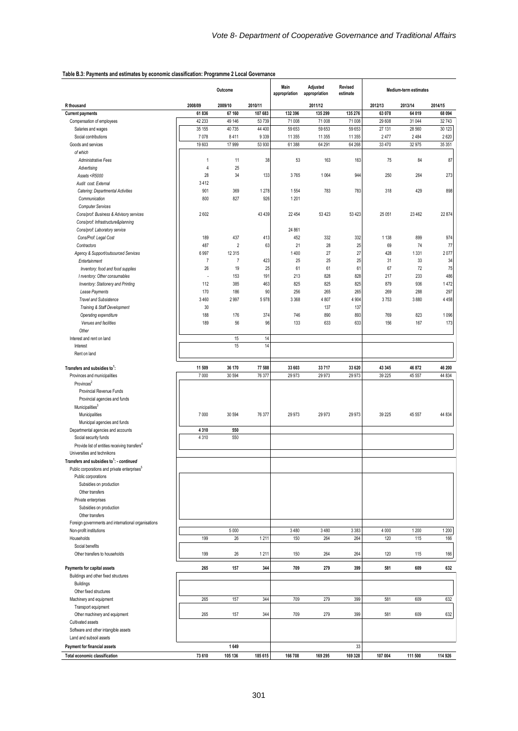#### **Table B.3: Payments and estimates by economic classification: Programme 2 Local Governance**

|                                                                                                                                            | Outcome        |                | Main<br>Adjusted<br>appropriation<br>appropriation |         | Revised<br>estimate | Medium-term estimates |         |         |         |
|--------------------------------------------------------------------------------------------------------------------------------------------|----------------|----------------|----------------------------------------------------|---------|---------------------|-----------------------|---------|---------|---------|
| R thousand                                                                                                                                 | 2008/09        | 2009/10        | 2010/11                                            |         | 2011/12             |                       | 2012/13 | 2013/14 | 2014/15 |
| <b>Current payments</b>                                                                                                                    | 61836          | 67 160         | 107 683                                            | 132 396 | 135 299             | 135 276               | 63 078  | 64 0 19 | 68 094  |
| Compensation of employees                                                                                                                  | 42 233         | 49 146         | 53 739                                             | 71 008  | 71 008              | 71 008                | 29 608  | 31 044  | 32743   |
| Salaries and wages                                                                                                                         | 35 155         | 40735          | 44 400                                             | 59 653  | 59 653              | 59 653                | 27 131  | 28 560  | 30 123  |
| Social contributions                                                                                                                       | 7078           | 8411           | 9 3 3 9                                            | 11 355  | 11 355              | 11 355                | 2477    | 2484    | 2620    |
| Goods and services<br>of which                                                                                                             | 19603          | 17 999         | 53 930                                             | 61 388  | 64 291              | 64 268                | 33 470  | 32975   | 35 35 1 |
| Administrative Fees                                                                                                                        | $\overline{1}$ | 11             | 38                                                 | 53      | 163                 | 163                   | 75      | 84      | 87      |
| Advertising                                                                                                                                | $\overline{4}$ | 25             |                                                    |         |                     |                       |         |         |         |
| Assets <r5000< td=""><td>28</td><td>34</td><td>133</td><td>3765</td><td>1064</td><td>944</td><td>250</td><td>264</td><td>273</td></r5000<> | 28             | 34             | 133                                                | 3765    | 1064                | 944                   | 250     | 264     | 273     |
| Audit cost: External                                                                                                                       | 3412           |                |                                                    |         |                     |                       |         |         |         |
| Catering: Departmental Activities                                                                                                          | 901            | 369            | 1 2 7 8                                            | 1554    | 783                 | 783                   | 318     | 429     | 898     |
| Communication                                                                                                                              | 800            | 827            | 926                                                | 1 2 0 1 |                     |                       |         |         |         |
| <b>Computer Services</b>                                                                                                                   |                |                |                                                    |         |                     |                       |         |         |         |
| Cons/prof: Business & Advisory services<br>Cons/prof: Infrastructure&planning                                                              | 2602           |                | 43 4 39                                            | 22 4 54 | 53 4 23             | 53 4 23               | 25 051  | 23 4 62 | 22 874  |
| Cons/prof: Laboratory service                                                                                                              |                |                |                                                    | 24 861  |                     |                       |         |         |         |
| Cons/Prof: Legal Cost                                                                                                                      | 189            | 437            | 413                                                | 452     | 332                 | 332                   | 1 1 3 8 | 899     | 974     |
| Contractors                                                                                                                                | 487            | $\overline{2}$ | 63                                                 | 21      | 28                  | 25                    | 69      | 74      | 77      |
| Agency & Support/outsourced Services                                                                                                       | 6997           | 12 3 15        |                                                    | 1400    | 27                  | 27                    | 428     | 1331    | 2077    |
| Entertainment                                                                                                                              | $\overline{7}$ | $\overline{7}$ | 423                                                | 25      | 25                  | 25                    | 31      | 33      | 34      |
| Inventory: food and food supplies                                                                                                          | 26             | 19             | 25                                                 | 61      | 61                  | 61                    | 67      | 72      | 75      |
| I nventory: Other consumables                                                                                                              |                | 153            | 191                                                | 213     | 828                 | 828                   | 217     | 233     | 486     |
| Inventory: Stationery and Printing                                                                                                         | 112            | 385            | 463                                                | 825     | 825                 | 825                   | 879     | 936     | 1472    |
| Lease Payments                                                                                                                             | 170            | 186            | 90                                                 | 256     | 265                 | 265                   | 269     | 288     | 297     |
| Travel and Subsistence                                                                                                                     | 3 4 6 0<br>30  | 2997           | 5978                                               | 3 3 6 8 | 4807                | 4 9 0 4               | 3753    | 3880    | 4 4 5 8 |
| Training & Staff Development<br>Operating expenditure                                                                                      | 188            | 176            | 374                                                | 746     | 137<br>890          | 137<br>893            | 769     | 823     | 1 0 9 6 |
| Venues and facilities                                                                                                                      | 189            | 56             | 96                                                 | 133     | 633                 | 633                   | 156     | 167     | 173     |
| Other                                                                                                                                      |                |                |                                                    |         |                     |                       |         |         |         |
| Interest and rent on land                                                                                                                  |                | 15             | 14                                                 |         |                     |                       |         |         |         |
| Interest                                                                                                                                   |                | 15             | 14                                                 |         |                     |                       |         |         |         |
| Rent on land                                                                                                                               |                |                |                                                    |         |                     |                       |         |         |         |
|                                                                                                                                            |                |                |                                                    |         |                     |                       |         |         |         |
| Transfers and subsidies to <sup>1</sup> :                                                                                                  | 11 509         | 36 170         | 77 588                                             | 33 603  | 33 717              | 33 620                | 43 345  | 46 872  | 46 200  |
| Provinces and municipalities                                                                                                               | 7000           | 30 594         | 76 377                                             | 29 973  | 29 973              | 29 973                | 39 225  | 45 557  | 44 834  |
| Provinces <sup>2</sup>                                                                                                                     |                |                |                                                    |         |                     |                       |         |         |         |
| Provincial Revenue Funds                                                                                                                   |                |                |                                                    |         |                     |                       |         |         |         |
| Provincial agencies and funds<br>Municipalities <sup>3</sup>                                                                               |                |                |                                                    |         |                     |                       |         |         |         |
| Municipalities                                                                                                                             | 7000           | 30 594         | 76 377                                             | 29 973  | 29 973              | 29 973                | 39 225  | 45 557  | 44 834  |
| Municipal agencies and funds                                                                                                               |                |                |                                                    |         |                     |                       |         |         |         |
| Departmental agencies and accounts                                                                                                         | 4310           | 550            |                                                    |         |                     |                       |         |         |         |
| Social security funds                                                                                                                      | 4310           | 550            |                                                    |         |                     |                       |         |         |         |
| Provide list of entities receiving transfers <sup>4</sup>                                                                                  |                |                |                                                    |         |                     |                       |         |         |         |
| Universities and technikons                                                                                                                |                |                |                                                    |         |                     |                       |         |         |         |
| Transfers and subsidies to <sup>1</sup> : - continued                                                                                      |                |                |                                                    |         |                     |                       |         |         |         |
| Public corporations and private enterprises <sup>5</sup>                                                                                   |                |                |                                                    |         |                     |                       |         |         |         |
| Public corporations                                                                                                                        |                |                |                                                    |         |                     |                       |         |         |         |
| Subsidies on production                                                                                                                    |                |                |                                                    |         |                     |                       |         |         |         |
| Other transfers<br>Private enterprises                                                                                                     |                |                |                                                    |         |                     |                       |         |         |         |
| Subsidies on production                                                                                                                    |                |                |                                                    |         |                     |                       |         |         |         |
| Other transfers                                                                                                                            |                |                |                                                    |         |                     |                       |         |         |         |
| Foreign governments and international organisations                                                                                        |                |                |                                                    |         |                     |                       |         |         |         |
| Non-profit institutions                                                                                                                    |                | 5 0 0 0        |                                                    | 3 4 8 0 | 3 4 8 0             | 3 3 8 3               | 4 0 0 0 | 1 200   | 1 200   |
| Households                                                                                                                                 | 199            | 26             | 1211                                               | 150     | 264                 | 264                   | 120     | 115     | 166     |
| Social benefits                                                                                                                            |                |                |                                                    |         |                     |                       |         |         |         |
| Other transfers to households                                                                                                              | 199            | 26             | 1211                                               | 150     | 264                 | 264                   | 120     | 115     | 166     |
| Payments for capital assets                                                                                                                | 265            | 157            | 344                                                | 709     | 279                 | 399                   | 581     | 609     | 632     |
| Buildings and other fixed structures                                                                                                       |                |                |                                                    |         |                     |                       |         |         |         |
| <b>Buildings</b>                                                                                                                           |                |                |                                                    |         |                     |                       |         |         |         |
| Other fixed structures                                                                                                                     |                |                |                                                    |         |                     |                       |         |         |         |
| Machinery and equipment                                                                                                                    | 265            | 157            | 344                                                | 709     | 279                 | 399                   | 581     | 609     | 632     |
| Transport equipment                                                                                                                        |                |                |                                                    |         |                     |                       |         |         |         |
| Other machinery and equipment                                                                                                              | 265            | 157            | 344                                                | 709     | 279                 | 399                   | 581     | 609     | 632     |
| Cultivated assets                                                                                                                          |                |                |                                                    |         |                     |                       |         |         |         |
| Software and other intangible assets                                                                                                       |                |                |                                                    |         |                     |                       |         |         |         |
| Land and subsoil assets                                                                                                                    |                |                |                                                    |         |                     |                       |         |         |         |
| Payment for financial assets                                                                                                               |                | 1649           |                                                    |         |                     | 33                    |         |         |         |
| <b>Total economic classification</b>                                                                                                       | 73 610         | 105 136        | 185 615                                            | 166 708 | 169 295             | 169 328               | 107 004 | 111 500 | 114 926 |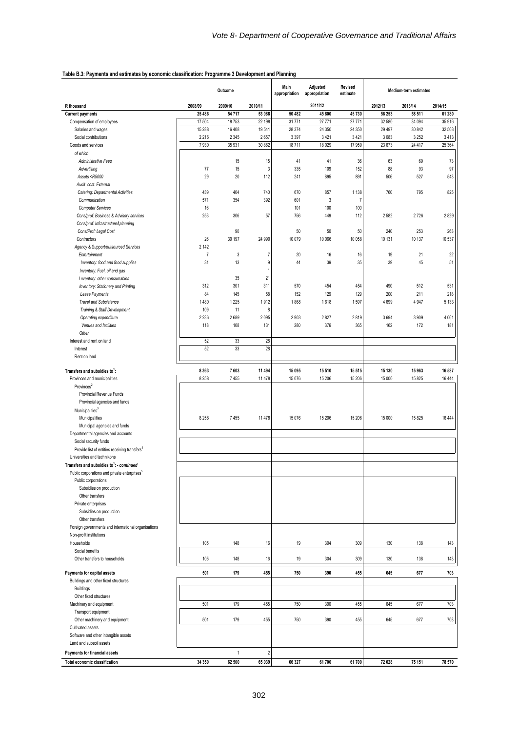#### **Table B.3: Payments and estimates by economic classification: Programme 3 Development and Planning**

|                                                                                                                                          | Outcome        |               |                | Main<br>appropriation | Adjusted<br>appropriation | Revised<br>estimate | Medium-term estimates |         |                |  |
|------------------------------------------------------------------------------------------------------------------------------------------|----------------|---------------|----------------|-----------------------|---------------------------|---------------------|-----------------------|---------|----------------|--|
| R thousand                                                                                                                               | 2008/09        | 2009/10       | 2010/11        |                       | 2011/12                   |                     | 2012/13               | 2013/14 | 2014/15        |  |
| <b>Current payments</b>                                                                                                                  | 25 4 86        | 54717         | 53 088         | 50 482                | 45 800                    | 45730               | 56 253                | 58 511  | 61 280         |  |
| Compensation of employees                                                                                                                | 17 504         | 18753         | 22 198         | 31 771                | 27 771                    | 27 771              | 32 580                | 34 094  | 35 916         |  |
| Salaries and wages                                                                                                                       | 15 288         | 16 40 8       | 19541          | 28 374                | 24 350                    | 24 350              | 29 4 9 7              | 30 842  | 32 503         |  |
| Social contributions                                                                                                                     | 2 2 1 6        | 2 3 4 5       | 2657           | 3 3 9 7               | 3 4 21                    | 3 4 21              | 3083                  | 3 2 5 2 | 3413           |  |
| Goods and services                                                                                                                       | 7930           | 35 931        | 30 862         | 18711                 | 18 0 29                   | 17 959              | 23 673                | 24 4 17 | 25 364         |  |
| of which<br>Administrative Fees                                                                                                          |                | 15            | 15             | 41                    | 41                        | 36                  | 63                    | 69      | 73             |  |
| Advertising                                                                                                                              | 77             | 15            | 3              | 335                   | 109                       | 152                 | 88                    | 93      | 97             |  |
| Assets <r5000< td=""><td>29</td><td>20</td><td>112</td><td>241</td><td>895</td><td>891</td><td>506</td><td>527</td><td>543</td></r5000<> | 29             | 20            | 112            | 241                   | 895                       | 891                 | 506                   | 527     | 543            |  |
| Audit cost: External                                                                                                                     |                |               |                |                       |                           |                     |                       |         |                |  |
| Catering: Departmental Activities                                                                                                        | 439            | 404           | 740            | 670                   | 857                       | 1 1 3 8             | 760                   | 795     | 825            |  |
| Communication                                                                                                                            | 571            | 354           | 392            | 601                   | $\mathbf{3}$              | $\overline{7}$      |                       |         |                |  |
| <b>Computer Services</b>                                                                                                                 | 16             |               |                | 101                   | 100                       | 100                 |                       |         |                |  |
| Cons/prof: Business & Advisory services                                                                                                  | 253            | 306           | 57             | 756                   | 449                       | 112                 | 2582                  | 2726    | 2829           |  |
| Cons/prof: Infrastructure&planning                                                                                                       |                |               |                |                       |                           |                     |                       |         |                |  |
| Cons/Prof: Legal Cost                                                                                                                    |                | 90            |                | 50                    | 50                        | 50                  | 240                   | 253     | 263            |  |
| Contractors                                                                                                                              | 26             | 30 197        | 24 990         | 10 0 79               | 10 066                    | 10 058              | 10 131                | 10 137  | 10 537         |  |
| Agency & Support/outsourced Services                                                                                                     | 2 1 4 2        |               |                |                       |                           |                     |                       |         |                |  |
| Entertainment                                                                                                                            | $\overline{7}$ | 3             | $\overline{7}$ | 20                    | 16                        | 16                  | 19                    | 21      | 22             |  |
| Inventory: food and food supplies                                                                                                        | 31             | 13            | 9              | 44                    | 39                        | 35                  | 39                    | 45      | 51             |  |
| Inventory: Fuel, oil and gas                                                                                                             |                |               | $\overline{1}$ |                       |                           |                     |                       |         |                |  |
| I nventory: other consumables                                                                                                            |                | 35            | 21             |                       |                           |                     |                       |         |                |  |
| Inventory: Stationery and Printing                                                                                                       | 312            | 301           | 311            | 570                   | 454                       | 454                 | 490                   | 512     | 531            |  |
| Lease Payments                                                                                                                           | 84             | 145           | 58             | 152                   | 129                       | 129                 | 200                   | 211     | 218            |  |
| <b>Travel and Subsistence</b>                                                                                                            | 1480           | 1 2 2 5<br>11 | 1912<br>8      | 1868                  | 1618                      | 1597                | 4699                  | 4 9 4 7 | 5 1 3 3        |  |
| Training & Staff Development<br>Operating expenditure                                                                                    | 109<br>2 2 3 6 | 2689          | 2095           |                       | 2827                      | 2819                | 3694                  | 3909    |                |  |
| Venues and facilities                                                                                                                    | 118            | 108           | 131            | 2903<br>280           | 376                       | 365                 | 162                   | 172     | 4 0 6 1<br>181 |  |
| Other                                                                                                                                    |                |               |                |                       |                           |                     |                       |         |                |  |
| Interest and rent on land                                                                                                                | 52             | 33            | 28             |                       |                           |                     |                       |         |                |  |
| Interest                                                                                                                                 | 52             | 33            | 28             |                       |                           |                     |                       |         |                |  |
| Rent on land                                                                                                                             |                |               |                |                       |                           |                     |                       |         |                |  |
|                                                                                                                                          |                |               |                |                       |                           |                     |                       |         |                |  |
| Transfers and subsidies to <sup>1</sup> :                                                                                                | 8 3 6 3        | 7603          | 11 494         | 15 095                | 15 510                    | 15 5 15             | 15 130                | 15963   | 16 587         |  |
| Provinces and municipalities                                                                                                             | 8 2 5 8        | 7455          | 11 478         | 15 0 76               | 15 206                    | 15 20 6             | 15 000                | 15 8 25 | 16 444         |  |
| Provinces <sup>2</sup>                                                                                                                   |                |               |                |                       |                           |                     |                       |         |                |  |
| Provincial Revenue Funds                                                                                                                 |                |               |                |                       |                           |                     |                       |         |                |  |
| Provincial agencies and funds                                                                                                            |                |               |                |                       |                           |                     |                       |         |                |  |
| Municipalities <sup>3</sup>                                                                                                              |                |               |                |                       |                           |                     |                       |         |                |  |
| Municipalities                                                                                                                           | 8 2 5 8        | 7455          | 11478          | 15 0 76               | 15 206                    | 15 206              | 15 000                | 15 8 25 | 16 444         |  |
| Municipal agencies and funds                                                                                                             |                |               |                |                       |                           |                     |                       |         |                |  |
| Departmental agencies and accounts                                                                                                       |                |               |                |                       |                           |                     |                       |         |                |  |
| Social security funds                                                                                                                    |                |               |                |                       |                           |                     |                       |         |                |  |
| Provide list of entities receiving transfers <sup>4</sup><br>Universities and technikons                                                 |                |               |                |                       |                           |                     |                       |         |                |  |
| Transfers and subsidies to <sup>1</sup> : - continued                                                                                    |                |               |                |                       |                           |                     |                       |         |                |  |
| Public corporations and private enterprises <sup>5</sup>                                                                                 |                |               |                |                       |                           |                     |                       |         |                |  |
| Public corporations                                                                                                                      |                |               |                |                       |                           |                     |                       |         |                |  |
| Subsidies on production                                                                                                                  |                |               |                |                       |                           |                     |                       |         |                |  |
| Other transfers                                                                                                                          |                |               |                |                       |                           |                     |                       |         |                |  |
| Private enterprises                                                                                                                      |                |               |                |                       |                           |                     |                       |         |                |  |
| Subsidies on production                                                                                                                  |                |               |                |                       |                           |                     |                       |         |                |  |
| Other transfers                                                                                                                          |                |               |                |                       |                           |                     |                       |         |                |  |
| Foreign governments and international organisations                                                                                      |                |               |                |                       |                           |                     |                       |         |                |  |
| Non-profit institutions                                                                                                                  |                |               |                |                       |                           |                     |                       |         |                |  |
| Households                                                                                                                               | 105            | 148           | 16             | 19                    | 304                       | 309                 | 130                   | 138     | 143            |  |
| Social benefits                                                                                                                          |                |               |                |                       |                           |                     |                       |         |                |  |
| Other transfers to households                                                                                                            | 105            | 148           | 16             | 19                    | 304                       | 309                 | 130                   | 138     | 143            |  |
| Payments for capital assets                                                                                                              | 501            | 179           | 455            | 750                   | 390                       | 455                 | 645                   | 677     | 703            |  |
| Buildings and other fixed structures                                                                                                     |                |               |                |                       |                           |                     |                       |         |                |  |
| <b>Buildings</b>                                                                                                                         |                |               |                |                       |                           |                     |                       |         |                |  |
| Other fixed structures                                                                                                                   |                |               |                |                       |                           |                     |                       |         |                |  |
| Machinery and equipment                                                                                                                  | 501            | 179           | 455            | 750                   | 390                       | 455                 | 645                   | 677     | 703            |  |
| Transport equipment                                                                                                                      |                |               |                |                       |                           |                     |                       |         |                |  |
| Other machinery and equipment                                                                                                            | 501            | 179           | 455            | 750                   | 390                       | 455                 | 645                   | 677     | 703            |  |
| Cultivated assets                                                                                                                        |                |               |                |                       |                           |                     |                       |         |                |  |
| Software and other intangible assets                                                                                                     |                |               |                |                       |                           |                     |                       |         |                |  |
| Land and subsoil assets                                                                                                                  |                |               |                |                       |                           |                     |                       |         |                |  |
| Payments for financial assets                                                                                                            |                | $\mathbf{1}$  | $\sqrt{2}$     |                       |                           |                     |                       |         |                |  |
| Total economic classification                                                                                                            | 34 350         | 62 500        | 65 039         | 66 327                | 61700                     | 61700               | 72 028                | 75 151  | 78 570         |  |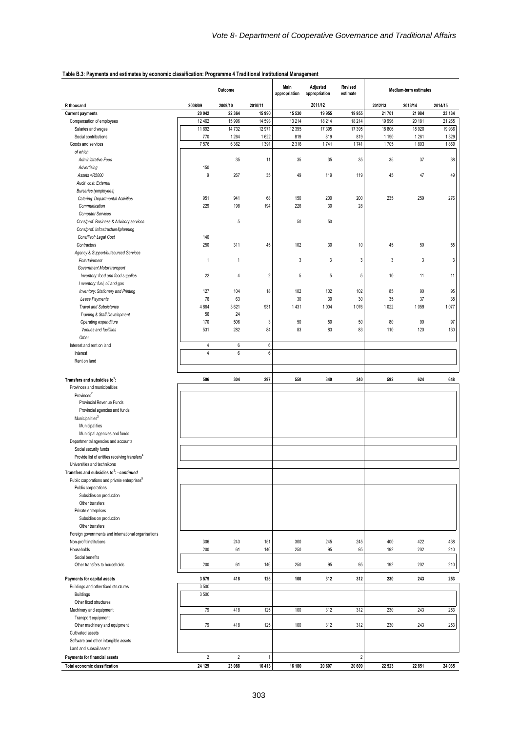#### **Table B.3: Payments and estimates by economic classification: Programme 4 Traditional Institutional Management**

|                                                                                                                                     | Outcome     |                    |                    | Main<br>Adjusted<br>Revised<br>appropriation<br>appropriation<br>estimate |             |                | Medium-term estimates |                 |              |  |
|-------------------------------------------------------------------------------------------------------------------------------------|-------------|--------------------|--------------------|---------------------------------------------------------------------------|-------------|----------------|-----------------------|-----------------|--------------|--|
| R thousand                                                                                                                          | 2008/09     | 2009/10            | 2010/11            |                                                                           | 2011/12     |                | 2012/13               | 2013/14         | 2014/15      |  |
| <b>Current payments</b>                                                                                                             | 20 042      | 22 3 64            | 15 990             | 15 530                                                                    | 19 955      | 19 955         | 21 701                | 21 984          | 23 134       |  |
| Compensation of employees                                                                                                           | 12 4 62     | 15 996             | 14 5 93            | 13 214                                                                    | 18 214      | 18 2 14        | 19 996                | 20 181          | 21 265       |  |
| Salaries and wages                                                                                                                  | 11 692      | 14 732             | 12 971             | 12 3 95                                                                   | 17 395      | 17 395         | 18 806                | 18 9 20         | 19 9 36      |  |
| Social contributions<br>Goods and services                                                                                          | 770<br>7576 | 1 2 6 4<br>6 3 6 2 | 1622<br>1391       | 819<br>2316                                                               | 819<br>1741 | 819<br>1741    | 1 1 9 0<br>1705       | 1 2 6 1<br>1803 | 1329<br>1869 |  |
| of which                                                                                                                            |             |                    |                    |                                                                           |             |                |                       |                 |              |  |
| Administrative Fees                                                                                                                 |             | 35                 | 11                 | 35                                                                        | 35          | 35             | 35                    | 37              | 38           |  |
| Advertising                                                                                                                         | 150         |                    |                    |                                                                           |             |                |                       |                 |              |  |
| Assets <r5000< td=""><td>9</td><td>267</td><td>35</td><td>49</td><td>119</td><td>119</td><td>45</td><td>47</td><td>49</td></r5000<> | 9           | 267                | 35                 | 49                                                                        | 119         | 119            | 45                    | 47              | 49           |  |
| Audit cost: External                                                                                                                |             |                    |                    |                                                                           |             |                |                       |                 |              |  |
| Bursaries (employees)                                                                                                               |             |                    |                    |                                                                           |             |                |                       |                 |              |  |
| Catering: Departmental Activities                                                                                                   | 951         | 941                | 68                 | 150                                                                       | 200         | 200            | 235                   | 259             | 276          |  |
| Communication                                                                                                                       | 229         | 198                | 194                | 226                                                                       | 30          | 28             |                       |                 |              |  |
| <b>Computer Services</b>                                                                                                            |             |                    |                    |                                                                           |             |                |                       |                 |              |  |
| Cons/prof: Business & Advisory services                                                                                             |             | 5                  |                    | 50                                                                        | 50          |                |                       |                 |              |  |
| Cons/prof: Infrastructure&planning<br>Cons/Prof: Legal Cost                                                                         | 140         |                    |                    |                                                                           |             |                |                       |                 |              |  |
| Contractors                                                                                                                         | 250         | 311                | 45                 | 102                                                                       | 30          | 10             | 45                    | 50              | 55           |  |
| Agency & Support/outsourced Services                                                                                                |             |                    |                    |                                                                           |             |                |                       |                 |              |  |
| Entertainment                                                                                                                       | 1           | $\mathbf{1}$       |                    | 3                                                                         | 3           | $\mathbf{3}$   | 3                     | 3               | 3            |  |
| Government Motor transport                                                                                                          |             |                    |                    |                                                                           |             |                |                       |                 |              |  |
| Inventory: food and food supplies                                                                                                   | 22          | 4                  | $\overline{2}$     | 5                                                                         | 5           | 5              | $10$                  | 11              | 11           |  |
| I nventory: fuel, oil and gas                                                                                                       |             |                    |                    |                                                                           |             |                |                       |                 |              |  |
| Inventory: Stationery and Printing                                                                                                  | 127         | 104                | 18                 | 102                                                                       | 102         | 102            | 85                    | 90              | 95           |  |
| Lease Payments                                                                                                                      | 76          | 63                 |                    | 30                                                                        | 30          | 30             | 35                    | 37              | 38           |  |
| Travel and Subsistence                                                                                                              | 4 8 6 4     | 3621               | 931                | 1431                                                                      | 1 0 0 4     | 1076           | 1 0 2 2               | 1059            | 1077         |  |
| Training & Staff Development                                                                                                        | 56          | 24                 |                    |                                                                           |             |                |                       |                 |              |  |
| Operating expenditure                                                                                                               | 170         | 506                | 3                  | 50                                                                        | 50          | 50             | 80                    | 90              | 97           |  |
| Venues and facilities                                                                                                               | 531         | 282                | 84                 | 83                                                                        | 83          | 83             | 110                   | 120             | 130          |  |
| Other                                                                                                                               |             |                    |                    |                                                                           |             |                |                       |                 |              |  |
| Interest and rent on land<br>Interest                                                                                               | 4<br>4      | 6<br>6             | $\,6\,$<br>$\,6\,$ |                                                                           |             |                |                       |                 |              |  |
| Rent on land                                                                                                                        |             |                    |                    |                                                                           |             |                |                       |                 |              |  |
|                                                                                                                                     |             |                    |                    |                                                                           |             |                |                       |                 |              |  |
| Transfers and subsidies to <sup>1</sup> :                                                                                           | 506         | 304                | 297                | 550                                                                       | 340         | 340            | 592                   | 624             | 648          |  |
| Provinces and municipalities                                                                                                        |             |                    |                    |                                                                           |             |                |                       |                 |              |  |
| Provinces <sup>2</sup>                                                                                                              |             |                    |                    |                                                                           |             |                |                       |                 |              |  |
| Provincial Revenue Funds                                                                                                            |             |                    |                    |                                                                           |             |                |                       |                 |              |  |
| Provincial agencies and funds                                                                                                       |             |                    |                    |                                                                           |             |                |                       |                 |              |  |
| Municipalities <sup>3</sup>                                                                                                         |             |                    |                    |                                                                           |             |                |                       |                 |              |  |
| Municipalities                                                                                                                      |             |                    |                    |                                                                           |             |                |                       |                 |              |  |
| Municipal agencies and funds                                                                                                        |             |                    |                    |                                                                           |             |                |                       |                 |              |  |
| Departmental agencies and accounts                                                                                                  |             |                    |                    |                                                                           |             |                |                       |                 |              |  |
| Social security funds                                                                                                               |             |                    |                    |                                                                           |             |                |                       |                 |              |  |
| Provide list of entities receiving transfers <sup>4</sup>                                                                           |             |                    |                    |                                                                           |             |                |                       |                 |              |  |
| Universities and technikons                                                                                                         |             |                    |                    |                                                                           |             |                |                       |                 |              |  |
| Transfers and subsidies to': - <i>continued</i><br>Public corporations and private enterprises <sup>5</sup>                         |             |                    |                    |                                                                           |             |                |                       |                 |              |  |
| Public corporations                                                                                                                 |             |                    |                    |                                                                           |             |                |                       |                 |              |  |
| Subsidies on production                                                                                                             |             |                    |                    |                                                                           |             |                |                       |                 |              |  |
| Other transfers                                                                                                                     |             |                    |                    |                                                                           |             |                |                       |                 |              |  |
| Private enterprises                                                                                                                 |             |                    |                    |                                                                           |             |                |                       |                 |              |  |
| Subsidies on production                                                                                                             |             |                    |                    |                                                                           |             |                |                       |                 |              |  |
| Other transfers                                                                                                                     |             |                    |                    |                                                                           |             |                |                       |                 |              |  |
| Foreign governments and international organisations                                                                                 |             |                    |                    |                                                                           |             |                |                       |                 |              |  |
| Non-profit institutions                                                                                                             | 306         | 243                | 151                | 300                                                                       | 245         | 245            | 400                   | 422             | 438          |  |
| Households                                                                                                                          | 200         | 61                 | 146                | 250                                                                       | 95          | 95             | 192                   | 202             | 210          |  |
| Social benefits                                                                                                                     |             |                    |                    |                                                                           |             |                |                       |                 |              |  |
| Other transfers to households                                                                                                       | 200         | 61                 | 146                | 250                                                                       | 95          | 95             | 192                   | 202             | 210          |  |
| Payments for capital assets                                                                                                         | 3579        | 418                | 125                | 100                                                                       | 312         | 312            | 230                   | 243             | 253          |  |
| Buildings and other fixed structures                                                                                                | 3500        |                    |                    |                                                                           |             |                |                       |                 |              |  |
| <b>Buildings</b>                                                                                                                    | 3500        |                    |                    |                                                                           |             |                |                       |                 |              |  |
| Other fixed structures                                                                                                              |             |                    |                    |                                                                           |             |                |                       |                 |              |  |
| Machinery and equipment                                                                                                             | 79          | 418                | 125                | 100                                                                       | 312         | 312            | 230                   | 243             | 253          |  |
| Transport equipment                                                                                                                 |             |                    |                    |                                                                           |             |                |                       |                 |              |  |
| Other machinery and equipment                                                                                                       | 79          | 418                | 125                | 100                                                                       | 312         | 312            | 230                   | 243             | 253          |  |
| Cultivated assets                                                                                                                   |             |                    |                    |                                                                           |             |                |                       |                 |              |  |
| Software and other intangible assets<br>Land and subsoil assets                                                                     |             |                    |                    |                                                                           |             |                |                       |                 |              |  |
| Payments for financial assets                                                                                                       | $\sqrt{2}$  | $\overline{2}$     | 1                  |                                                                           |             | $\overline{2}$ |                       |                 |              |  |
| Total economic classification                                                                                                       | 24 129      | 23 088             | 16 4 13            | 16 180                                                                    | 20 607      | 20 609         | 22 5 23               | 22 851          | 24 035       |  |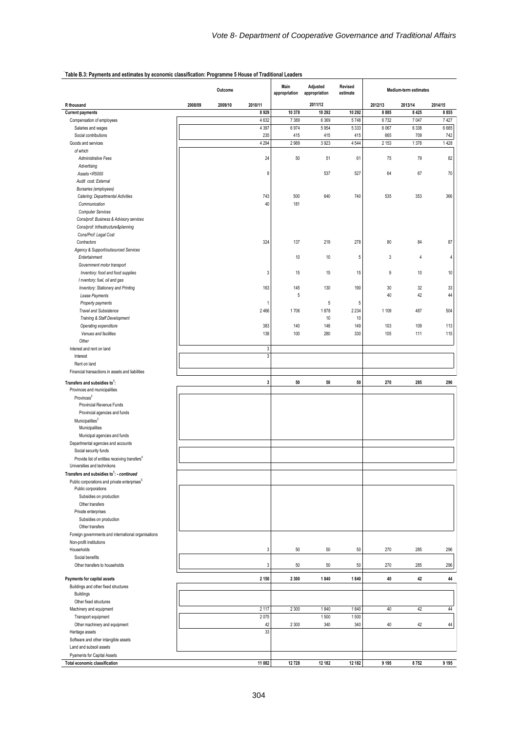|                                                                                                                              |         | Outcome |              | Main<br>appropriation | Adjusted<br>appropriation | Revised<br>estimate | Medium-term estimates |         |         |
|------------------------------------------------------------------------------------------------------------------------------|---------|---------|--------------|-----------------------|---------------------------|---------------------|-----------------------|---------|---------|
| R thousand                                                                                                                   | 2008/09 | 2009/10 | 2010/11      |                       | 2011/12                   |                     | 2012/13               | 2013/14 | 2014/15 |
| <b>Current payments</b>                                                                                                      |         |         | 8929         | 10 378                | 10 29 2                   | 10 292              | 8885                  | 8 4 2 5 | 8855    |
| Compensation of employees                                                                                                    |         |         | 4 6 3 2      | 7 3 8 9               | 6 3 6 9                   | 5748                | 6732                  | 7 0 4 7 | 7427    |
| Salaries and wages                                                                                                           |         |         | 4 3 9 7      | 6974                  | 5954                      | 5 3 3 3             | 6 0 67                | 6 3 3 8 | 6685    |
| Social contributions                                                                                                         |         |         | 235          | 415                   | 415                       | 415                 | 665                   | 709     | 742     |
| Goods and services<br>of which                                                                                               |         |         | 4 2 9 4      | 2989                  | 3923                      | 4544                | 2 1 5 3               | 1378    | 1 4 2 8 |
| Administrative Fees                                                                                                          |         |         | 24           | 50                    | 51                        | 61                  | 75                    | 79      | 82      |
| Advertising                                                                                                                  |         |         |              |                       |                           |                     |                       |         |         |
| Assets <r5000< td=""><td></td><td></td><td>9</td><td></td><td>537</td><td>527</td><td>64</td><td>67</td><td>70</td></r5000<> |         |         | 9            |                       | 537                       | 527                 | 64                    | 67      | 70      |
| Audit cost: External                                                                                                         |         |         |              |                       |                           |                     |                       |         |         |
| Bursaries (employees)                                                                                                        |         |         |              |                       |                           |                     |                       |         |         |
| Catering: Departmental Activities                                                                                            |         |         | 743          | 500                   | 640                       | 740                 | 535                   | 353     | 366     |
| Communication                                                                                                                |         |         | 40           | 181                   |                           |                     |                       |         |         |
| <b>Computer Services</b>                                                                                                     |         |         |              |                       |                           |                     |                       |         |         |
| Cons/prof: Business & Advisory services                                                                                      |         |         |              |                       |                           |                     |                       |         |         |
| Cons/prof: Infrastructure&planning                                                                                           |         |         |              |                       |                           |                     |                       |         |         |
| Cons/Prof: Legal Cost                                                                                                        |         |         |              |                       |                           |                     |                       |         |         |
| Contractors                                                                                                                  |         |         | 324          | 137                   | 219                       | 278                 | 80                    | 84      | 87      |
| Agency & Support/outsourced Services                                                                                         |         |         |              |                       |                           |                     |                       |         |         |
| Entertainment                                                                                                                |         |         |              | 10                    | 10                        | 5                   | 3                     | 4       | 4       |
| Government motor transport                                                                                                   |         |         |              |                       |                           |                     |                       |         |         |
| Inventory: food and food supplies                                                                                            |         |         | 3            | 15                    | 15                        | 15                  | 9                     | $10$    | 10      |
| I nventory: fuel, oil and gas                                                                                                |         |         | 163          | 145                   | 130                       | 190                 | 30                    | 32      | 33      |
| Inventory: Stationery and Printing<br>Lease Payments                                                                         |         |         |              | 5                     |                           |                     | 40                    | 42      | 44      |
| Property payments                                                                                                            |         |         | -1           |                       | 5                         | 5                   |                       |         |         |
| <b>Travel and Subsistence</b>                                                                                                |         |         | 2 4 6 6      | 1706                  | 1878                      | 2 2 3 4             | 1 1 0 9               | 487     | 504     |
| Training & Staff Development                                                                                                 |         |         |              |                       | 10                        | 10                  |                       |         |         |
| Operating expenditure                                                                                                        |         |         | 383          | 140                   | 148                       | 149                 | 103                   | 109     | 113     |
| Venues and facilities                                                                                                        |         |         | 138          | 100                   | 280                       | 330                 | 105                   | 111     | 115     |
| Other                                                                                                                        |         |         |              |                       |                           |                     |                       |         |         |
| Interest and rent on land                                                                                                    |         |         | $\mathbf{3}$ |                       |                           |                     |                       |         |         |
| Interest                                                                                                                     |         |         | $\sqrt{3}$   |                       |                           |                     |                       |         |         |
| Rent on land                                                                                                                 |         |         |              |                       |                           |                     |                       |         |         |
| Financial transactions in assets and liabilities                                                                             |         |         |              |                       |                           |                     |                       |         |         |
| Transfers and subsidies to <sup>1</sup> :                                                                                    |         |         | 3            | 50                    | 50                        | 50                  | 270                   | 285     | 296     |
| Provinces and municipalities                                                                                                 |         |         |              |                       |                           |                     |                       |         |         |
| Provinces <sup>2</sup>                                                                                                       |         |         |              |                       |                           |                     |                       |         |         |
| Provincial Revenue Funds                                                                                                     |         |         |              |                       |                           |                     |                       |         |         |
| Provincial agencies and funds                                                                                                |         |         |              |                       |                           |                     |                       |         |         |
| Municipalities <sup>3</sup>                                                                                                  |         |         |              |                       |                           |                     |                       |         |         |
| Municipalities                                                                                                               |         |         |              |                       |                           |                     |                       |         |         |
| Municipal agencies and funds                                                                                                 |         |         |              |                       |                           |                     |                       |         |         |
| Departmental agencies and accounts                                                                                           |         |         |              |                       |                           |                     |                       |         |         |
| Social security funds                                                                                                        |         |         |              |                       |                           |                     |                       |         |         |
| Provide list of entities receiving transfers <sup>4</sup><br>Universities and technikons                                     |         |         |              |                       |                           |                     |                       |         |         |
| Transfers and subsidies to <sup>1</sup> : - continued                                                                        |         |         |              |                       |                           |                     |                       |         |         |
| Public corporations and private enterprises <sup>5</sup>                                                                     |         |         |              |                       |                           |                     |                       |         |         |
| Public corporations                                                                                                          |         |         |              |                       |                           |                     |                       |         |         |
| Subsidies on production                                                                                                      |         |         |              |                       |                           |                     |                       |         |         |
| Other transfers                                                                                                              |         |         |              |                       |                           |                     |                       |         |         |
| Private enterprises                                                                                                          |         |         |              |                       |                           |                     |                       |         |         |
| Subsidies on production                                                                                                      |         |         |              |                       |                           |                     |                       |         |         |
| Other transfers                                                                                                              |         |         |              |                       |                           |                     |                       |         |         |
| Foreign governments and international organisations                                                                          |         |         |              |                       |                           |                     |                       |         |         |
| Non-profit institutions                                                                                                      |         |         |              |                       |                           |                     |                       |         |         |
| Households                                                                                                                   |         |         | 3            | 50                    | 50                        | 50                  | 270                   | 285     | 296     |
| Social benefits                                                                                                              |         |         |              |                       |                           |                     |                       |         |         |
| Other transfers to households                                                                                                |         |         | 3            | 50                    | 50                        | 50                  | 270                   | 285     | 296     |
| Payments for capital assets                                                                                                  |         |         | 2 1 5 0      | 2 3 0 0               | 1840                      | 1840                | 40                    | 42      | 44      |
| Buildings and other fixed structures                                                                                         |         |         |              |                       |                           |                     |                       |         |         |
| Buildings                                                                                                                    |         |         |              |                       |                           |                     |                       |         |         |
| Other fixed structures                                                                                                       |         |         |              |                       |                           |                     |                       |         |         |
| Machinery and equipment                                                                                                      |         |         | 2 1 1 7      | 2 3 0 0               | 1840                      | 1840                | 40                    | 42      | 44      |
| Transport equipment                                                                                                          |         |         | 2075         |                       | 1500                      | 1500                |                       |         |         |
| Other machinery and equipment                                                                                                |         |         | 42           | 2 3 0 0               | 340                       | 340                 | 40                    | 42      | 44      |
| Heritage assets                                                                                                              |         |         | 33           |                       |                           |                     |                       |         |         |
| Software and other intangible assets                                                                                         |         |         |              |                       |                           |                     |                       |         |         |
| Land and subsoil assets                                                                                                      |         |         |              |                       |                           |                     |                       |         |         |
| Pyaments for Capital Assets                                                                                                  |         |         |              |                       |                           |                     |                       |         |         |
| Total economic classification                                                                                                |         |         | 11 082       | 12728                 | 12 182                    | 12 182              | 9 1 9 5               | 8752    | 9 1 9 5 |

#### **Table B.3: Payments and estimates by economic classification: Programme 5 House of Traditional Leaders**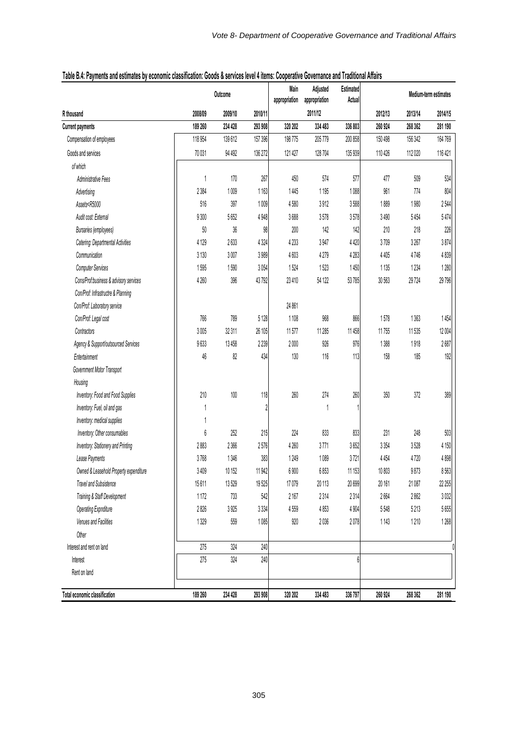|                                                                                                                                                   | Outcome |         |         | Main<br>appropriation | Estimated<br>Adjusted<br>Actual<br>appropriation |         | Medium-term estimates |         |         |  |
|---------------------------------------------------------------------------------------------------------------------------------------------------|---------|---------|---------|-----------------------|--------------------------------------------------|---------|-----------------------|---------|---------|--|
| R thousand                                                                                                                                        | 2008/09 | 2009/10 | 2010/11 |                       | 2011/12                                          |         | 2012/13               | 2013/14 | 2014/15 |  |
| <b>Current payments</b>                                                                                                                           | 189 260 | 234 428 | 293 908 | 320 202               | 334 483                                          | 336 803 | 260 924               | 268 362 | 281 190 |  |
| Compensation of employees                                                                                                                         | 118 954 | 139612  | 157 396 | 198775                | 205779                                           | 200 858 | 150 498               | 156 342 | 164769  |  |
| Goods and services                                                                                                                                | 70 031  | 94 492  | 136 272 | 121 427               | 128704                                           | 135 939 | 110 426               | 112 020 | 116 421 |  |
| of which                                                                                                                                          |         |         |         |                       |                                                  |         |                       |         |         |  |
| Administrative Fees                                                                                                                               | 1       | 170     | 267     | 450                   | 574                                              | 577     | 477                   | 509     | 534     |  |
| Advertising                                                                                                                                       | 2 3 8 4 | 1009    | 1163    | 1445                  | 1 1 9 5                                          | 1088    | 961                   | 774     | 804     |  |
| Assets <r5000< td=""><td>516</td><td>397</td><td>1009</td><td>4580</td><td>3912</td><td>3588</td><td>1889</td><td>1980</td><td>2544</td></r5000<> | 516     | 397     | 1009    | 4580                  | 3912                                             | 3588    | 1889                  | 1980    | 2544    |  |
| Audit cost: External                                                                                                                              | 9300    | 5652    | 4 9 4 8 | 3688                  | 3578                                             | 3578    | 3490                  | 5454    | 5474    |  |
| Bursaries (employees)                                                                                                                             | 50      | $36\,$  | 98      | 200                   | 142                                              | 142     | 210                   | 218     | 226     |  |
| Catering: Departmental Activities                                                                                                                 | 4 1 2 9 | 2633    | 4 3 2 4 | 4233                  | 3947                                             | 4420    | 3709                  | 3267    | 3874    |  |
| Communication                                                                                                                                     | 3 1 3 0 | 3007    | 3989    | 4603                  | 4279                                             | 4283    | 4 4 0 5               | 4746    | 4839    |  |
| <b>Computer Services</b>                                                                                                                          | 1595    | 1590    | 3054    | 1524                  | 1523                                             | 1450    | 1135                  | 1234    | 1280    |  |
| Cons/Prof:business & advisory services                                                                                                            | 4260    | 396     | 43792   | 23 410                | 54 122                                           | 53785   | 30 563                | 29724   | 29796   |  |
| Con/Prof: Infrastructre & Planning                                                                                                                |         |         |         |                       |                                                  |         |                       |         |         |  |
| Con/Prof: Laboratory service                                                                                                                      |         |         |         | 24 861                |                                                  |         |                       |         |         |  |
| Con/Prof: Legal cost                                                                                                                              | 766     | 789     | 5 1 28  | 1108                  | 968                                              | 866     | 1578                  | 1363    | 1454    |  |
| Contractors                                                                                                                                       | 3005    | 32 311  | 26 105  | 11577                 | 11 285                                           | 11 458  | 11755                 | 11535   | 12 004  |  |
| Agency & Support/outsourced Services                                                                                                              | 9633    | 13 4 58 | 2239    | 2000                  | 926                                              | 976     | 1388                  | 1918    | 2687    |  |
| Entertainment                                                                                                                                     | 46      | 82      | 434     | 130                   | 116                                              | 113     | 158                   | 185     | 192     |  |
| Government Motor Transport                                                                                                                        |         |         |         |                       |                                                  |         |                       |         |         |  |
| Housing                                                                                                                                           |         |         |         |                       |                                                  |         |                       |         |         |  |
| Inventory: Food and Food Supplies                                                                                                                 | 210     | 100     | 118     | 260                   | 274                                              | 260     | 350                   | 372     | 389     |  |
| Inventory: Fuel, oil and gas                                                                                                                      | 1       |         | 2       |                       |                                                  |         |                       |         |         |  |
| Inventory: medical supplies                                                                                                                       |         |         |         |                       |                                                  |         |                       |         |         |  |
| Inventory: Other consumables                                                                                                                      | 6       | 252     | 215     | 224                   | 833                                              | 833     | 231                   | 248     | 503     |  |
| Inventory: Stationery and Printing                                                                                                                | 2883    | 2 3 6 6 | 2576    | 4260                  | 3771                                             | 3652    | 3 3 5 4               | 3528    | 4 150   |  |
| Lease Payments                                                                                                                                    | 3768    | 1346    | 383     | 1249                  | 1089                                             | 3721    | 4 4 5 4               | 4720    | 4898    |  |
| Owned & Leasehold Property expenditure                                                                                                            | 3409    | 10 152  | 11942   | 6 900                 | 6853                                             | 11 153  | 10803                 | 9873    | 8563    |  |
| Travel and Subsistence                                                                                                                            | 15611   | 13529   | 19525   | 17079                 | 20 113                                           | 20 699  | 20 16 1               | 21 087  | 22 255  |  |
| Training & Staff Development                                                                                                                      | 1172    | 733     | 542     | 2167                  | 2314                                             | 2314    | 2664                  | 2862    | 3032    |  |
| <b>Operating Expnditure</b>                                                                                                                       | 2826    | 3925    | 3334    | 4559                  | 4853                                             | 4 9 0 4 | 5548                  | 5213    | 5655    |  |
| Venues and Facilities                                                                                                                             | 1329    | 559     | 1085    | 920                   | 2036                                             | 2078    | 1143                  | 1210    | 1268    |  |
| Other                                                                                                                                             |         |         |         |                       |                                                  |         |                       |         |         |  |
| Interest and rent on land                                                                                                                         | 275     | 324     | 240     |                       |                                                  |         |                       |         | 0       |  |
| Interest                                                                                                                                          | 275     | 324     | 240     |                       |                                                  |         |                       |         |         |  |
| Rent on land                                                                                                                                      |         |         |         |                       |                                                  |         |                       |         |         |  |
| Total economic classification                                                                                                                     | 189 260 | 234 428 | 293 908 | 320 202               | 334 483                                          | 336 797 | 260 924               | 268 362 | 281 190 |  |

# **Table B.4: Payments and estimates by economic classification: Goods & services level 4 items: Cooperative Governance and Traditional Affairs**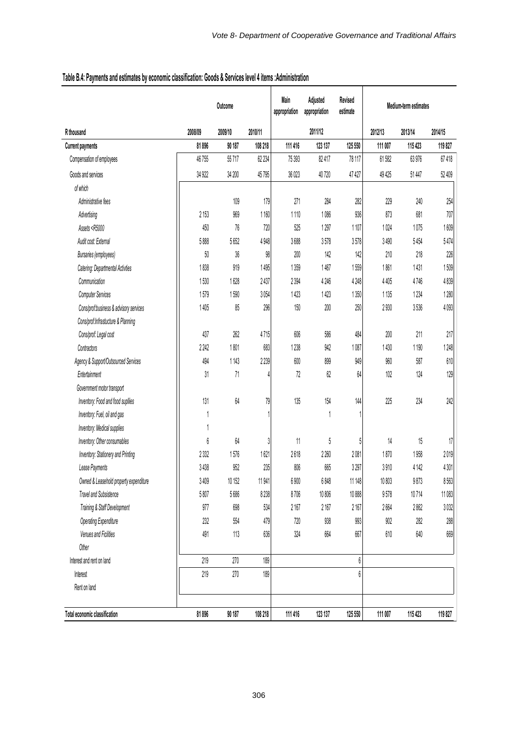|                                                                                                                                                |                  | Outcome |         | Main<br>appropriation | Adjusted<br>appropriation | Revised<br>estimate |         | Medium-term estimates |         |  |  |
|------------------------------------------------------------------------------------------------------------------------------------------------|------------------|---------|---------|-----------------------|---------------------------|---------------------|---------|-----------------------|---------|--|--|
| R thousand                                                                                                                                     | 2008/09          | 2009/10 | 2010/11 |                       | 2011/12                   |                     | 2012/13 | 2013/14               | 2014/15 |  |  |
| <b>Current payments</b>                                                                                                                        | 81896            | 90 187  | 108 218 | 111 416               | 123 137                   | 125 550             | 111 007 | 115 423               | 119827  |  |  |
| Compensation of employees                                                                                                                      | 46755            | 55717   | 62 234  | 75 393                | 82 417                    | 78 117              | 61582   | 63976                 | 67418   |  |  |
| Goods and services                                                                                                                             | 34 922           | 34 200  | 45795   | 36 023                | 40720                     | 47 427              | 49 4 25 | 51 447                | 52 409  |  |  |
| of which                                                                                                                                       |                  |         |         |                       |                           |                     |         |                       |         |  |  |
| Administrative fees                                                                                                                            |                  | 109     | 179     | 271                   | 284                       | 282                 | 229     | 240                   | 254     |  |  |
| Advertising                                                                                                                                    | 2 1 5 3          | 969     | 1160    | 1110                  | 1086                      | 936                 | 873     | 681                   | 707     |  |  |
| Assets <r5000< td=""><td>450</td><td>76</td><td>720</td><td>525</td><td>1297</td><td>1107</td><td>1024</td><td>1075</td><td>1609</td></r5000<> | 450              | 76      | 720     | 525                   | 1297                      | 1107                | 1024    | 1075                  | 1609    |  |  |
| Audit cost: External                                                                                                                           | 5888             | 5652    | 4948    | 3688                  | 3578                      | 3578                | 3490    | 5454                  | 5474    |  |  |
| Bursaries (employees)                                                                                                                          | 50               | $36\,$  | 98      | 200                   | 142                       | 142                 | 210     | 218                   | 226     |  |  |
| Catering: Departmental Activties                                                                                                               | 1838             | 919     | 1495    | 1359                  | 1467                      | 1559                | 1861    | 1431                  | 1509    |  |  |
| Communication                                                                                                                                  | 1530             | 1628    | 2437    | 2 3 9 4               | 4 2 4 6                   | 4 2 4 8             | 4 4 0 5 | 4746                  | 4839    |  |  |
| <b>Computer Services</b>                                                                                                                       | 1579             | 1590    | 3054    | 1423                  | 1423                      | 1350                | 1 1 3 5 | 1234                  | 1280    |  |  |
| Cons/prof:business & advisory services                                                                                                         | 1405             | 85      | 296     | 150                   | $200$                     | 250                 | 2930    | 3536                  | 4093    |  |  |
| Cons/prof:Infrastucture & Planning                                                                                                             |                  |         |         |                       |                           |                     |         |                       |         |  |  |
| Cons/prof: Legal cost                                                                                                                          | 437              | 262     | 4715    | 606                   | 586                       | 484                 | 200     | 211                   | 217     |  |  |
| Contractors                                                                                                                                    | 2242             | 1801    | 683     | 1238                  | 942                       | 1087                | 1430    | 1 1 9 0               | 1248    |  |  |
| Agency & Support/Outsourced Services                                                                                                           | 494              | 1143    | 2239    | 600                   | 899                       | 949                 | 960     | 587                   | 610     |  |  |
| Entertainment                                                                                                                                  | 31               | 71      | 4       | 72                    | $62\,$                    | 64                  | 102     | 124                   | 129     |  |  |
| Government motor transport                                                                                                                     |                  |         |         |                       |                           |                     |         |                       |         |  |  |
| Inventory: Food and food supllies                                                                                                              | 131              | $64\,$  | 79      | 135                   | $154$                     | 144                 | 225     | 234                   | 242     |  |  |
| Inventory: Fuel, oil and gas                                                                                                                   |                  |         |         |                       | 1                         |                     |         |                       |         |  |  |
| Inventory: Medical supplies                                                                                                                    |                  |         |         |                       |                           |                     |         |                       |         |  |  |
| Inventory: Other consumables                                                                                                                   | $\boldsymbol{6}$ | 64      | 3       | 11                    | 5                         | 5                   | 14      | 15                    | 17      |  |  |
| Inventory: Stationery and Printing                                                                                                             | 2332             | 1576    | 1621    | 2618                  | 2 2 6 0                   | 2081                | 1870    | 1958                  | 2019    |  |  |
| Lease Payments                                                                                                                                 | 3438             | 952     | 235     | 806                   | 665                       | 3297                | 3910    | 4 1 4 2               | 4301    |  |  |
| Owned & Leasehold property expenditure                                                                                                         | 3409             | 10 152  | 11941   | 6 900                 | 6848                      | 11 148              | 10 803  | 9873                  | 8563    |  |  |
| <b>Travel and Subsistence</b>                                                                                                                  | 5807             | 5686    | 8 2 3 8 | 8706                  | 10 806                    | 10888               | 9578    | 10714                 | 11 083  |  |  |
| Training & Staff Development                                                                                                                   | 977              | 698     | 534     | 2167                  | 2 1 6 7                   | 2167                | 2664    | 2862                  | 3032    |  |  |
| <b>Operating Expenditure</b>                                                                                                                   | 232              | 554     | 479     | 720                   | 938                       | 993                 | 902     | 282                   | 288     |  |  |
| Venues and Ficilities                                                                                                                          | 491              | 113     | 636     | 324                   | 664                       | 667                 | $610\,$ | 640                   | 669     |  |  |
| Other                                                                                                                                          |                  |         |         |                       |                           |                     |         |                       |         |  |  |
| Interest and rent on land                                                                                                                      | 219              | 270     | 189     |                       |                           | 6                   |         |                       |         |  |  |
| Interest                                                                                                                                       | 219              | 270     | 189     |                       |                           | 6                   |         |                       |         |  |  |
| Rent on land                                                                                                                                   |                  |         |         |                       |                           |                     |         |                       |         |  |  |
|                                                                                                                                                |                  |         |         |                       |                           |                     |         |                       |         |  |  |
| Total economic classification                                                                                                                  | 81896            | 90 187  | 108 218 | 111 416               | 123 137                   | 125 550             | 111 007 | 115 423               | 119827  |  |  |

# **Table B.4: Payments and estimates by economic classification: Goods & Services level 4 items :Administration**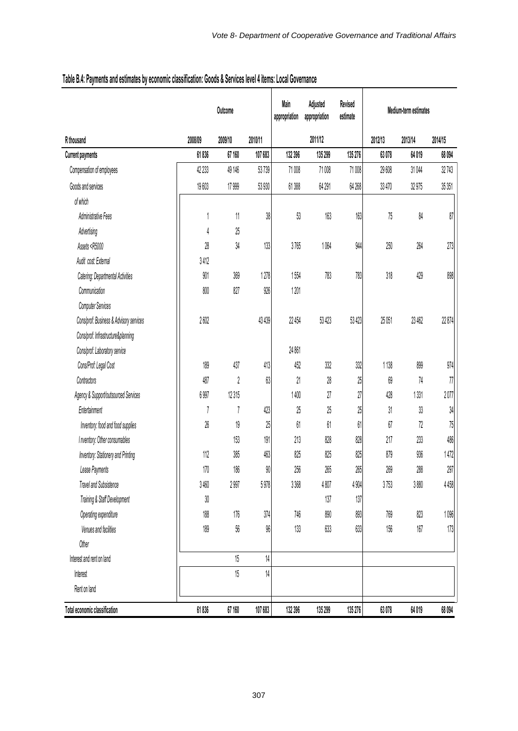|                                                                                                                                            |         | Outcome |         | Main<br>appropriation | Adjusted<br>appropriation | Revised<br>estimate | Medium-term estimates |         |         |
|--------------------------------------------------------------------------------------------------------------------------------------------|---------|---------|---------|-----------------------|---------------------------|---------------------|-----------------------|---------|---------|
| R thousand                                                                                                                                 | 2008/09 | 2009/10 | 2010/11 |                       | 2011/12                   |                     | 2012/13               | 2013/14 | 2014/15 |
| <b>Current payments</b>                                                                                                                    | 61836   | 67 160  | 107 683 | 132 396               | 135 299                   | 135 276             | 63078                 | 64019   | 68 094  |
| Compensation of employees                                                                                                                  | 42 233  | 49 146  | 53739   | 71008                 | 71008                     | 71008               | 29 608                | 31 044  | 32743   |
| Goods and services                                                                                                                         | 19603   | 17 999  | 53 930  | 61388                 | 64 291                    | 64 268              | 33 470                | 32975   | 35 351  |
| of which                                                                                                                                   |         |         |         |                       |                           |                     |                       |         |         |
| <b>Administrative Fees</b>                                                                                                                 | 1       | 11      | 38      | 53                    | 163                       | 163                 | 75                    | 84      | 87      |
| Advertising                                                                                                                                | 4       | 25      |         |                       |                           |                     |                       |         |         |
| Assets <r5000< td=""><td>28</td><td>34</td><td>133</td><td>3765</td><td>1064</td><td>944</td><td>250</td><td>264</td><td>273</td></r5000<> | 28      | 34      | 133     | 3765                  | 1064                      | 944                 | 250                   | 264     | 273     |
| Audit cost: External                                                                                                                       | 3412    |         |         |                       |                           |                     |                       |         |         |
| Catering: Departmental Activities                                                                                                          | 901     | 369     | 1278    | 1554                  | 783                       | 783                 | 318                   | 429     | 898     |
| Communication                                                                                                                              | 800     | 827     | 926     | 1201                  |                           |                     |                       |         |         |
| <b>Computer Services</b>                                                                                                                   |         |         |         |                       |                           |                     |                       |         |         |
| Cons/prof: Business & Advisory services                                                                                                    | 2602    |         | 43 439  | 22 454                | 53 423                    | 53 4 23             | 25 051                | 23 462  | 22 874  |
| Cons/prof: Infrastructure&planning                                                                                                         |         |         |         |                       |                           |                     |                       |         |         |
| Cons/prof: Laboratory service                                                                                                              |         |         |         | 24 861                |                           |                     |                       |         |         |
| Cons/Prof: Legal Cost                                                                                                                      | 189     | 437     | 413     | 452                   | 332                       | 332                 | 1138                  | 899     | 974     |
| Contractors                                                                                                                                | 487     | 2       | 63      | 21                    | 28                        | 25                  | 69                    | 74      | 77      |
| Agency & Support/outsourced Services                                                                                                       | 6 9 97  | 12315   |         | 1400                  | 27                        | 27                  | 428                   | 1331    | 2077    |
| Entertainment                                                                                                                              | 7       | 7       | 423     | 25                    | 25                        | 25                  | 31                    | 33      | 34      |
| Inventory: food and food supplies                                                                                                          | 26      | 19      | 25      | 61                    | 61                        | 61                  | 67                    | 72      | 75      |
| I nventory: Other consumables                                                                                                              |         | 153     | 191     | 213                   | 828                       | 828                 | 217                   | 233     | 486     |
| Inventory: Stationery and Printing                                                                                                         | 112     | 385     | 463     | 825                   | 825                       | 825                 | 879                   | 936     | 1472    |
| Lease Payments                                                                                                                             | 170     | 186     | 90      | 256                   | 265                       | 265                 | 269                   | 288     | 297     |
| Travel and Subsistence                                                                                                                     | 3460    | 2997    | 5978    | 3 3 6 8               | 4807                      | 4904                | 3753                  | 3880    | 4458    |
| Training & Staff Development                                                                                                               | 30      |         |         |                       | 137                       | 137                 |                       |         |         |
| Operating expenditure                                                                                                                      | 188     | 176     | 374     | 746                   | 890                       | 893                 | 769                   | 823     | 1096    |
| Venues and facilities                                                                                                                      | 189     | 56      | $96\,$  | 133                   | 633                       | 633                 | $156$                 | 167     | 173     |
| Other                                                                                                                                      |         |         |         |                       |                           |                     |                       |         |         |
| Interest and rent on land                                                                                                                  |         | 15      | 14      |                       |                           |                     |                       |         |         |
| Interest                                                                                                                                   |         | 15      | 14      |                       |                           |                     |                       |         |         |
| Rent on land                                                                                                                               |         |         |         |                       |                           |                     |                       |         |         |
| Total economic classification                                                                                                              | 61836   | 67 160  | 107 683 | 132 396               | 135 299                   | 135 276             | 63078                 | 64019   | 68 094  |

# **Table B.4: Payments and estimates by economic classification: Goods & Services level 4 items: Local Governance**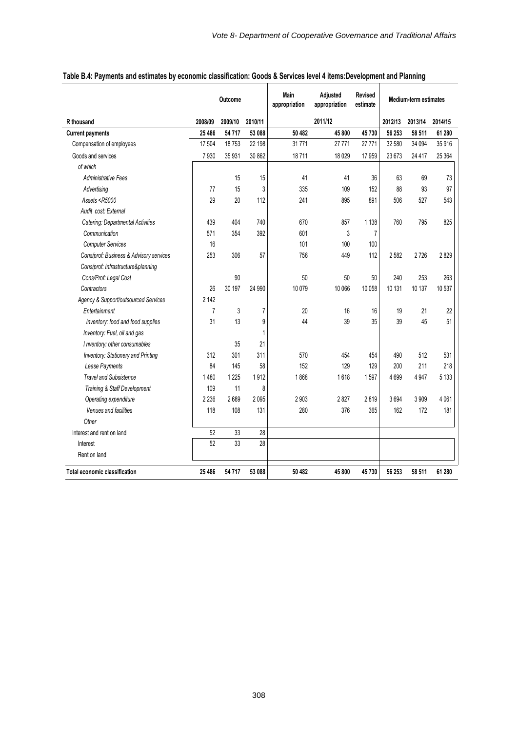|                                                                                                                                          | Outcome        |         | <b>Main</b><br>appropriation | Adjusted<br>appropriation | Revised<br>estimate | Medium-term estimates |         |         |         |
|------------------------------------------------------------------------------------------------------------------------------------------|----------------|---------|------------------------------|---------------------------|---------------------|-----------------------|---------|---------|---------|
| R thousand                                                                                                                               | 2008/09        | 2009/10 | 2010/11                      |                           | 2011/12             |                       | 2012/13 | 2013/14 | 2014/15 |
| <b>Current payments</b>                                                                                                                  | 25 48 6        | 54717   | 53 088                       | 50 482                    | 45 800              | 45730                 | 56 253  | 58 511  | 61 280  |
| Compensation of employees                                                                                                                | 17 504         | 18753   | 22 198                       | 31771                     | 27 771              | 27 771                | 32 580  | 34 094  | 35 916  |
| Goods and services                                                                                                                       | 7930           | 35 931  | 30 862                       | 18711                     | 18 0 29             | 17959                 | 23 673  | 24 4 17 | 25 364  |
| of which                                                                                                                                 |                |         |                              |                           |                     |                       |         |         |         |
| <b>Administrative Fees</b>                                                                                                               |                | 15      | 15                           | 41                        | 41                  | 36                    | 63      | 69      | 73      |
| Advertising                                                                                                                              | 77             | 15      | 3                            | 335                       | 109                 | 152                   | 88      | 93      | 97      |
| Assets <r5000< td=""><td>29</td><td>20</td><td>112</td><td>241</td><td>895</td><td>891</td><td>506</td><td>527</td><td>543</td></r5000<> | 29             | 20      | 112                          | 241                       | 895                 | 891                   | 506     | 527     | 543     |
| Audit cost: External                                                                                                                     |                |         |                              |                           |                     |                       |         |         |         |
| Catering: Departmental Activities                                                                                                        | 439            | 404     | 740                          | 670                       | 857                 | 1 1 3 8               | 760     | 795     | 825     |
| Communication                                                                                                                            | 571            | 354     | 392                          | 601                       | 3                   | 7                     |         |         |         |
| <b>Computer Services</b>                                                                                                                 | 16             |         |                              | 101                       | 100                 | 100                   |         |         |         |
| Cons/prof: Business & Advisory services                                                                                                  | 253            | 306     | 57                           | 756                       | 449                 | 112                   | 2582    | 2726    | 2829    |
| Cons/prof: Infrastructure&planning                                                                                                       |                |         |                              |                           |                     |                       |         |         |         |
| Cons/Prof: Legal Cost                                                                                                                    |                | 90      |                              | 50                        | 50                  | 50                    | 240     | 253     | 263     |
| Contractors                                                                                                                              | 26             | 30 197  | 24 990                       | 10 0 79                   | 10 066              | 10 058                | 10 131  | 10 137  | 10 537  |
| Agency & Support/outsourced Services                                                                                                     | 2 1 4 2        |         |                              |                           |                     |                       |         |         |         |
| Entertainment                                                                                                                            | $\overline{7}$ | 3       | 7                            | 20                        | 16                  | 16                    | 19      | 21      | 22      |
| Inventory: food and food supplies                                                                                                        | 31             | 13      | 9                            | 44                        | 39                  | 35                    | 39      | 45      | 51      |
| Inventory: Fuel, oil and gas                                                                                                             |                |         | $\mathbf{1}$                 |                           |                     |                       |         |         |         |
| I nventory: other consumables                                                                                                            |                | 35      | 21                           |                           |                     |                       |         |         |         |
| Inventory: Stationery and Printing                                                                                                       | 312            | 301     | 311                          | 570                       | 454                 | 454                   | 490     | 512     | 531     |
| Lease Payments                                                                                                                           | 84             | 145     | 58                           | 152                       | 129                 | 129                   | 200     | 211     | 218     |
| <b>Travel and Subsistence</b>                                                                                                            | 1480           | 1 2 2 5 | 1912                         | 1868                      | 1618                | 1597                  | 4699    | 4947    | 5 1 3 3 |
| Training & Staff Development                                                                                                             | 109            | 11      | 8                            |                           |                     |                       |         |         |         |
| Operating expenditure                                                                                                                    | 2 2 3 6        | 2689    | 2095                         | 2 9 0 3                   | 2827                | 2819                  | 3694    | 3 9 0 9 | 4 0 61  |
| Venues and facilities                                                                                                                    | 118            | 108     | 131                          | 280                       | 376                 | 365                   | 162     | 172     | 181     |
| Other                                                                                                                                    |                |         |                              |                           |                     |                       |         |         |         |
| Interest and rent on land                                                                                                                | 52             | 33      | 28                           |                           |                     |                       |         |         |         |
| Interest                                                                                                                                 | 52             | 33      | 28                           |                           |                     |                       |         |         |         |
| Rent on land                                                                                                                             |                |         |                              |                           |                     |                       |         |         |         |
| <b>Total economic classification</b>                                                                                                     | 25 4 86        | 54717   | 53 088                       | 50 482                    | 45 800              | 45730                 | 56 253  | 58 511  | 61 280  |

 $\mathbf{\mathbf{\mathsf{I}}}\mathbf{\mathsf{I}}$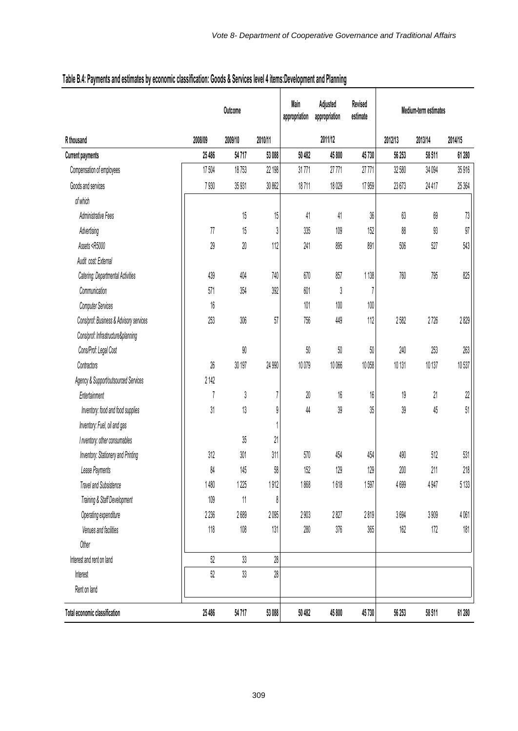|                                                                                                                                                                          |                | Outcome |         | Revised<br>Main<br>Adjusted<br>estimate<br>appropriation<br>appropriation |         |         | Medium-term estimates |         |         |  |
|--------------------------------------------------------------------------------------------------------------------------------------------------------------------------|----------------|---------|---------|---------------------------------------------------------------------------|---------|---------|-----------------------|---------|---------|--|
| R thousand                                                                                                                                                               | 2008/09        | 2009/10 | 2010/11 |                                                                           | 2011/12 |         | 2012/13               | 2013/14 | 2014/15 |  |
| <b>Current payments</b>                                                                                                                                                  | 25 486         | 54717   | 53 088  | 50 482                                                                    | 45 800  | 45730   | 56 253                | 58 511  | 61 280  |  |
| Compensation of employees                                                                                                                                                | 17 504         | 18753   | 22 198  | 31771                                                                     | 27771   | 27771   | 32 580                | 34 094  | 35916   |  |
| Goods and services                                                                                                                                                       | 7930           | 35 931  | 30 862  | 18711                                                                     | 18029   | 17 9 59 | 23673                 | 24 417  | 25 3 64 |  |
| of which                                                                                                                                                                 |                |         |         |                                                                           |         |         |                       |         |         |  |
| Administrative Fees                                                                                                                                                      |                | 15      | 15      | 41                                                                        | 41      | $36\,$  | 63                    | 69      | 73      |  |
| Advertising                                                                                                                                                              | 77             | 15      | 3       | 335                                                                       | 109     | 152     | 88                    | 93      | 97      |  |
| Assets <r5000< td=""><td>29</td><td><math display="inline">20\,</math></td><td>112</td><td>241</td><td>895</td><td>891</td><td>506</td><td>527</td><td>543</td></r5000<> | 29             | $20\,$  | 112     | 241                                                                       | 895     | 891     | 506                   | 527     | 543     |  |
| Audit cost: External                                                                                                                                                     |                |         |         |                                                                           |         |         |                       |         |         |  |
| Catering: Departmental Activities                                                                                                                                        | 439            | 404     | 740     | 670                                                                       | 857     | 1138    | 760                   | 795     | 825     |  |
| Communication                                                                                                                                                            | 571            | 354     | 392     | 601                                                                       | 3       | 7       |                       |         |         |  |
| <b>Computer Services</b>                                                                                                                                                 | 16             |         |         | 101                                                                       | 100     | $100\,$ |                       |         |         |  |
| Cons/prof: Business & Advisory services                                                                                                                                  | 253            | 306     | 57      | 756                                                                       | 449     | 112     | 2582                  | 2726    | 2 829   |  |
| Cons/prof: Infrastructure&planning                                                                                                                                       |                |         |         |                                                                           |         |         |                       |         |         |  |
| Cons/Prof: Legal Cost                                                                                                                                                    |                | $90\,$  |         | 50                                                                        | 50      | 50      | 240                   | 253     | 263     |  |
| Contractors                                                                                                                                                              | 26             | 30 197  | 24 990  | 10079                                                                     | 10066   | 10 058  | 10 131                | 10 137  | 10537   |  |
| Agency & Support/outsourced Services                                                                                                                                     | 2 142          |         |         |                                                                           |         |         |                       |         |         |  |
| Entertainment                                                                                                                                                            | $\overline{1}$ | 3       | 7       | $20\,$                                                                    | $16\,$  | 16      | $19\,$                | 21      | 22      |  |
| Inventory: food and food supplies                                                                                                                                        | 31             | 13      | 9       | 44                                                                        | 39      | 35      | 39                    | 45      | 51      |  |
| Inventory: Fuel, oil and gas                                                                                                                                             |                |         | 1       |                                                                           |         |         |                       |         |         |  |
| I nventory: other consumables                                                                                                                                            |                | 35      | 21      |                                                                           |         |         |                       |         |         |  |
| Inventory: Stationery and Printing                                                                                                                                       | 312            | 301     | 311     | 570                                                                       | 454     | 454     | 490                   | 512     | 531     |  |
| Lease Payments                                                                                                                                                           | 84             | 145     | 58      | 152                                                                       | 129     | 129     | 200                   | 211     | $218\,$ |  |
| Travel and Subsistence                                                                                                                                                   | 1480           | 1 2 2 5 | 1912    | 1868                                                                      | 1618    | $1597$  | 4699                  | 4947    | 5 1 3 3 |  |
| Training & Staff Development                                                                                                                                             | 109            | 11      | 8       |                                                                           |         |         |                       |         |         |  |
| Operating expenditure                                                                                                                                                    | 2236           | 2689    | 2095    | 2903                                                                      | 2827    | 2819    | 3694                  | 3 909   | 4061    |  |
| Venues and facilities                                                                                                                                                    | 118            | $108\,$ | 131     | 280                                                                       | 376     | 365     | 162                   | 172     | $181$   |  |
| Other                                                                                                                                                                    |                |         |         |                                                                           |         |         |                       |         |         |  |
| Interest and rent on land                                                                                                                                                | 52             | 33      | 28      |                                                                           |         |         |                       |         |         |  |
| Interest                                                                                                                                                                 | 52             | 33      | $28\,$  |                                                                           |         |         |                       |         |         |  |
| Rent on land                                                                                                                                                             |                |         |         |                                                                           |         |         |                       |         |         |  |
| Total economic classification                                                                                                                                            | 25 486         | 54717   | 53 088  | 50 482                                                                    | 45 800  | 45730   | 56 253                | 58 511  | 61 280  |  |

# **Table B.4: Payments and estimates by economic classification: Goods & Services level 4 items:Development and Planning**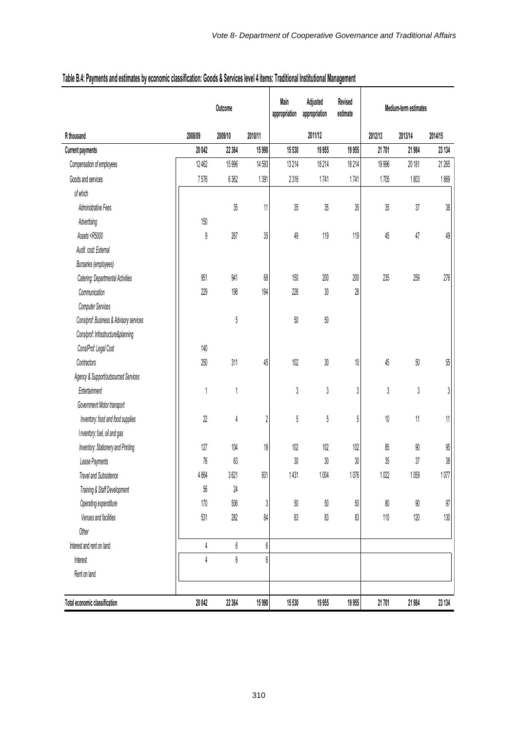|                                                                                                                                                                     |         | Outcome                     |            | Main<br>appropriation | Adjusted<br>appropriation | Revised<br>estimate | Medium-term estimates |         |         |
|---------------------------------------------------------------------------------------------------------------------------------------------------------------------|---------|-----------------------------|------------|-----------------------|---------------------------|---------------------|-----------------------|---------|---------|
| R thousand                                                                                                                                                          | 2008/09 | 2009/10                     | 2010/11    |                       | 2011/12                   |                     | 2012/13               | 2013/14 | 2014/15 |
| <b>Current payments</b>                                                                                                                                             | 20042   | 22 3 64                     | 15990      | 15 530                | 19 955                    | 19 9 55             | 21 701                | 21 984  | 23 134  |
| Compensation of employees                                                                                                                                           | 12462   | 15996                       | 14 5 93    | 13 214                | 18214                     | 18 214              | 19 996                | 20 181  | 21 265  |
| Goods and services                                                                                                                                                  | 7576    | 6362                        | 1391       | 2316                  | 1741                      | 1741                | 1705                  | 1803    | 1869    |
| of which                                                                                                                                                            |         |                             |            |                       |                           |                     |                       |         |         |
| Administrative Fees                                                                                                                                                 |         | 35                          | 11         | 35                    | 35                        | 35                  | 35                    | 37      | $38\,$  |
| Advertising                                                                                                                                                         | 150     |                             |            |                       |                           |                     |                       |         |         |
| Assets <r5000< td=""><td>9</td><td>267</td><td>35</td><td>49</td><td>119</td><td>119</td><td>45</td><td>47</td><td><math display="inline">49\,</math></td></r5000<> | 9       | 267                         | 35         | 49                    | 119                       | 119                 | 45                    | 47      | $49\,$  |
| Audit cost: External                                                                                                                                                |         |                             |            |                       |                           |                     |                       |         |         |
| <b>Bursaries</b> (employees)                                                                                                                                        |         |                             |            |                       |                           |                     |                       |         |         |
| Catering: Departmental Activities                                                                                                                                   | 951     | 941                         | $68\,$     | 150                   | $200\,$                   | $200\,$             | 235                   | 259     | 276     |
| Communication                                                                                                                                                       | 229     | 198                         | 194        | 226                   | $30\,$                    | 28                  |                       |         |         |
| <b>Computer Services</b>                                                                                                                                            |         |                             |            |                       |                           |                     |                       |         |         |
| Cons/prof: Business & Advisory services                                                                                                                             |         | 5                           |            | 50                    | $50\,$                    |                     |                       |         |         |
| Cons/prof: Infrastructure&planning                                                                                                                                  |         |                             |            |                       |                           |                     |                       |         |         |
| Cons/Prof: Legal Cost                                                                                                                                               | 140     |                             |            |                       |                           |                     |                       |         |         |
| Contractors                                                                                                                                                         | 250     | 311                         | 45         | 102                   | $30\,$                    | 10                  | 45                    | 50      | $55\,$  |
| Agency & Support/outsourced Services                                                                                                                                |         |                             |            |                       |                           |                     |                       |         |         |
| Entertainment                                                                                                                                                       |         |                             |            | 3                     | $\sqrt{3}$                | 3                   | 3                     | 3       | 3       |
| Government Motor transport                                                                                                                                          |         |                             |            |                       |                           |                     |                       |         |         |
| Inventory: food and food supplies                                                                                                                                   | 22      | 4                           | $\sqrt{2}$ | 5                     | $\sqrt{5}$                | 5                   | $10\,$                | 11      | 11      |
| I nventory: fuel, oil and gas                                                                                                                                       |         |                             |            |                       |                           |                     |                       |         |         |
| Inventory: Stationery and Printing                                                                                                                                  | 127     | 104                         | $18\,$     | 102                   | 102                       | 102                 | 85                    | 90      | $95\,$  |
| Lease Payments                                                                                                                                                      | 76      | 63                          |            | 30                    | 30                        | 30                  | 35                    | 37      | $38\,$  |
| <b>Travel and Subsistence</b>                                                                                                                                       | 4864    | 3621                        | 931        | 1431                  | 1004                      | 1076                | 1022                  | 1059    | 1077    |
| Training & Staff Development                                                                                                                                        | 56      | 24                          |            |                       |                           |                     |                       |         |         |
| Operating expenditure                                                                                                                                               | 170     | 506                         | 3          | $50\,$                | $50\,$                    | $50\,$              | $80\,$                | $90\,$  | 97      |
| Venues and facilities                                                                                                                                               | 531     | 282                         | 84         | 83                    | 83                        | 83                  | $110\,$               | 120     | $130\,$ |
| Other                                                                                                                                                               |         |                             |            |                       |                           |                     |                       |         |         |
| Interest and rent on land                                                                                                                                           | 4       | $\boldsymbol{\mathfrak{b}}$ | 6          |                       |                           |                     |                       |         |         |
| Interest                                                                                                                                                            | 4       | $\boldsymbol{6}$            | 6          |                       |                           |                     |                       |         |         |
| Rent on land                                                                                                                                                        |         |                             |            |                       |                           |                     |                       |         |         |
| Total economic classification                                                                                                                                       | 20 042  | 22 3 64                     | 15990      | 15 530                | 19 955                    | 19955               | 21 701                | 21 984  | 23 134  |

# **Table B.4: Payments and estimates by economic classification: Goods & Services level 4 items: Traditional Institutional Management**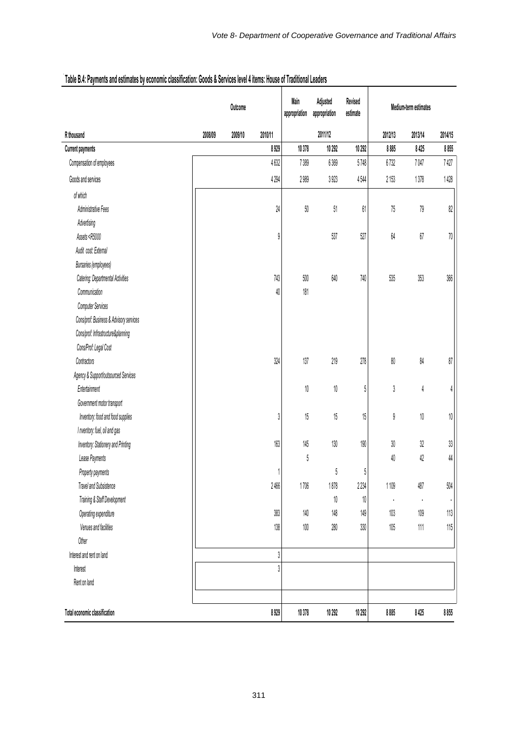|                                                                                                                                                              | Outcome |         | Main<br>appropriation | Adjusted<br>appropriation | Revised<br>estimate | Medium-term estimates |         |         |         |
|--------------------------------------------------------------------------------------------------------------------------------------------------------------|---------|---------|-----------------------|---------------------------|---------------------|-----------------------|---------|---------|---------|
| R thousand                                                                                                                                                   | 2008/09 | 2009/10 | 2010/11               |                           | 2011/12             |                       | 2012/13 | 2013/14 | 2014/15 |
| <b>Current payments</b>                                                                                                                                      |         |         | 8929                  | 10 378                    | 10 29 2             | 10 29 2               | 8 8 8 5 | 8 4 25  | 8855    |
| Compensation of employees                                                                                                                                    |         |         | 4632                  | 7389                      | 6369                | 5748                  | 6732    | 7047    | 7427    |
| Goods and services                                                                                                                                           |         |         | 4 2 9 4               | 2989                      | 3923                | 4544                  | 2 153   | 1378    | 1428    |
| of which                                                                                                                                                     |         |         |                       |                           |                     |                       |         |         |         |
| Administrative Fees                                                                                                                                          |         |         | 24                    | $50\,$                    | $51\,$              | 61                    | 75      | $79\,$  | $82\,$  |
| Advertising                                                                                                                                                  |         |         |                       |                           |                     |                       |         |         |         |
| Assets <r5000< td=""><td></td><td></td><td>9</td><td></td><td>537</td><td>527</td><td>64</td><td><math display="inline">67\,</math></td><td>70</td></r5000<> |         |         | 9                     |                           | 537                 | 527                   | 64      | $67\,$  | 70      |
| Audit cost: External                                                                                                                                         |         |         |                       |                           |                     |                       |         |         |         |
| <b>Bursaries (employees)</b>                                                                                                                                 |         |         |                       |                           |                     |                       |         |         |         |
| Catering: Departmental Activities                                                                                                                            |         |         | $743$                 | $500\,$                   | 640                 | 740                   | 535     | $353\,$ | 366     |
| Communication                                                                                                                                                |         |         | 40                    | $181\,$                   |                     |                       |         |         |         |
| <b>Computer Services</b>                                                                                                                                     |         |         |                       |                           |                     |                       |         |         |         |
| Cons/prof: Business & Advisory services                                                                                                                      |         |         |                       |                           |                     |                       |         |         |         |
| Cons/prof: Infrastructure&planning                                                                                                                           |         |         |                       |                           |                     |                       |         |         |         |
| Cons/Prof: Legal Cost                                                                                                                                        |         |         |                       |                           |                     |                       |         |         |         |
| Contractors                                                                                                                                                  |         |         | 324                   | 137                       | $219$               | $278$                 | $80\,$  | $84\,$  | 87      |
| Agency & Support/outsourced Services                                                                                                                         |         |         |                       |                           |                     |                       |         |         |         |
| Entertainment                                                                                                                                                |         |         |                       | $10\,$                    | $10\,$              | 5                     | 3       | 4       |         |
| Government motor transport                                                                                                                                   |         |         |                       |                           |                     |                       |         |         |         |
| Inventory: food and food supplies                                                                                                                            |         |         | 3                     | 15                        | 15                  | 15                    | 9       | $10\,$  | 10      |
| I nventory: fuel, oil and gas                                                                                                                                |         |         |                       |                           |                     |                       |         |         |         |
| Inventory: Stationery and Printing                                                                                                                           |         |         | 163                   | 145                       | $130\,$             | 190                   | 30      | $32\,$  | $33\,$  |
| Lease Payments                                                                                                                                               |         |         |                       | 5                         |                     |                       | 40      | 42      | 44      |
| Property payments                                                                                                                                            |         |         |                       |                           | 5                   | 5                     |         |         |         |
| Travel and Subsistence                                                                                                                                       |         |         | 2466                  | 1706                      | 1878                | 2234                  | 1109    | 487     | $504\,$ |
| Training & Staff Development                                                                                                                                 |         |         |                       |                           | 10                  | 10                    |         |         |         |
| Operating expenditure                                                                                                                                        |         |         | 383                   | $140\,$                   | $148$               | 149                   | 103     | $109\,$ | $113$   |
| Venues and facilities                                                                                                                                        |         |         | $138$                 | $100\,$                   | $280\,$             | $330\,$               | 105     | $111\,$ | 115     |
| Other                                                                                                                                                        |         |         |                       |                           |                     |                       |         |         |         |
| Interest and rent on land                                                                                                                                    |         |         | $\mathfrak z$         |                           |                     |                       |         |         |         |
| Interest                                                                                                                                                     |         |         | 3                     |                           |                     |                       |         |         |         |
| Rent on land                                                                                                                                                 |         |         |                       |                           |                     |                       |         |         |         |
|                                                                                                                                                              |         |         |                       |                           |                     |                       |         |         |         |
| Total economic classification                                                                                                                                |         |         | 8929                  | 10 378                    | 10 29 2             | 10 29 2               | 8 8 8 5 | 8425    | 8855    |

# **Traditional Institutional Management Table B.4: Payments and estimates by economic classification: Goods & Services level 4 items: House of Traditional Leaders**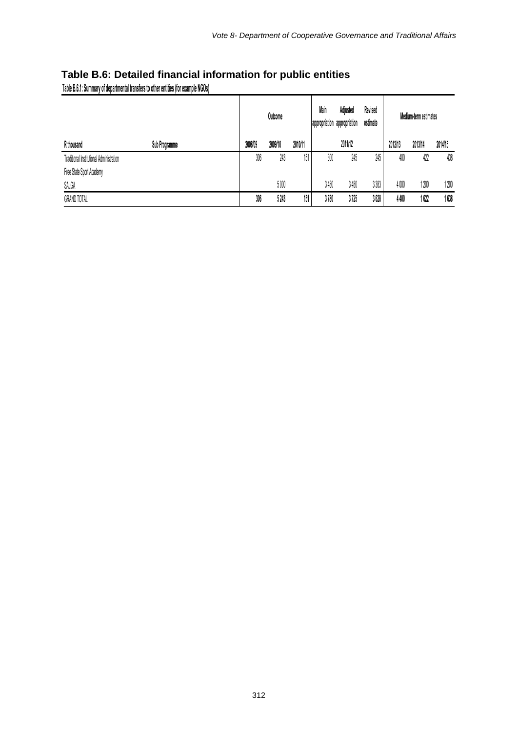# **Table B.6: Detailed financial information for public entities**

**Table B.6.1: Summary of departmental transfers to other entities (for example NGOs)**

|                                          |         | Main<br>Revised<br>Adjusted<br>Outcome<br>appropriation appropriation<br>estimate |         |      |         |       | Medium-term estimates |         |         |
|------------------------------------------|---------|-----------------------------------------------------------------------------------|---------|------|---------|-------|-----------------------|---------|---------|
| R thousand<br>Sub Programme              | 2008/09 | 2009/10                                                                           | 2010/11 |      | 2011/12 |       | 2012/13               | 2013/14 | 2014/15 |
| Traditional Institutional Administration | 306     | 243                                                                               | 151     | 300  | 245     | 245   | 400                   | 422     | 438     |
| Free State Sport Academy                 |         |                                                                                   |         |      |         |       |                       |         |         |
| SALGA                                    |         | 5000                                                                              |         | 3480 | 3480    | 3 383 | 4000                  | 1200    | 1200    |
| <b>GRAND TOTAL</b>                       | 306     | 5243                                                                              | 151     | 3780 | 3725    | 3628  | 4400                  | 1 622   | 1638    |